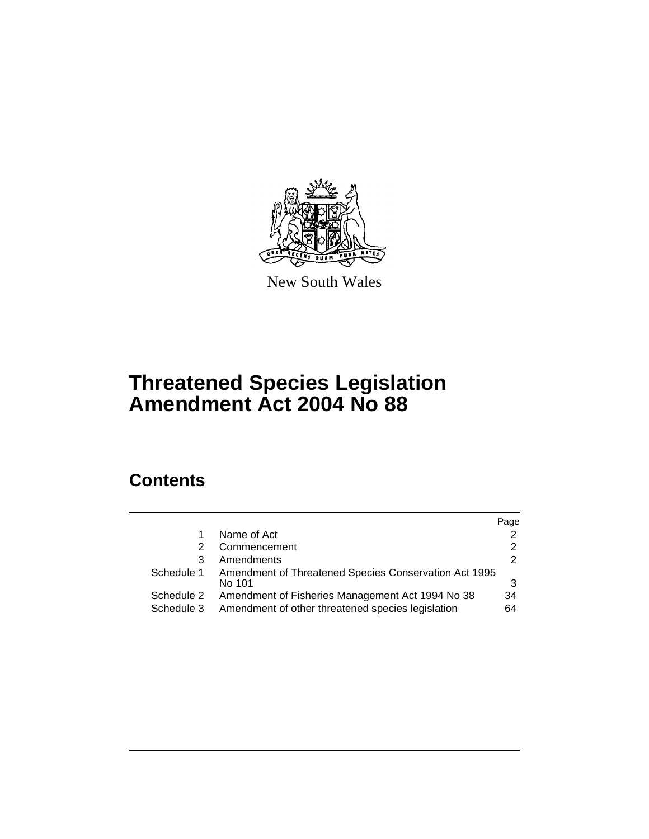

New South Wales

# **Threatened Species Legislation Amendment Act 2004 No 88**

# **Contents**

|                          |                                                                                                       | Page     |
|--------------------------|-------------------------------------------------------------------------------------------------------|----------|
|                          | Name of Act                                                                                           | 2        |
| 2                        | Commencement                                                                                          |          |
| 3                        | Amendments                                                                                            | 2        |
| Schedule 1               | Amendment of Threatened Species Conservation Act 1995<br>No 101                                       |          |
| Schedule 2<br>Schedule 3 | Amendment of Fisheries Management Act 1994 No 38<br>Amendment of other threatened species legislation | 34<br>64 |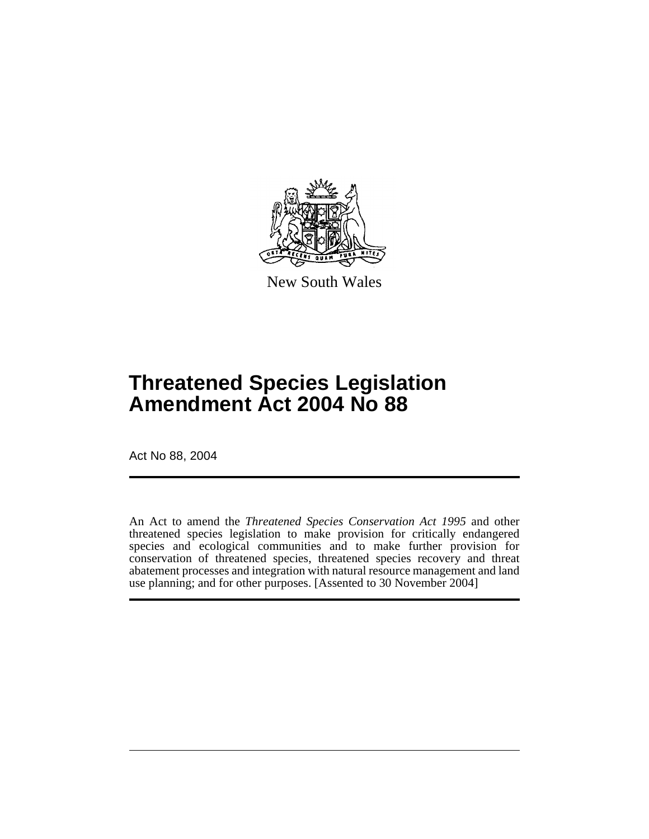

New South Wales

# **Threatened Species Legislation Amendment Act 2004 No 88**

Act No 88, 2004

An Act to amend the *Threatened Species Conservation Act 1995* and other threatened species legislation to make provision for critically endangered species and ecological communities and to make further provision for conservation of threatened species, threatened species recovery and threat abatement processes and integration with natural resource management and land use planning; and for other purposes. [Assented to 30 November 2004]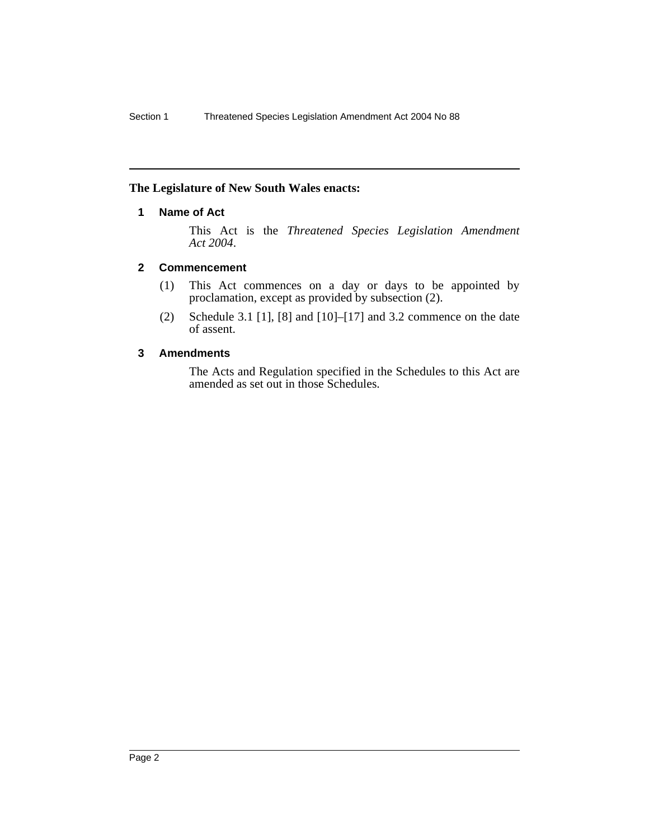#### <span id="page-2-0"></span>**The Legislature of New South Wales enacts:**

#### **1 Name of Act**

This Act is the *Threatened Species Legislation Amendment Act 2004*.

#### <span id="page-2-1"></span>**2 Commencement**

- (1) This Act commences on a day or days to be appointed by proclamation, except as provided by subsection (2).
- (2) Schedule 3.1 [1], [8] and [10]–[17] and 3.2 commence on the date of assent.

#### <span id="page-2-2"></span>**3 Amendments**

The Acts and Regulation specified in the Schedules to this Act are amended as set out in those Schedules.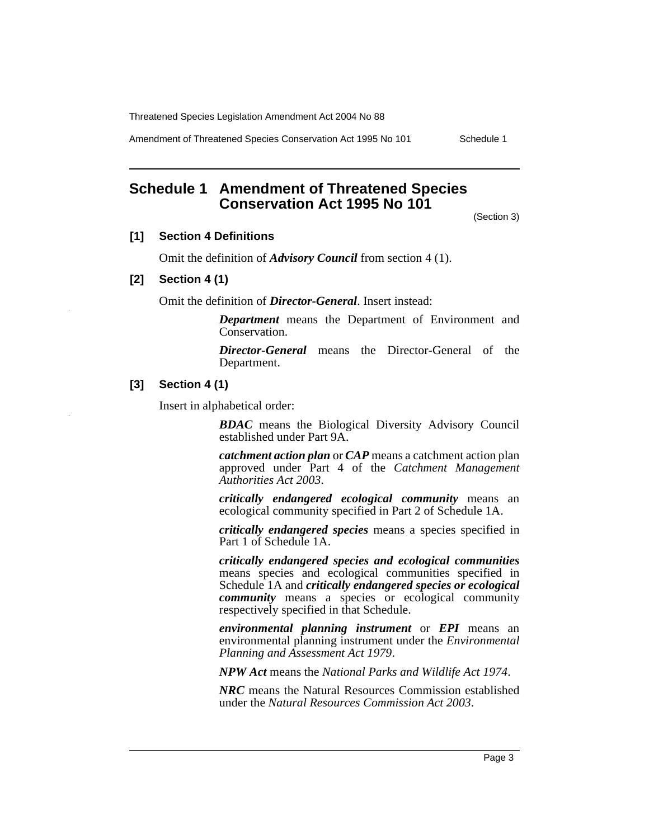Amendment of Threatened Species Conservation Act 1995 No 101 Schedule 1

# <span id="page-3-0"></span>**Schedule 1 Amendment of Threatened Species Conservation Act 1995 No 101**

(Section 3)

#### **[1] Section 4 Definitions**

Omit the definition of *Advisory Council* from section 4 (1).

#### **[2] Section 4 (1)**

Omit the definition of *Director-General*. Insert instead:

*Department* means the Department of Environment and Conservation.

*Director-General* means the Director-General of the Department.

#### **[3] Section 4 (1)**

Insert in alphabetical order:

*BDAC* means the Biological Diversity Advisory Council established under Part 9A.

*catchment action plan* or *CAP* means a catchment action plan approved under Part 4 of the *Catchment Management Authorities Act 2003*.

*critically endangered ecological community* means an ecological community specified in Part 2 of Schedule 1A.

*critically endangered species* means a species specified in Part 1 of Schedule 1A.

*critically endangered species and ecological communities* means species and ecological communities specified in Schedule 1A and *critically endangered species or ecological community* means a species or ecological community respectively specified in that Schedule.

*environmental planning instrument* or *EPI* means an environmental planning instrument under the *Environmental Planning and Assessment Act 1979*.

*NPW Act* means the *National Parks and Wildlife Act 1974*.

*NRC* means the Natural Resources Commission established under the *Natural Resources Commission Act 2003*.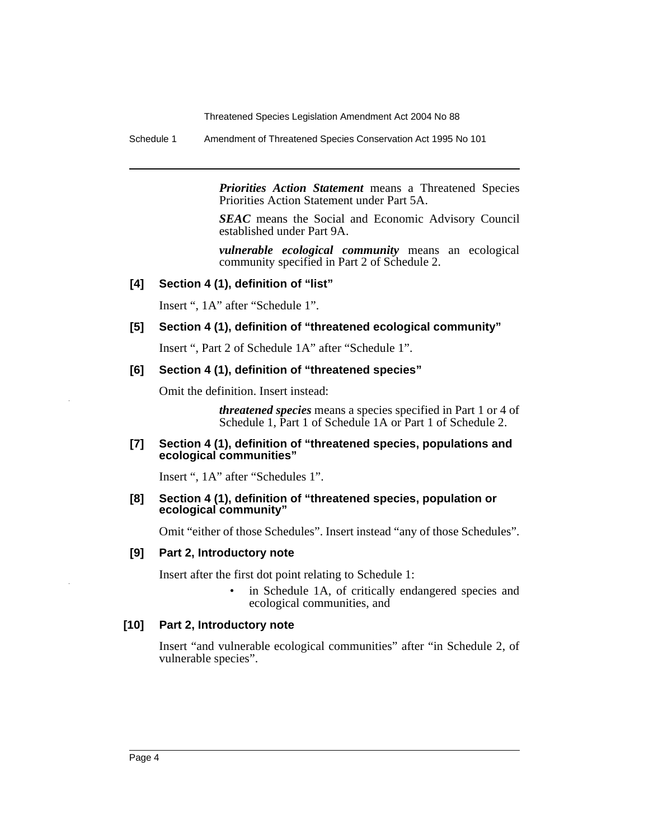Schedule 1 Amendment of Threatened Species Conservation Act 1995 No 101

*Priorities Action Statement* means a Threatened Species Priorities Action Statement under Part 5A.

*SEAC* means the Social and Economic Advisory Council established under Part 9A.

*vulnerable ecological community* means an ecological community specified in Part 2 of Schedule 2.

#### **[4] Section 4 (1), definition of "list"**

Insert ", 1A" after "Schedule 1".

#### **[5] Section 4 (1), definition of "threatened ecological community"**

Insert ", Part 2 of Schedule 1A" after "Schedule 1".

#### **[6] Section 4 (1), definition of "threatened species"**

Omit the definition. Insert instead:

*threatened species* means a species specified in Part 1 or 4 of Schedule 1, Part 1 of Schedule 1A or Part 1 of Schedule 2.

#### **[7] Section 4 (1), definition of "threatened species, populations and ecological communities"**

Insert ", 1A" after "Schedules 1".

#### **[8] Section 4 (1), definition of "threatened species, population or ecological community"**

Omit "either of those Schedules". Insert instead "any of those Schedules".

#### **[9] Part 2, Introductory note**

Insert after the first dot point relating to Schedule 1:

in Schedule 1A, of critically endangered species and ecological communities, and

#### **[10] Part 2, Introductory note**

Insert "and vulnerable ecological communities" after "in Schedule 2, of vulnerable species".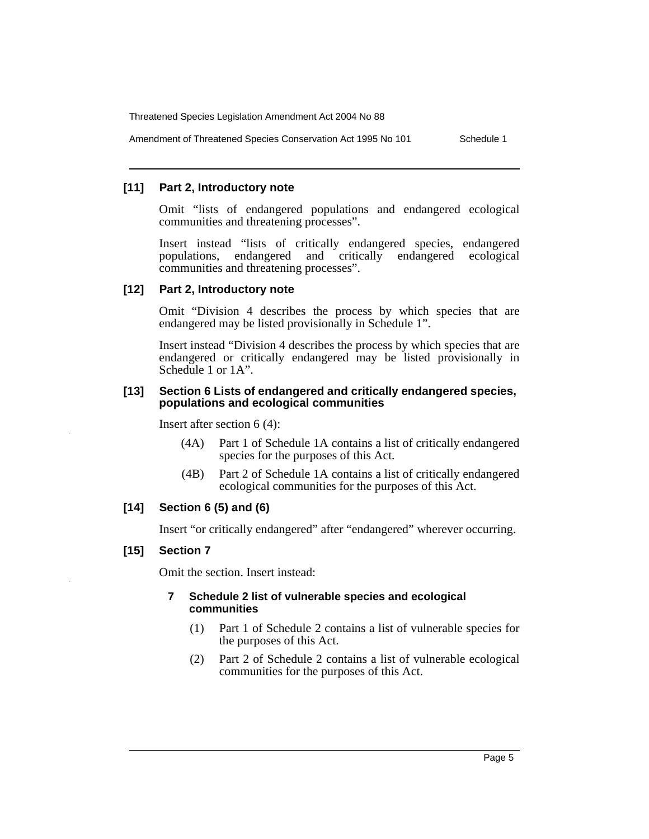Amendment of Threatened Species Conservation Act 1995 No 101 Schedule 1

#### **[11] Part 2, Introductory note**

Omit "lists of endangered populations and endangered ecological communities and threatening processes".

Insert instead "lists of critically endangered species, endangered populations, endangered and critically endangered ecological communities and threatening processes".

#### **[12] Part 2, Introductory note**

Omit "Division 4 describes the process by which species that are endangered may be listed provisionally in Schedule 1".

Insert instead "Division 4 describes the process by which species that are endangered or critically endangered may be listed provisionally in Schedule 1 or 1A".

#### **[13] Section 6 Lists of endangered and critically endangered species, populations and ecological communities**

Insert after section 6 (4):

- (4A) Part 1 of Schedule 1A contains a list of critically endangered species for the purposes of this Act.
- (4B) Part 2 of Schedule 1A contains a list of critically endangered ecological communities for the purposes of this Act.

#### **[14] Section 6 (5) and (6)**

Insert "or critically endangered" after "endangered" wherever occurring.

#### **[15] Section 7**

Omit the section. Insert instead:

#### **7 Schedule 2 list of vulnerable species and ecological communities**

- (1) Part 1 of Schedule 2 contains a list of vulnerable species for the purposes of this Act.
- (2) Part 2 of Schedule 2 contains a list of vulnerable ecological communities for the purposes of this Act.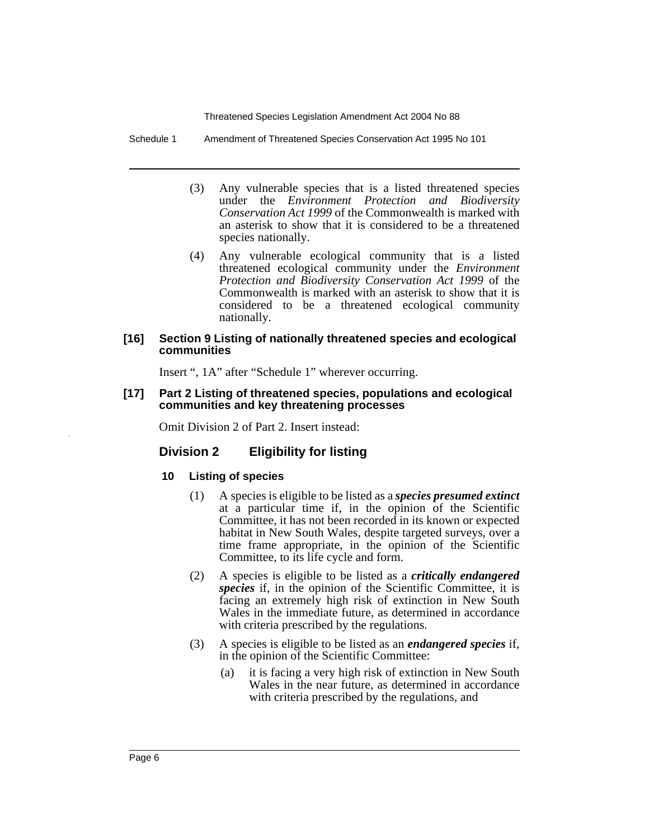Schedule 1 Amendment of Threatened Species Conservation Act 1995 No 101

- (3) Any vulnerable species that is a listed threatened species under the *Environment Protection and Biodiversity Conservation Act 1999* of the Commonwealth is marked with an asterisk to show that it is considered to be a threatened species nationally.
- (4) Any vulnerable ecological community that is a listed threatened ecological community under the *Environment Protection and Biodiversity Conservation Act 1999* of the Commonwealth is marked with an asterisk to show that it is considered to be a threatened ecological community nationally.

#### **[16] Section 9 Listing of nationally threatened species and ecological communities**

Insert ", 1A" after "Schedule 1" wherever occurring.

#### **[17] Part 2 Listing of threatened species, populations and ecological communities and key threatening processes**

Omit Division 2 of Part 2. Insert instead:

#### **Division 2 Eligibility for listing**

#### **10 Listing of species**

- (1) A species is eligible to be listed as a *species presumed extinct* at a particular time if, in the opinion of the Scientific Committee, it has not been recorded in its known or expected habitat in New South Wales, despite targeted surveys, over a time frame appropriate, in the opinion of the Scientific Committee, to its life cycle and form.
- (2) A species is eligible to be listed as a *critically endangered species* if, in the opinion of the Scientific Committee, it is facing an extremely high risk of extinction in New South Wales in the immediate future, as determined in accordance with criteria prescribed by the regulations.
- (3) A species is eligible to be listed as an *endangered species* if, in the opinion of the Scientific Committee:
	- (a) it is facing a very high risk of extinction in New South Wales in the near future, as determined in accordance with criteria prescribed by the regulations, and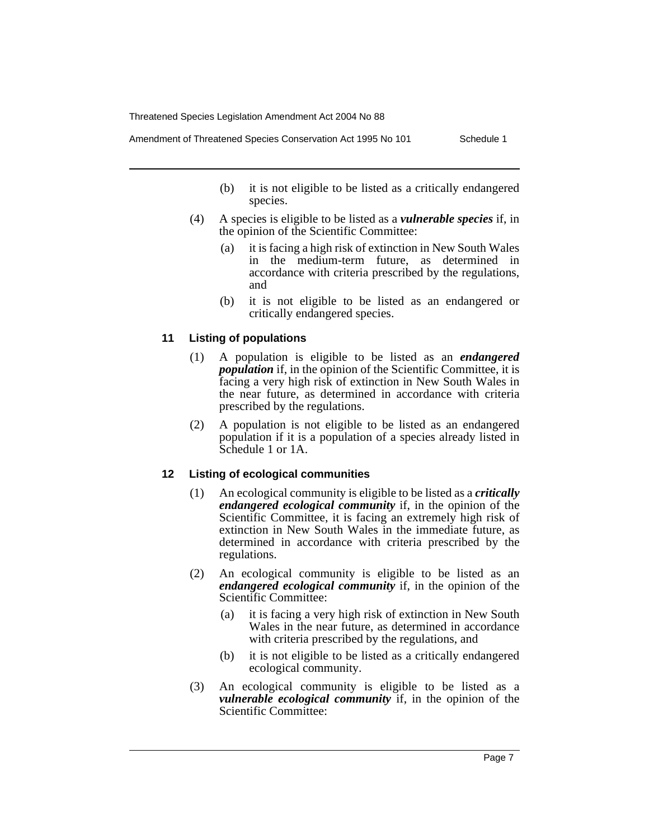Amendment of Threatened Species Conservation Act 1995 No 101 Schedule 1

- (b) it is not eligible to be listed as a critically endangered species.
- (4) A species is eligible to be listed as a *vulnerable species* if, in the opinion of the Scientific Committee:
	- (a) it is facing a high risk of extinction in New South Wales in the medium-term future, as determined in accordance with criteria prescribed by the regulations, and
	- (b) it is not eligible to be listed as an endangered or critically endangered species.

#### **11 Listing of populations**

- (1) A population is eligible to be listed as an *endangered population* if, in the opinion of the Scientific Committee, it is facing a very high risk of extinction in New South Wales in the near future, as determined in accordance with criteria prescribed by the regulations.
- (2) A population is not eligible to be listed as an endangered population if it is a population of a species already listed in Schedule 1 or 1A.

#### **12 Listing of ecological communities**

- (1) An ecological community is eligible to be listed as a *critically endangered ecological community* if, in the opinion of the Scientific Committee, it is facing an extremely high risk of extinction in New South Wales in the immediate future, as determined in accordance with criteria prescribed by the regulations.
- (2) An ecological community is eligible to be listed as an *endangered ecological community* if, in the opinion of the Scientific Committee:
	- (a) it is facing a very high risk of extinction in New South Wales in the near future, as determined in accordance with criteria prescribed by the regulations, and
	- (b) it is not eligible to be listed as a critically endangered ecological community.
- (3) An ecological community is eligible to be listed as a *vulnerable ecological community* if, in the opinion of the Scientific Committee: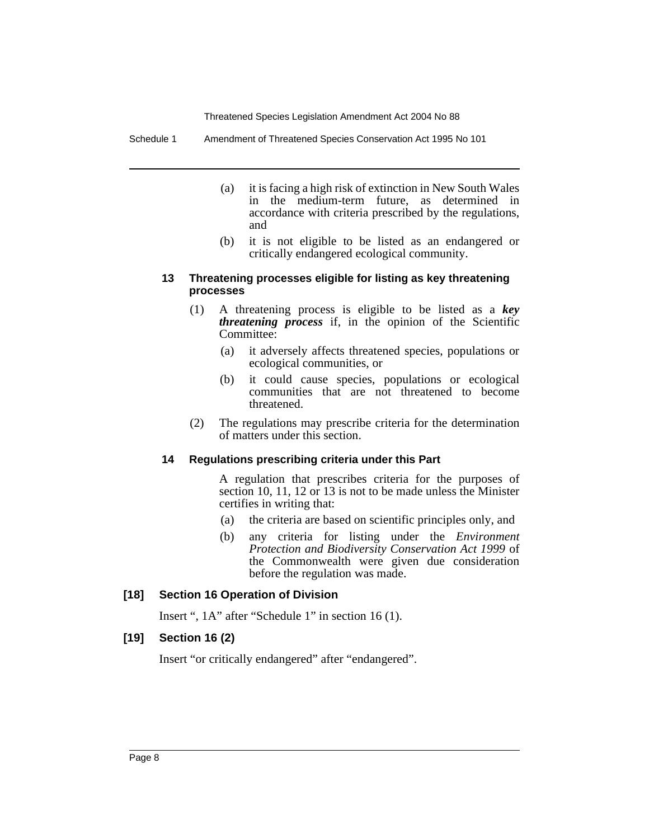Schedule 1 Amendment of Threatened Species Conservation Act 1995 No 101

- (a) it is facing a high risk of extinction in New South Wales in the medium-term future, as determined in accordance with criteria prescribed by the regulations, and
- (b) it is not eligible to be listed as an endangered or critically endangered ecological community.

#### **13 Threatening processes eligible for listing as key threatening processes**

- (1) A threatening process is eligible to be listed as a *key threatening process* if, in the opinion of the Scientific Committee:
	- (a) it adversely affects threatened species, populations or ecological communities, or
	- (b) it could cause species, populations or ecological communities that are not threatened to become threatened.
- (2) The regulations may prescribe criteria for the determination of matters under this section.

#### **14 Regulations prescribing criteria under this Part**

A regulation that prescribes criteria for the purposes of section 10, 11, 12 or 13 is not to be made unless the Minister certifies in writing that:

- (a) the criteria are based on scientific principles only, and
- (b) any criteria for listing under the *Environment Protection and Biodiversity Conservation Act 1999* of the Commonwealth were given due consideration before the regulation was made.

#### **[18] Section 16 Operation of Division**

Insert ", 1A" after "Schedule 1" in section 16 (1).

#### **[19] Section 16 (2)**

Insert "or critically endangered" after "endangered".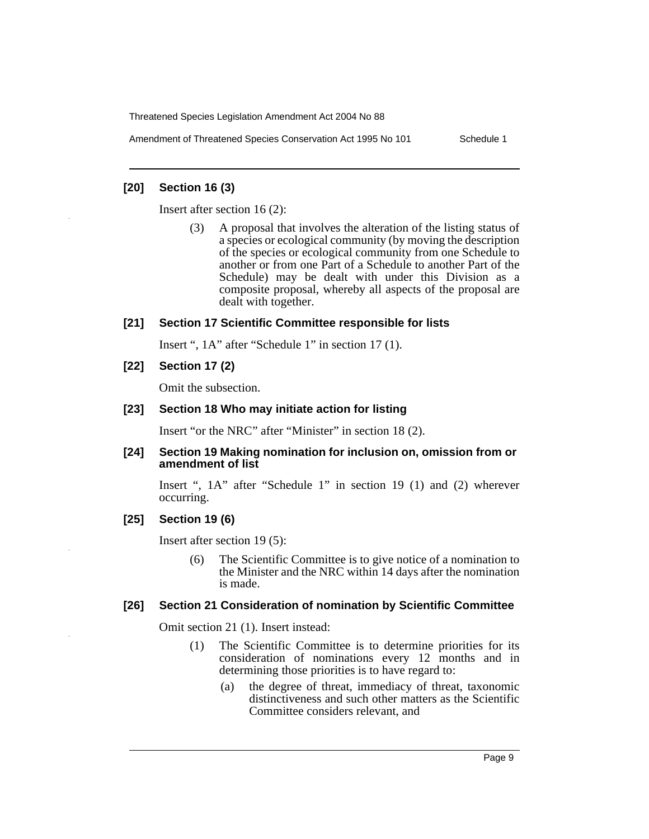Amendment of Threatened Species Conservation Act 1995 No 101 Schedule 1

#### **[20] Section 16 (3)**

Insert after section 16 (2):

(3) A proposal that involves the alteration of the listing status of a species or ecological community (by moving the description of the species or ecological community from one Schedule to another or from one Part of a Schedule to another Part of the Schedule) may be dealt with under this Division as a composite proposal, whereby all aspects of the proposal are dealt with together.

#### **[21] Section 17 Scientific Committee responsible for lists**

Insert ", 1A" after "Schedule 1" in section 17 (1).

**[22] Section 17 (2)**

Omit the subsection.

#### **[23] Section 18 Who may initiate action for listing**

Insert "or the NRC" after "Minister" in section 18 (2).

#### **[24] Section 19 Making nomination for inclusion on, omission from or amendment of list**

Insert ", 1A" after "Schedule 1" in section 19 (1) and (2) wherever occurring.

#### **[25] Section 19 (6)**

Insert after section 19 (5):

(6) The Scientific Committee is to give notice of a nomination to the Minister and the NRC within 14 days after the nomination is made.

#### **[26] Section 21 Consideration of nomination by Scientific Committee**

Omit section 21 (1). Insert instead:

- (1) The Scientific Committee is to determine priorities for its consideration of nominations every 12 months and in determining those priorities is to have regard to:
	- (a) the degree of threat, immediacy of threat, taxonomic distinctiveness and such other matters as the Scientific Committee considers relevant, and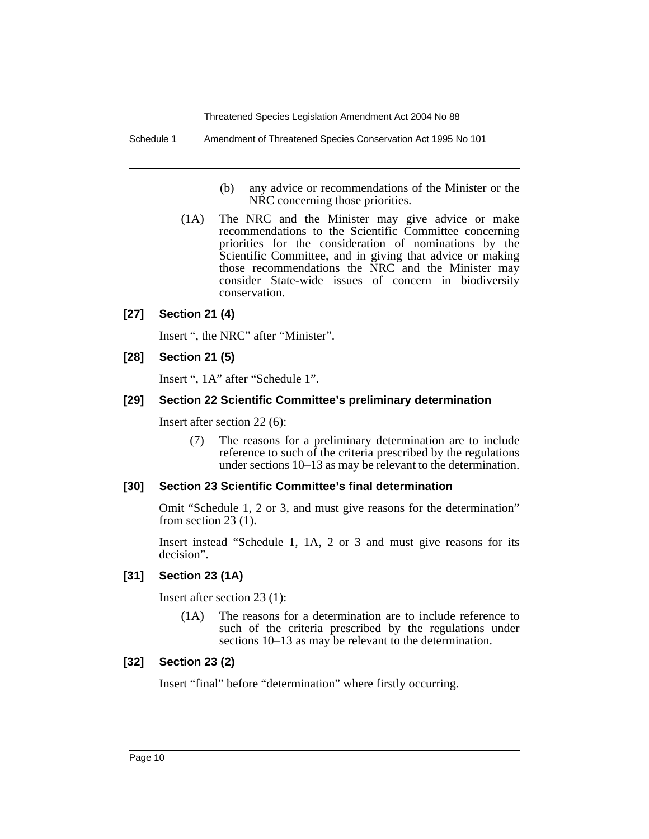Schedule 1 Amendment of Threatened Species Conservation Act 1995 No 101

- (b) any advice or recommendations of the Minister or the NRC concerning those priorities.
- (1A) The NRC and the Minister may give advice or make recommendations to the Scientific Committee concerning priorities for the consideration of nominations by the Scientific Committee, and in giving that advice or making those recommendations the NRC and the Minister may consider State-wide issues of concern in biodiversity conservation.

#### **[27] Section 21 (4)**

Insert ", the NRC" after "Minister".

#### **[28] Section 21 (5)**

Insert ", 1A" after "Schedule 1".

#### **[29] Section 22 Scientific Committee's preliminary determination**

Insert after section 22 (6):

(7) The reasons for a preliminary determination are to include reference to such of the criteria prescribed by the regulations under sections 10–13 as may be relevant to the determination.

#### **[30] Section 23 Scientific Committee's final determination**

Omit "Schedule 1, 2 or 3, and must give reasons for the determination" from section 23 (1).

Insert instead "Schedule 1, 1A, 2 or 3 and must give reasons for its decision".

#### **[31] Section 23 (1A)**

Insert after section 23 (1):

(1A) The reasons for a determination are to include reference to such of the criteria prescribed by the regulations under sections 10–13 as may be relevant to the determination.

#### **[32] Section 23 (2)**

Insert "final" before "determination" where firstly occurring.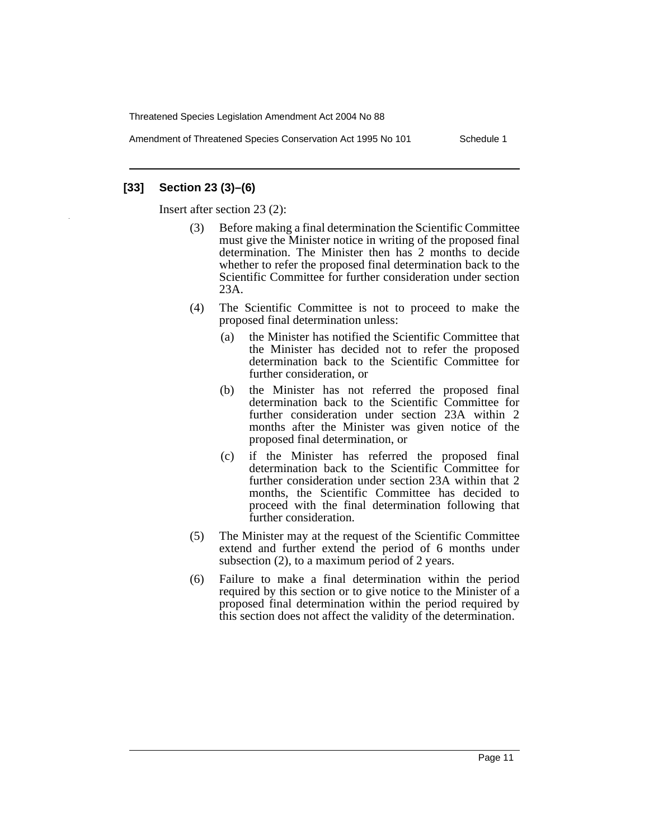Amendment of Threatened Species Conservation Act 1995 No 101 Schedule 1

#### **[33] Section 23 (3)–(6)**

Insert after section 23 (2):

- (3) Before making a final determination the Scientific Committee must give the Minister notice in writing of the proposed final determination. The Minister then has 2 months to decide whether to refer the proposed final determination back to the Scientific Committee for further consideration under section 23A.
- (4) The Scientific Committee is not to proceed to make the proposed final determination unless:
	- (a) the Minister has notified the Scientific Committee that the Minister has decided not to refer the proposed determination back to the Scientific Committee for further consideration, or
	- (b) the Minister has not referred the proposed final determination back to the Scientific Committee for further consideration under section 23A within 2 months after the Minister was given notice of the proposed final determination, or
	- (c) if the Minister has referred the proposed final determination back to the Scientific Committee for further consideration under section 23A within that 2 months, the Scientific Committee has decided to proceed with the final determination following that further consideration.
- (5) The Minister may at the request of the Scientific Committee extend and further extend the period of 6 months under subsection (2), to a maximum period of 2 years.
- (6) Failure to make a final determination within the period required by this section or to give notice to the Minister of a proposed final determination within the period required by this section does not affect the validity of the determination.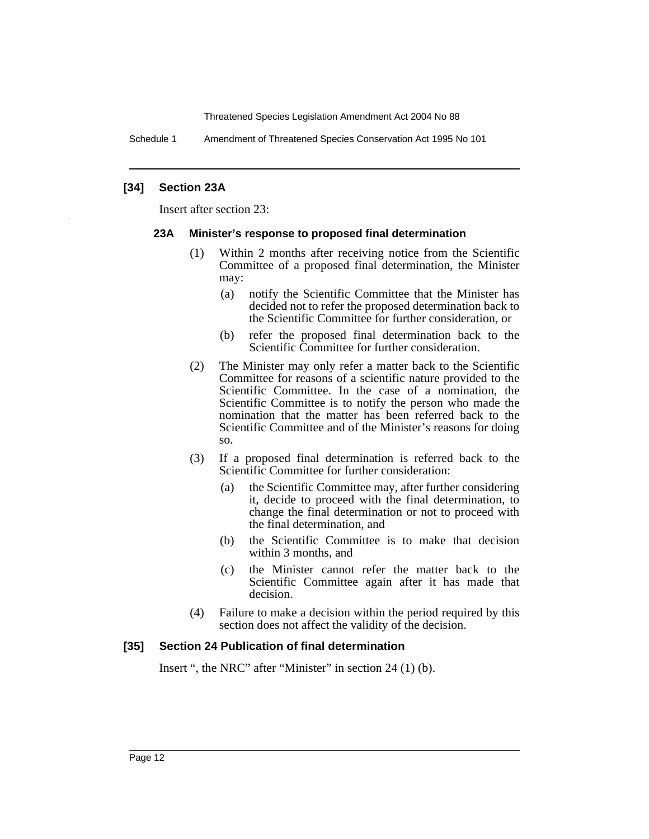Schedule 1 Amendment of Threatened Species Conservation Act 1995 No 101

#### **[34] Section 23A**

Insert after section 23:

#### **23A Minister's response to proposed final determination**

- (1) Within 2 months after receiving notice from the Scientific Committee of a proposed final determination, the Minister may:
	- (a) notify the Scientific Committee that the Minister has decided not to refer the proposed determination back to the Scientific Committee for further consideration, or
	- (b) refer the proposed final determination back to the Scientific Committee for further consideration.
- (2) The Minister may only refer a matter back to the Scientific Committee for reasons of a scientific nature provided to the Scientific Committee. In the case of a nomination, the Scientific Committee is to notify the person who made the nomination that the matter has been referred back to the Scientific Committee and of the Minister's reasons for doing so.
- (3) If a proposed final determination is referred back to the Scientific Committee for further consideration:
	- (a) the Scientific Committee may, after further considering it, decide to proceed with the final determination, to change the final determination or not to proceed with the final determination, and
	- (b) the Scientific Committee is to make that decision within 3 months, and
	- (c) the Minister cannot refer the matter back to the Scientific Committee again after it has made that decision.
- (4) Failure to make a decision within the period required by this section does not affect the validity of the decision.

#### **[35] Section 24 Publication of final determination**

Insert ", the NRC" after "Minister" in section 24 (1) (b).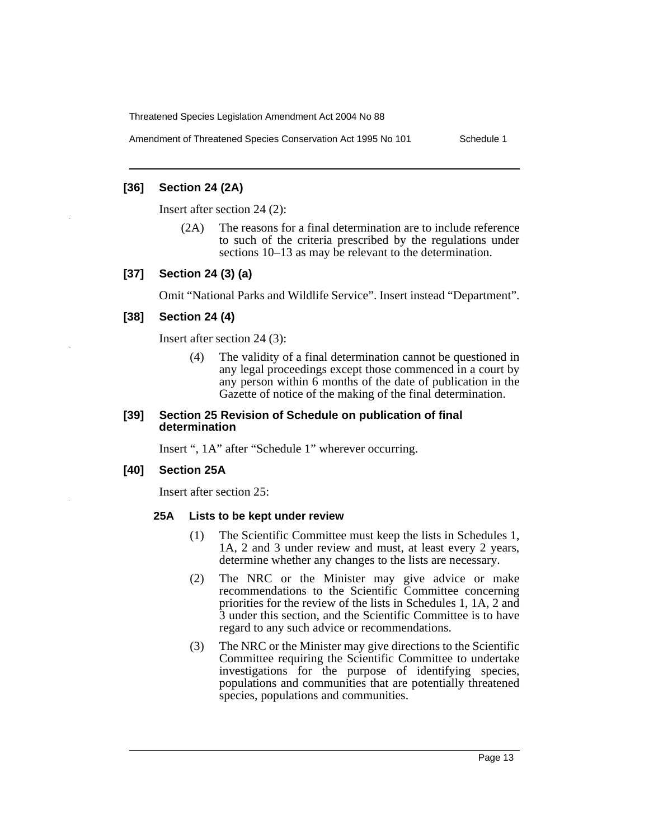Amendment of Threatened Species Conservation Act 1995 No 101 Schedule 1

#### **[36] Section 24 (2A)**

Insert after section 24 (2):

(2A) The reasons for a final determination are to include reference to such of the criteria prescribed by the regulations under sections 10–13 as may be relevant to the determination.

#### **[37] Section 24 (3) (a)**

Omit "National Parks and Wildlife Service". Insert instead "Department".

#### **[38] Section 24 (4)**

Insert after section 24 (3):

(4) The validity of a final determination cannot be questioned in any legal proceedings except those commenced in a court by any person within 6 months of the date of publication in the Gazette of notice of the making of the final determination.

#### **[39] Section 25 Revision of Schedule on publication of final determination**

Insert ", 1A" after "Schedule 1" wherever occurring.

#### **[40] Section 25A**

Insert after section 25:

#### **25A Lists to be kept under review**

- (1) The Scientific Committee must keep the lists in Schedules 1, 1A, 2 and 3 under review and must, at least every 2 years, determine whether any changes to the lists are necessary.
- (2) The NRC or the Minister may give advice or make recommendations to the Scientific Committee concerning priorities for the review of the lists in Schedules 1, 1A, 2 and 3 under this section, and the Scientific Committee is to have regard to any such advice or recommendations.
- (3) The NRC or the Minister may give directions to the Scientific Committee requiring the Scientific Committee to undertake investigations for the purpose of identifying species, populations and communities that are potentially threatened species, populations and communities.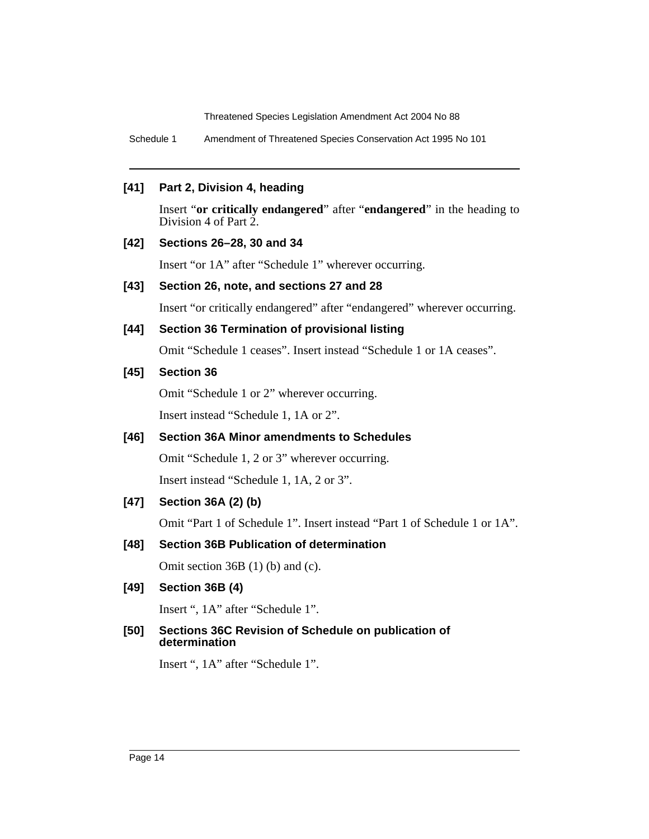Schedule 1 Amendment of Threatened Species Conservation Act 1995 No 101

#### **[41] Part 2, Division 4, heading**

Insert "**or critically endangered**" after "**endangered**" in the heading to Division 4 of Part 2.

#### **[42] Sections 26–28, 30 and 34**

Insert "or 1A" after "Schedule 1" wherever occurring.

#### **[43] Section 26, note, and sections 27 and 28**

Insert "or critically endangered" after "endangered" wherever occurring.

#### **[44] Section 36 Termination of provisional listing**

Omit "Schedule 1 ceases". Insert instead "Schedule 1 or 1A ceases".

#### **[45] Section 36**

Omit "Schedule 1 or 2" wherever occurring.

Insert instead "Schedule 1, 1A or 2".

#### **[46] Section 36A Minor amendments to Schedules**

Omit "Schedule 1, 2 or 3" wherever occurring.

Insert instead "Schedule 1, 1A, 2 or 3".

#### **[47] Section 36A (2) (b)**

Omit "Part 1 of Schedule 1". Insert instead "Part 1 of Schedule 1 or 1A".

#### **[48] Section 36B Publication of determination**

Omit section 36B (1) (b) and (c).

#### **[49] Section 36B (4)**

Insert ", 1A" after "Schedule 1".

#### **[50] Sections 36C Revision of Schedule on publication of determination**

Insert ", 1A" after "Schedule 1".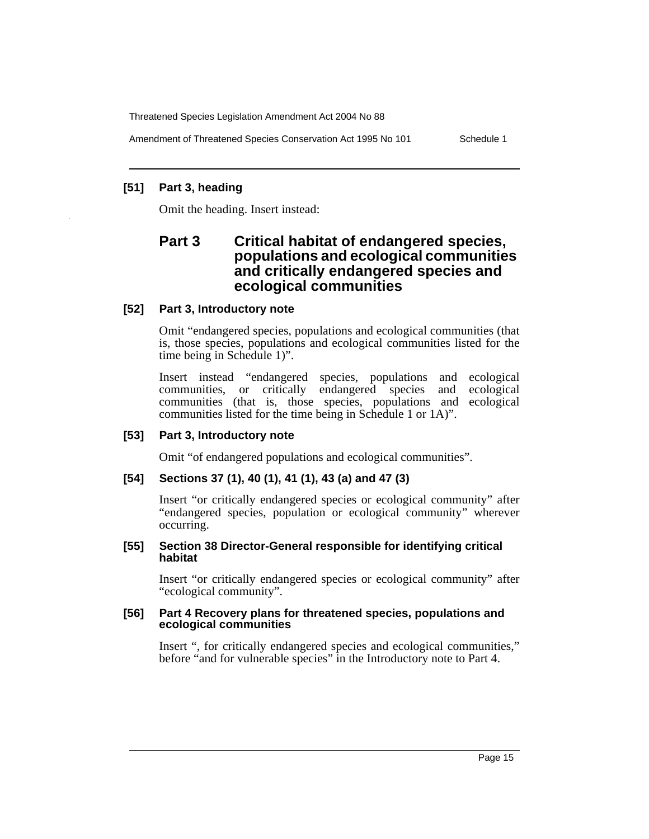Amendment of Threatened Species Conservation Act 1995 No 101 Schedule 1

## **[51] Part 3, heading**

Omit the heading. Insert instead:

# **Part 3 Critical habitat of endangered species, populations and ecological communities and critically endangered species and ecological communities**

#### **[52] Part 3, Introductory note**

Omit "endangered species, populations and ecological communities (that is, those species, populations and ecological communities listed for the time being in Schedule 1)".

Insert instead "endangered species, populations and ecological communities, or critically endangered species and ecological communities (that is, those species, populations and ecological communities listed for the time being in Schedule 1 or 1A)".

#### **[53] Part 3, Introductory note**

Omit "of endangered populations and ecological communities".

# **[54] Sections 37 (1), 40 (1), 41 (1), 43 (a) and 47 (3)**

Insert "or critically endangered species or ecological community" after "endangered species, population or ecological community" wherever occurring.

#### **[55] Section 38 Director-General responsible for identifying critical habitat**

Insert "or critically endangered species or ecological community" after "ecological community".

#### **[56] Part 4 Recovery plans for threatened species, populations and ecological communities**

Insert ", for critically endangered species and ecological communities," before "and for vulnerable species" in the Introductory note to Part 4.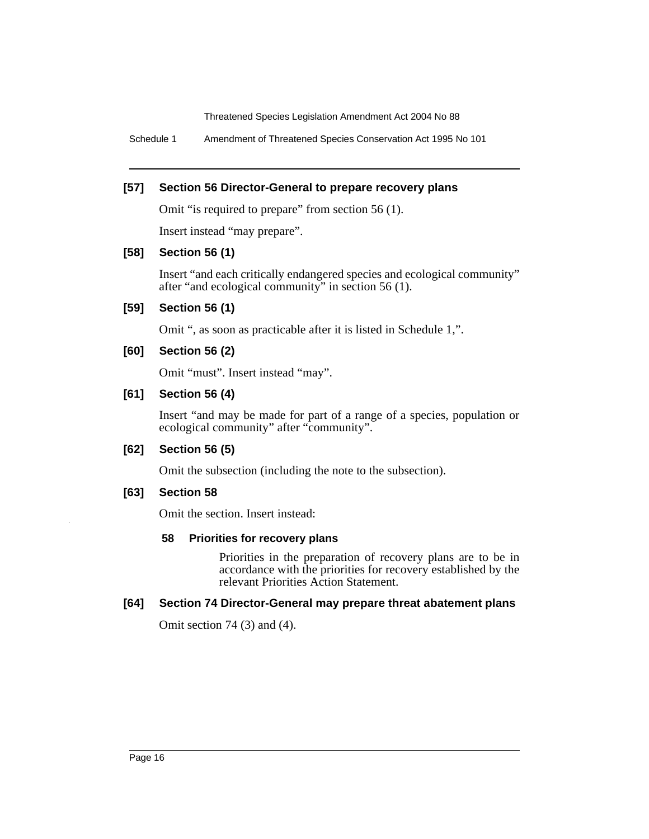Schedule 1 Amendment of Threatened Species Conservation Act 1995 No 101

#### **[57] Section 56 Director-General to prepare recovery plans**

Omit "is required to prepare" from section 56 (1).

Insert instead "may prepare".

#### **[58] Section 56 (1)**

Insert "and each critically endangered species and ecological community" after "and ecological community" in section 56 (1).

#### **[59] Section 56 (1)**

Omit ", as soon as practicable after it is listed in Schedule 1,".

#### **[60] Section 56 (2)**

Omit "must". Insert instead "may".

#### **[61] Section 56 (4)**

Insert "and may be made for part of a range of a species, population or ecological community" after "community".

#### **[62] Section 56 (5)**

Omit the subsection (including the note to the subsection).

#### **[63] Section 58**

Omit the section. Insert instead:

#### **58 Priorities for recovery plans**

Priorities in the preparation of recovery plans are to be in accordance with the priorities for recovery established by the relevant Priorities Action Statement.

#### **[64] Section 74 Director-General may prepare threat abatement plans**

Omit section 74 (3) and (4).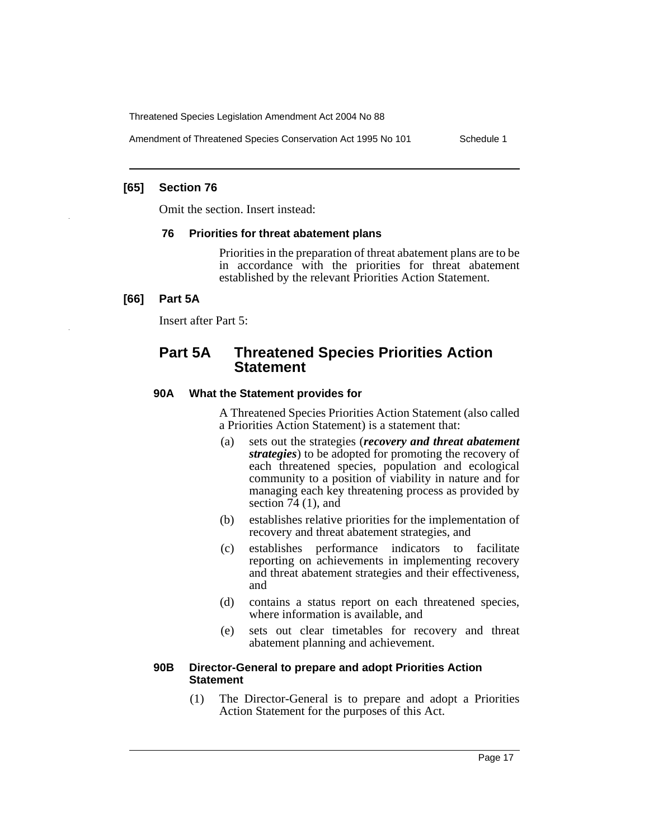Amendment of Threatened Species Conservation Act 1995 No 101 Schedule 1

#### **[65] Section 76**

Omit the section. Insert instead:

#### **76 Priorities for threat abatement plans**

Priorities in the preparation of threat abatement plans are to be in accordance with the priorities for threat abatement established by the relevant Priorities Action Statement.

#### **[66] Part 5A**

Insert after Part 5:

# **Part 5A Threatened Species Priorities Action Statement**

#### **90A What the Statement provides for**

A Threatened Species Priorities Action Statement (also called a Priorities Action Statement) is a statement that:

- (a) sets out the strategies (*recovery and threat abatement strategies*) to be adopted for promoting the recovery of each threatened species, population and ecological community to a position of viability in nature and for managing each key threatening process as provided by section 74 (1), and
- (b) establishes relative priorities for the implementation of recovery and threat abatement strategies, and
- (c) establishes performance indicators to facilitate reporting on achievements in implementing recovery and threat abatement strategies and their effectiveness, and
- (d) contains a status report on each threatened species, where information is available, and
- (e) sets out clear timetables for recovery and threat abatement planning and achievement.

#### **90B Director-General to prepare and adopt Priorities Action Statement**

(1) The Director-General is to prepare and adopt a Priorities Action Statement for the purposes of this Act.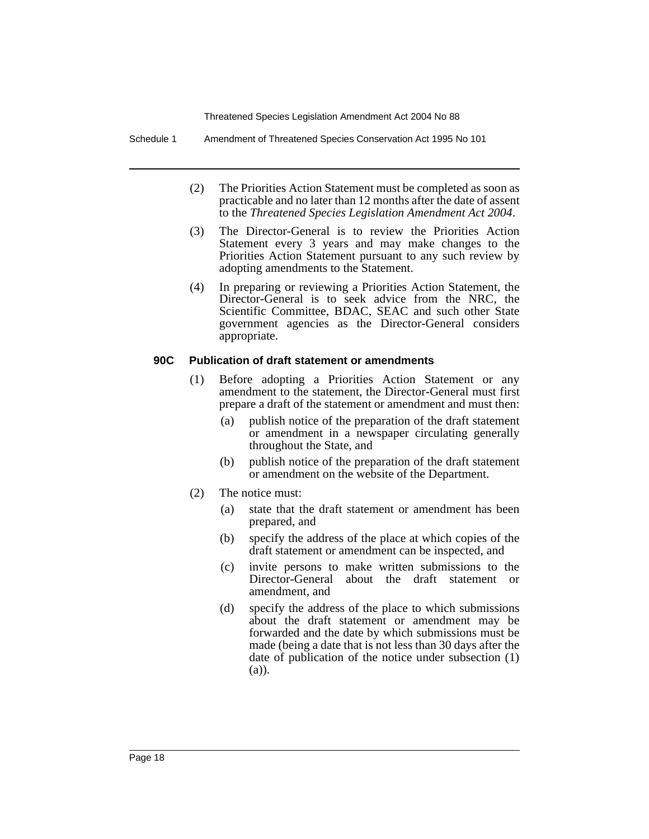Schedule 1 Amendment of Threatened Species Conservation Act 1995 No 101

- (2) The Priorities Action Statement must be completed as soon as practicable and no later than 12 months after the date of assent to the *Threatened Species Legislation Amendment Act 2004*.
- (3) The Director-General is to review the Priorities Action Statement every 3 years and may make changes to the Priorities Action Statement pursuant to any such review by adopting amendments to the Statement.
- (4) In preparing or reviewing a Priorities Action Statement, the Director-General is to seek advice from the NRC, the Scientific Committee, BDAC, SEAC and such other State government agencies as the Director-General considers appropriate.

#### **90C Publication of draft statement or amendments**

- (1) Before adopting a Priorities Action Statement or any amendment to the statement, the Director-General must first prepare a draft of the statement or amendment and must then:
	- (a) publish notice of the preparation of the draft statement or amendment in a newspaper circulating generally throughout the State, and
	- (b) publish notice of the preparation of the draft statement or amendment on the website of the Department.
- (2) The notice must:
	- (a) state that the draft statement or amendment has been prepared, and
	- (b) specify the address of the place at which copies of the draft statement or amendment can be inspected, and
	- (c) invite persons to make written submissions to the Director-General about the draft statement or amendment, and
	- (d) specify the address of the place to which submissions about the draft statement or amendment may be forwarded and the date by which submissions must be made (being a date that is not less than 30 days after the date of publication of the notice under subsection (1) (a)).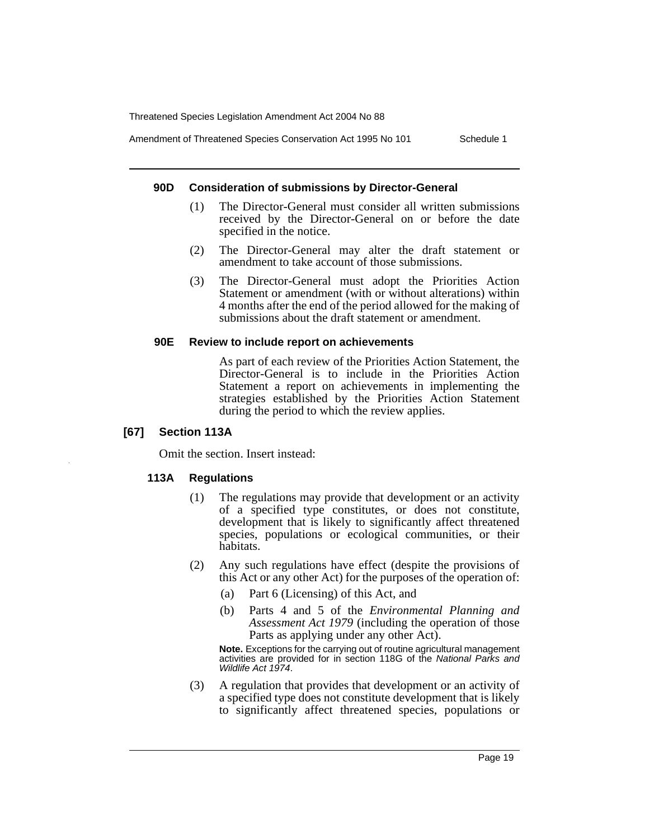Amendment of Threatened Species Conservation Act 1995 No 101 Schedule 1

#### **90D Consideration of submissions by Director-General**

- (1) The Director-General must consider all written submissions received by the Director-General on or before the date specified in the notice.
- (2) The Director-General may alter the draft statement or amendment to take account of those submissions.
- (3) The Director-General must adopt the Priorities Action Statement or amendment (with or without alterations) within 4 months after the end of the period allowed for the making of submissions about the draft statement or amendment.

#### **90E Review to include report on achievements**

As part of each review of the Priorities Action Statement, the Director-General is to include in the Priorities Action Statement a report on achievements in implementing the strategies established by the Priorities Action Statement during the period to which the review applies.

#### **[67] Section 113A**

Omit the section. Insert instead:

#### **113A Regulations**

- (1) The regulations may provide that development or an activity of a specified type constitutes, or does not constitute, development that is likely to significantly affect threatened species, populations or ecological communities, or their habitats.
- (2) Any such regulations have effect (despite the provisions of this Act or any other Act) for the purposes of the operation of:
	- (a) Part 6 (Licensing) of this Act, and
	- (b) Parts 4 and 5 of the *Environmental Planning and Assessment Act 1979* (including the operation of those Parts as applying under any other Act).

**Note.** Exceptions for the carrying out of routine agricultural management activities are provided for in section 118G of the National Parks and Wildlife Act 1974.

(3) A regulation that provides that development or an activity of a specified type does not constitute development that is likely to significantly affect threatened species, populations or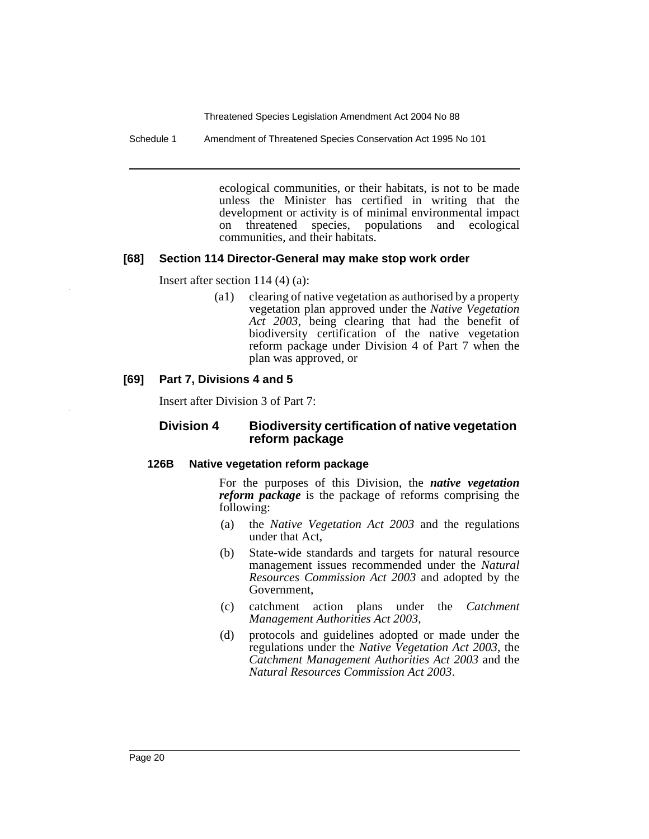Schedule 1 Amendment of Threatened Species Conservation Act 1995 No 101

ecological communities, or their habitats, is not to be made unless the Minister has certified in writing that the development or activity is of minimal environmental impact<br>on threatened species, populations and ecological on threatened species, populations and ecological communities, and their habitats.

#### **[68] Section 114 Director-General may make stop work order**

Insert after section 114 (4) (a):

(a1) clearing of native vegetation as authorised by a property vegetation plan approved under the *Native Vegetation Act 2003*, being clearing that had the benefit of biodiversity certification of the native vegetation reform package under Division 4 of Part 7 when the plan was approved, or

#### **[69] Part 7, Divisions 4 and 5**

Insert after Division 3 of Part 7:

#### **Division 4 Biodiversity certification of native vegetation reform package**

#### **126B Native vegetation reform package**

For the purposes of this Division, the *native vegetation reform package* is the package of reforms comprising the following:

- (a) the *Native Vegetation Act 2003* and the regulations under that Act,
- (b) State-wide standards and targets for natural resource management issues recommended under the *Natural Resources Commission Act 2003* and adopted by the Government,
- (c) catchment action plans under the *Catchment Management Authorities Act 2003*,
- (d) protocols and guidelines adopted or made under the regulations under the *Native Vegetation Act 2003*, the *Catchment Management Authorities Act 2003* and the *Natural Resources Commission Act 2003*.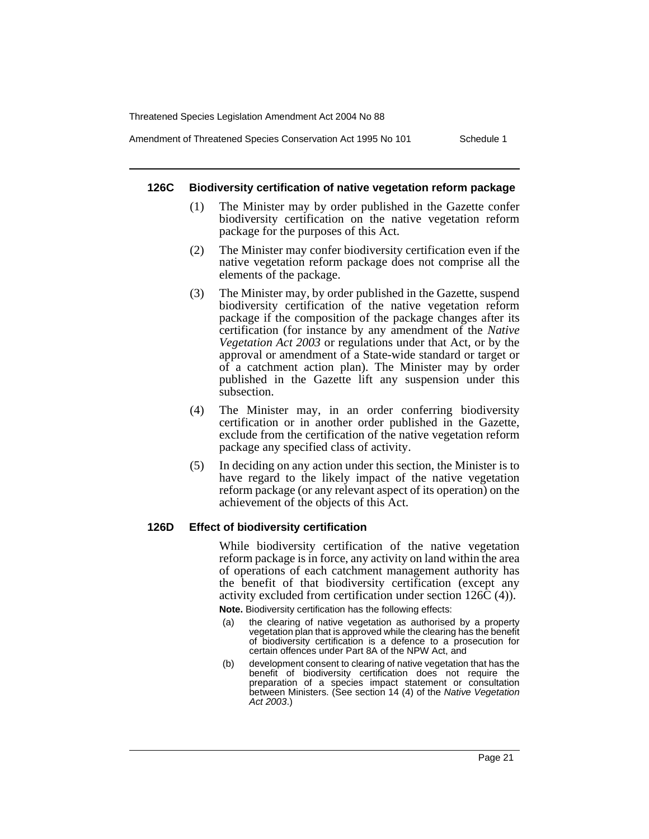Amendment of Threatened Species Conservation Act 1995 No 101 Schedule 1

#### **126C Biodiversity certification of native vegetation reform package**

- (1) The Minister may by order published in the Gazette confer biodiversity certification on the native vegetation reform package for the purposes of this Act.
- (2) The Minister may confer biodiversity certification even if the native vegetation reform package does not comprise all the elements of the package.
- (3) The Minister may, by order published in the Gazette, suspend biodiversity certification of the native vegetation reform package if the composition of the package changes after its certification (for instance by any amendment of the *Native Vegetation Act 2003* or regulations under that Act, or by the approval or amendment of a State-wide standard or target or of a catchment action plan). The Minister may by order published in the Gazette lift any suspension under this subsection.
- (4) The Minister may, in an order conferring biodiversity certification or in another order published in the Gazette, exclude from the certification of the native vegetation reform package any specified class of activity.
- (5) In deciding on any action under this section, the Minister is to have regard to the likely impact of the native vegetation reform package (or any relevant aspect of its operation) on the achievement of the objects of this Act.

#### **126D Effect of biodiversity certification**

While biodiversity certification of the native vegetation reform package is in force, any activity on land within the area of operations of each catchment management authority has the benefit of that biodiversity certification (except any activity excluded from certification under section 126C (4)).

**Note.** Biodiversity certification has the following effects:

- (a) the clearing of native vegetation as authorised by a property vegetation plan that is approved while the clearing has the benefit of biodiversity certification is a defence to a prosecution for certain offences under Part 8A of the NPW Act, and
- (b) development consent to clearing of native vegetation that has the benefit of biodiversity certification does not require the preparation of a species impact statement or consultation between Ministers. (See section 14 (4) of the Native Vegetation Act 2003.)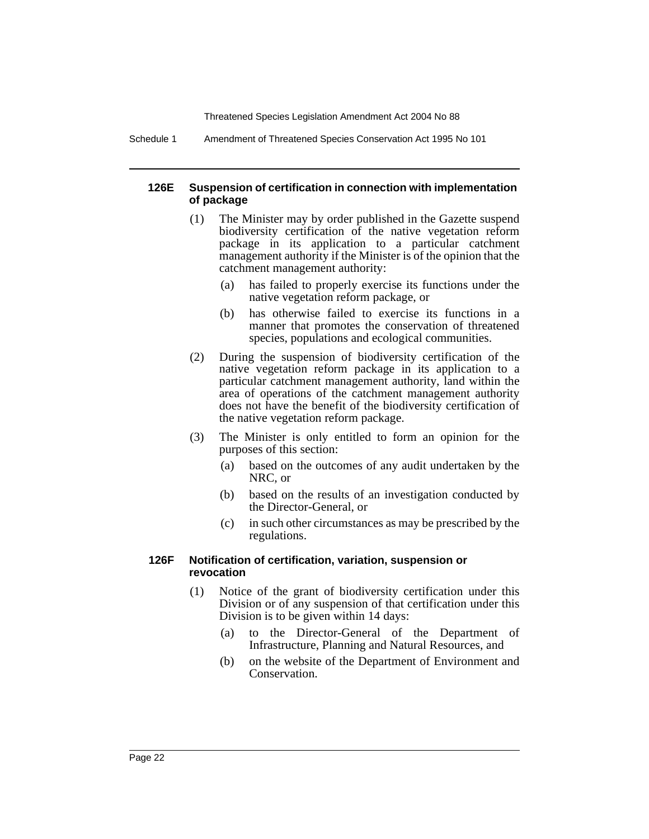Schedule 1 Amendment of Threatened Species Conservation Act 1995 No 101

#### **126E Suspension of certification in connection with implementation of package**

- (1) The Minister may by order published in the Gazette suspend biodiversity certification of the native vegetation reform package in its application to a particular catchment management authority if the Minister is of the opinion that the catchment management authority:
	- (a) has failed to properly exercise its functions under the native vegetation reform package, or
	- (b) has otherwise failed to exercise its functions in a manner that promotes the conservation of threatened species, populations and ecological communities.
- (2) During the suspension of biodiversity certification of the native vegetation reform package in its application to a particular catchment management authority, land within the area of operations of the catchment management authority does not have the benefit of the biodiversity certification of the native vegetation reform package.
- (3) The Minister is only entitled to form an opinion for the purposes of this section:
	- (a) based on the outcomes of any audit undertaken by the NRC, or
	- (b) based on the results of an investigation conducted by the Director-General, or
	- (c) in such other circumstances as may be prescribed by the regulations.

#### **126F Notification of certification, variation, suspension or revocation**

- (1) Notice of the grant of biodiversity certification under this Division or of any suspension of that certification under this Division is to be given within 14 days:
	- (a) to the Director-General of the Department of Infrastructure, Planning and Natural Resources, and
	- (b) on the website of the Department of Environment and Conservation.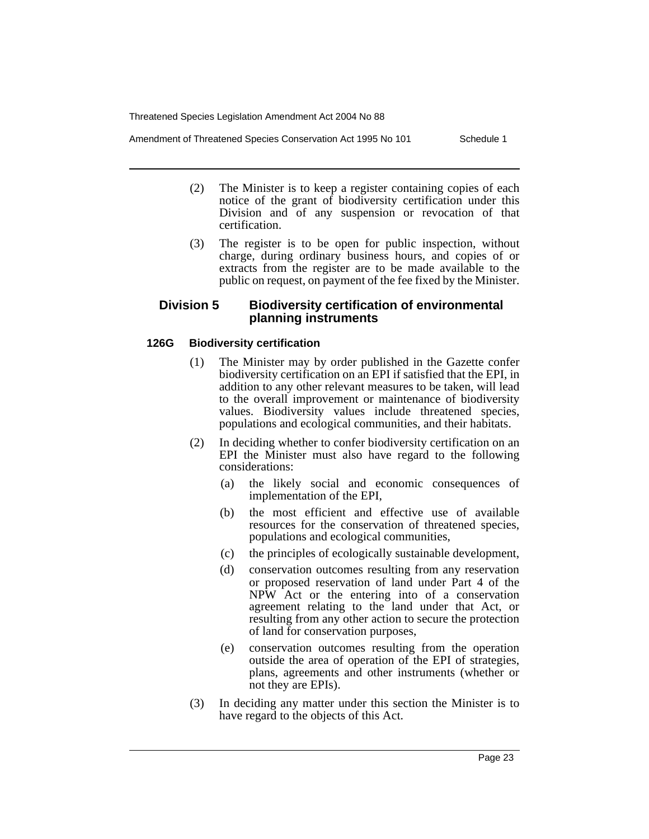Amendment of Threatened Species Conservation Act 1995 No 101 Schedule 1

- (2) The Minister is to keep a register containing copies of each notice of the grant of biodiversity certification under this Division and of any suspension or revocation of that certification.
- (3) The register is to be open for public inspection, without charge, during ordinary business hours, and copies of or extracts from the register are to be made available to the public on request, on payment of the fee fixed by the Minister.

#### **Division 5 Biodiversity certification of environmental planning instruments**

#### **126G Biodiversity certification**

- (1) The Minister may by order published in the Gazette confer biodiversity certification on an EPI if satisfied that the EPI, in addition to any other relevant measures to be taken, will lead to the overall improvement or maintenance of biodiversity values. Biodiversity values include threatened species, populations and ecological communities, and their habitats.
- (2) In deciding whether to confer biodiversity certification on an EPI the Minister must also have regard to the following considerations:
	- (a) the likely social and economic consequences of implementation of the EPI,
	- (b) the most efficient and effective use of available resources for the conservation of threatened species, populations and ecological communities,
	- (c) the principles of ecologically sustainable development,
	- (d) conservation outcomes resulting from any reservation or proposed reservation of land under Part 4 of the NPW Act or the entering into of a conservation agreement relating to the land under that Act, or resulting from any other action to secure the protection of land for conservation purposes,
	- (e) conservation outcomes resulting from the operation outside the area of operation of the EPI of strategies, plans, agreements and other instruments (whether or not they are EPIs).
- (3) In deciding any matter under this section the Minister is to have regard to the objects of this Act.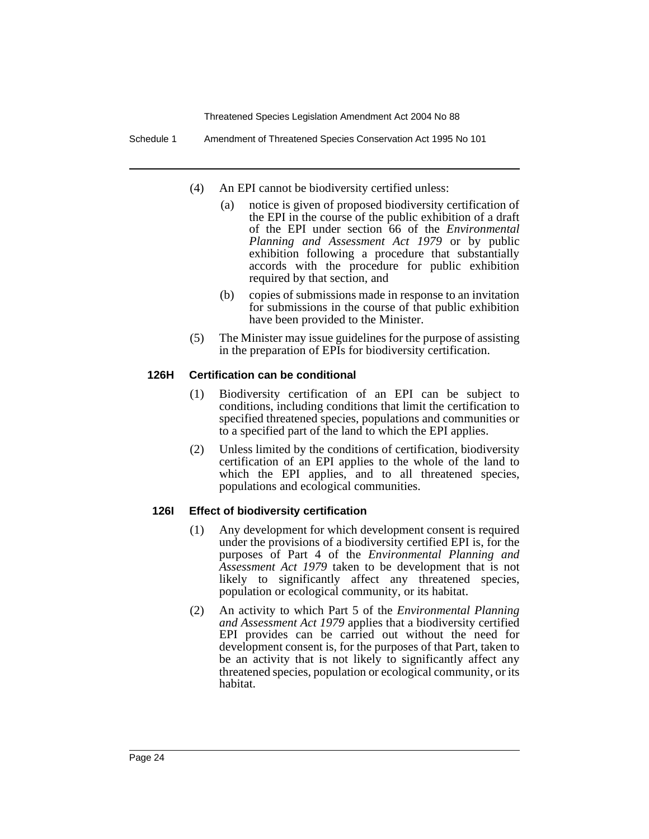Schedule 1 Amendment of Threatened Species Conservation Act 1995 No 101

- (4) An EPI cannot be biodiversity certified unless:
	- (a) notice is given of proposed biodiversity certification of the EPI in the course of the public exhibition of a draft of the EPI under section 66 of the *Environmental Planning and Assessment Act 1979* or by public exhibition following a procedure that substantially accords with the procedure for public exhibition required by that section, and
	- (b) copies of submissions made in response to an invitation for submissions in the course of that public exhibition have been provided to the Minister.
- (5) The Minister may issue guidelines for the purpose of assisting in the preparation of EPIs for biodiversity certification.

#### **126H Certification can be conditional**

- (1) Biodiversity certification of an EPI can be subject to conditions, including conditions that limit the certification to specified threatened species, populations and communities or to a specified part of the land to which the EPI applies.
- (2) Unless limited by the conditions of certification, biodiversity certification of an EPI applies to the whole of the land to which the EPI applies, and to all threatened species, populations and ecological communities.

#### **126I Effect of biodiversity certification**

- (1) Any development for which development consent is required under the provisions of a biodiversity certified EPI is, for the purposes of Part 4 of the *Environmental Planning and Assessment Act 1979* taken to be development that is not likely to significantly affect any threatened species, population or ecological community, or its habitat.
- (2) An activity to which Part 5 of the *Environmental Planning and Assessment Act 1979* applies that a biodiversity certified EPI provides can be carried out without the need for development consent is, for the purposes of that Part, taken to be an activity that is not likely to significantly affect any threatened species, population or ecological community, or its habitat.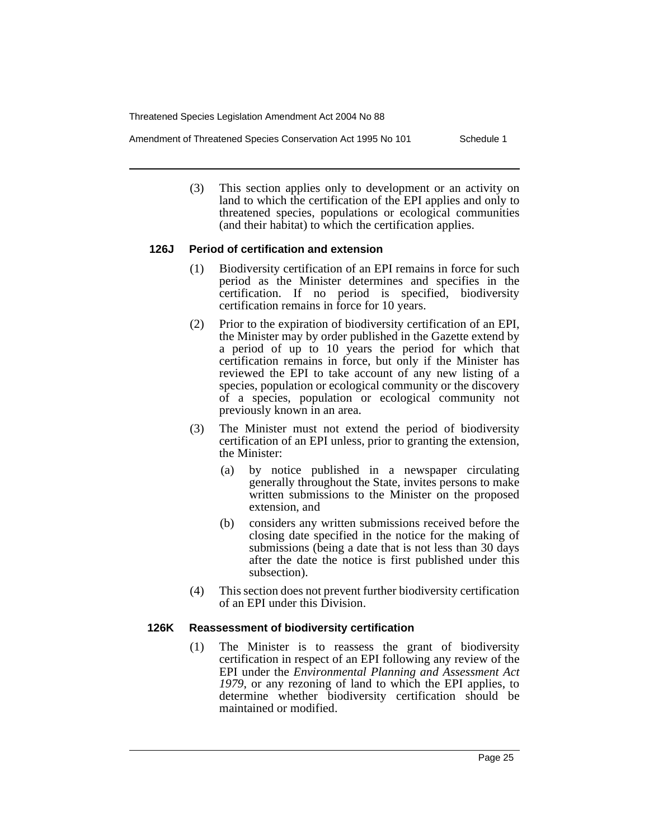Amendment of Threatened Species Conservation Act 1995 No 101 Schedule 1

(3) This section applies only to development or an activity on land to which the certification of the EPI applies and only to threatened species, populations or ecological communities (and their habitat) to which the certification applies.

#### **126J Period of certification and extension**

- (1) Biodiversity certification of an EPI remains in force for such period as the Minister determines and specifies in the certification. If no period is specified, biodiversity certification remains in force for 10 years.
- (2) Prior to the expiration of biodiversity certification of an EPI, the Minister may by order published in the Gazette extend by a period of up to 10 years the period for which that certification remains in force, but only if the Minister has reviewed the EPI to take account of any new listing of a species, population or ecological community or the discovery of a species, population or ecological community not previously known in an area.
- (3) The Minister must not extend the period of biodiversity certification of an EPI unless, prior to granting the extension, the Minister:
	- (a) by notice published in a newspaper circulating generally throughout the State, invites persons to make written submissions to the Minister on the proposed extension, and
	- (b) considers any written submissions received before the closing date specified in the notice for the making of submissions (being a date that is not less than 30 days after the date the notice is first published under this subsection).
- (4) This section does not prevent further biodiversity certification of an EPI under this Division.

#### **126K Reassessment of biodiversity certification**

(1) The Minister is to reassess the grant of biodiversity certification in respect of an EPI following any review of the EPI under the *Environmental Planning and Assessment Act 1979*, or any rezoning of land to which the EPI applies, to determine whether biodiversity certification should be maintained or modified.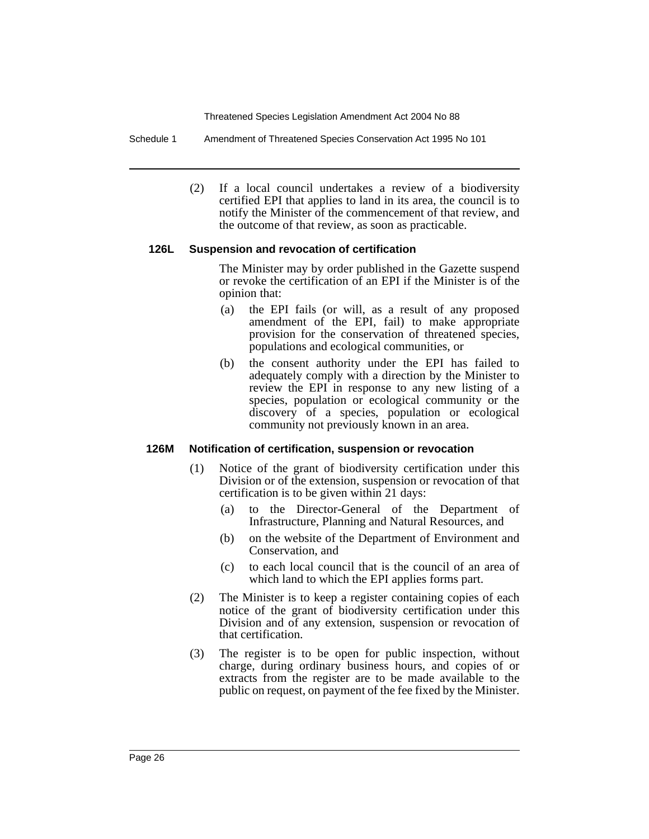Schedule 1 Amendment of Threatened Species Conservation Act 1995 No 101

(2) If a local council undertakes a review of a biodiversity certified EPI that applies to land in its area, the council is to notify the Minister of the commencement of that review, and the outcome of that review, as soon as practicable.

#### **126L Suspension and revocation of certification**

The Minister may by order published in the Gazette suspend or revoke the certification of an EPI if the Minister is of the opinion that:

- (a) the EPI fails (or will, as a result of any proposed amendment of the EPI, fail) to make appropriate provision for the conservation of threatened species, populations and ecological communities, or
- (b) the consent authority under the EPI has failed to adequately comply with a direction by the Minister to review the EPI in response to any new listing of a species, population or ecological community or the discovery of a species, population or ecological community not previously known in an area.

#### **126M Notification of certification, suspension or revocation**

- (1) Notice of the grant of biodiversity certification under this Division or of the extension, suspension or revocation of that certification is to be given within 21 days:
	- (a) to the Director-General of the Department of Infrastructure, Planning and Natural Resources, and
	- (b) on the website of the Department of Environment and Conservation, and
	- (c) to each local council that is the council of an area of which land to which the EPI applies forms part.
- (2) The Minister is to keep a register containing copies of each notice of the grant of biodiversity certification under this Division and of any extension, suspension or revocation of that certification.
- (3) The register is to be open for public inspection, without charge, during ordinary business hours, and copies of or extracts from the register are to be made available to the public on request, on payment of the fee fixed by the Minister.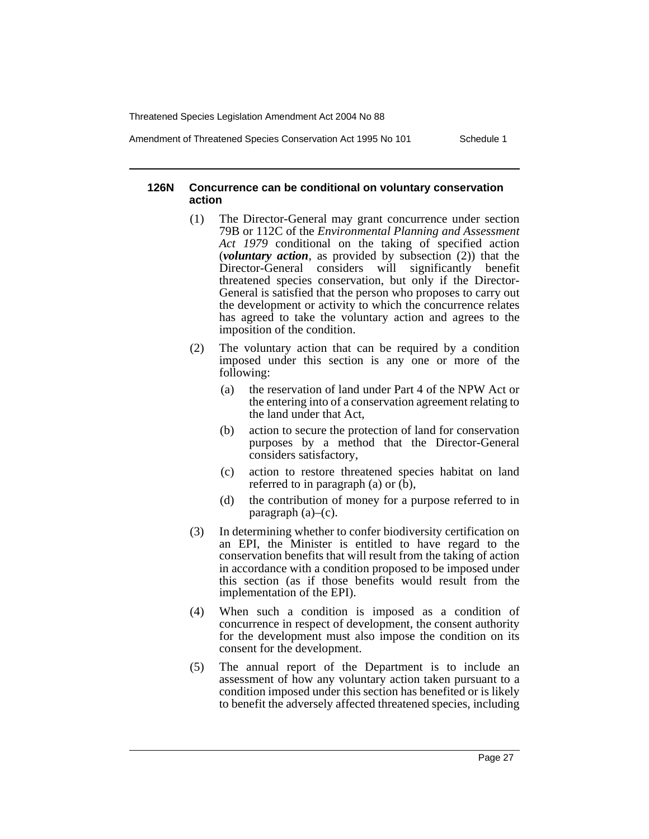Amendment of Threatened Species Conservation Act 1995 No 101 Schedule 1

**126N Concurrence can be conditional on voluntary conservation action**

- (1) The Director-General may grant concurrence under section 79B or 112C of the *Environmental Planning and Assessment Act 1979* conditional on the taking of specified action (*voluntary action*, as provided by subsection (2)) that the Director-General considers will significantly benefit threatened species conservation, but only if the Director-General is satisfied that the person who proposes to carry out the development or activity to which the concurrence relates has agreed to take the voluntary action and agrees to the imposition of the condition.
- (2) The voluntary action that can be required by a condition imposed under this section is any one or more of the following:
	- (a) the reservation of land under Part 4 of the NPW Act or the entering into of a conservation agreement relating to the land under that Act,
	- (b) action to secure the protection of land for conservation purposes by a method that the Director-General considers satisfactory,
	- (c) action to restore threatened species habitat on land referred to in paragraph (a) or (b),
	- (d) the contribution of money for a purpose referred to in paragraph (a)–(c).
- (3) In determining whether to confer biodiversity certification on an EPI, the Minister is entitled to have regard to the conservation benefits that will result from the taking of action in accordance with a condition proposed to be imposed under this section (as if those benefits would result from the implementation of the EPI).
- (4) When such a condition is imposed as a condition of concurrence in respect of development, the consent authority for the development must also impose the condition on its consent for the development.
- (5) The annual report of the Department is to include an assessment of how any voluntary action taken pursuant to a condition imposed under this section has benefited or is likely to benefit the adversely affected threatened species, including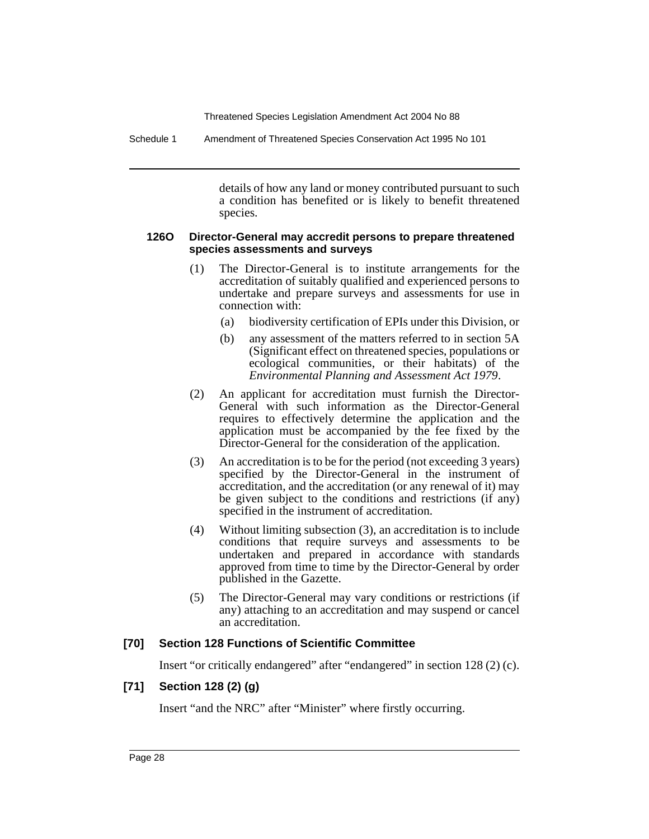Schedule 1 Amendment of Threatened Species Conservation Act 1995 No 101

details of how any land or money contributed pursuant to such a condition has benefited or is likely to benefit threatened species.

#### **126O Director-General may accredit persons to prepare threatened species assessments and surveys**

- (1) The Director-General is to institute arrangements for the accreditation of suitably qualified and experienced persons to undertake and prepare surveys and assessments for use in connection with:
	- (a) biodiversity certification of EPIs under this Division, or
	- (b) any assessment of the matters referred to in section 5A (Significant effect on threatened species, populations or ecological communities, or their habitats) of the *Environmental Planning and Assessment Act 1979*.
- (2) An applicant for accreditation must furnish the Director-General with such information as the Director-General requires to effectively determine the application and the application must be accompanied by the fee fixed by the Director-General for the consideration of the application.
- (3) An accreditation is to be for the period (not exceeding 3 years) specified by the Director-General in the instrument of accreditation, and the accreditation (or any renewal of it) may be given subject to the conditions and restrictions (if any) specified in the instrument of accreditation.
- (4) Without limiting subsection (3), an accreditation is to include conditions that require surveys and assessments to be undertaken and prepared in accordance with standards approved from time to time by the Director-General by order published in the Gazette.
- (5) The Director-General may vary conditions or restrictions (if any) attaching to an accreditation and may suspend or cancel an accreditation.

#### **[70] Section 128 Functions of Scientific Committee**

Insert "or critically endangered" after "endangered" in section 128 (2) (c).

#### **[71] Section 128 (2) (g)**

Insert "and the NRC" after "Minister" where firstly occurring.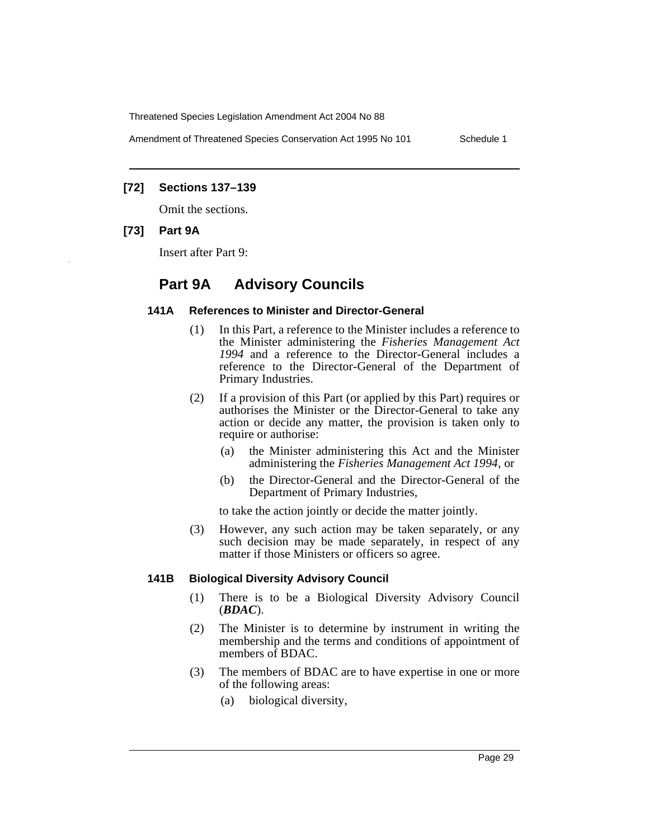Amendment of Threatened Species Conservation Act 1995 No 101 Schedule 1

#### **[72] Sections 137–139**

Omit the sections.

#### **[73] Part 9A**

Insert after Part 9:

# **Part 9A Advisory Councils**

#### **141A References to Minister and Director-General**

- (1) In this Part, a reference to the Minister includes a reference to the Minister administering the *Fisheries Management Act 1994* and a reference to the Director-General includes a reference to the Director-General of the Department of Primary Industries.
- (2) If a provision of this Part (or applied by this Part) requires or authorises the Minister or the Director-General to take any action or decide any matter, the provision is taken only to require or authorise:
	- (a) the Minister administering this Act and the Minister administering the *Fisheries Management Act 1994*, or
	- (b) the Director-General and the Director-General of the Department of Primary Industries,

to take the action jointly or decide the matter jointly.

(3) However, any such action may be taken separately, or any such decision may be made separately, in respect of any matter if those Ministers or officers so agree.

#### **141B Biological Diversity Advisory Council**

- (1) There is to be a Biological Diversity Advisory Council (*BDAC*).
- (2) The Minister is to determine by instrument in writing the membership and the terms and conditions of appointment of members of BDAC.
- (3) The members of BDAC are to have expertise in one or more of the following areas:
	- (a) biological diversity,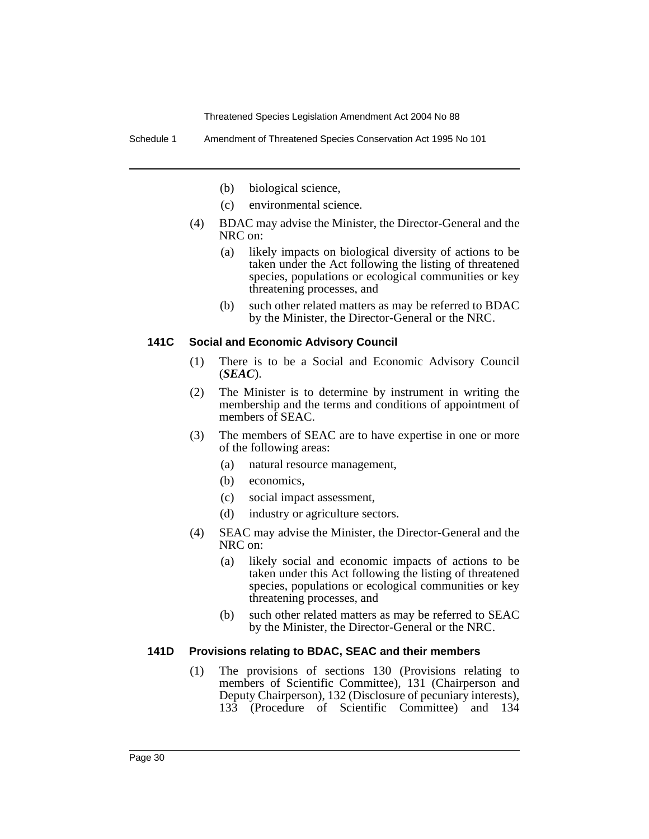Schedule 1 Amendment of Threatened Species Conservation Act 1995 No 101

- (b) biological science,
- (c) environmental science.
- (4) BDAC may advise the Minister, the Director-General and the NRC on:
	- (a) likely impacts on biological diversity of actions to be taken under the Act following the listing of threatened species, populations or ecological communities or key threatening processes, and
	- (b) such other related matters as may be referred to BDAC by the Minister, the Director-General or the NRC.

#### **141C Social and Economic Advisory Council**

- (1) There is to be a Social and Economic Advisory Council (*SEAC*).
- (2) The Minister is to determine by instrument in writing the membership and the terms and conditions of appointment of members of SEAC.
- (3) The members of SEAC are to have expertise in one or more of the following areas:
	- (a) natural resource management,
	- (b) economics,
	- (c) social impact assessment,
	- (d) industry or agriculture sectors.
- (4) SEAC may advise the Minister, the Director-General and the NRC on:
	- (a) likely social and economic impacts of actions to be taken under this Act following the listing of threatened species, populations or ecological communities or key threatening processes, and
	- (b) such other related matters as may be referred to SEAC by the Minister, the Director-General or the NRC.

#### **141D Provisions relating to BDAC, SEAC and their members**

(1) The provisions of sections 130 (Provisions relating to members of Scientific Committee), 131 (Chairperson and Deputy Chairperson), 132 (Disclosure of pecuniary interests), 133 (Procedure of Scientific Committee) and 134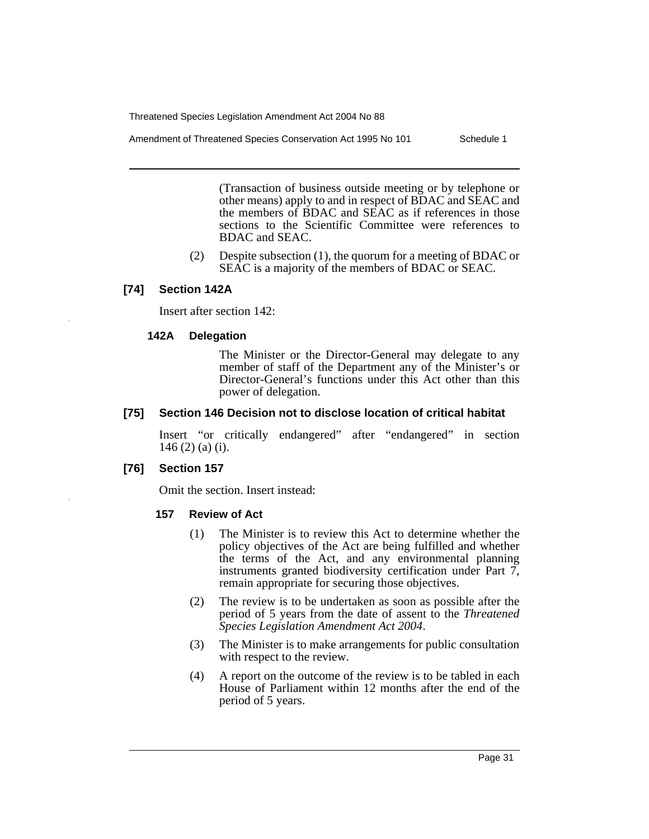Amendment of Threatened Species Conservation Act 1995 No 101 Schedule 1

(Transaction of business outside meeting or by telephone or other means) apply to and in respect of BDAC and SEAC and the members of BDAC and SEAC as if references in those sections to the Scientific Committee were references to BDAC and SEAC.

(2) Despite subsection (1), the quorum for a meeting of BDAC or SEAC is a majority of the members of BDAC or SEAC.

#### **[74] Section 142A**

Insert after section 142:

#### **142A Delegation**

The Minister or the Director-General may delegate to any member of staff of the Department any of the Minister's or Director-General's functions under this Act other than this power of delegation.

#### **[75] Section 146 Decision not to disclose location of critical habitat**

Insert "or critically endangered" after "endangered" in section 146 (2) (a) (i).

#### **[76] Section 157**

Omit the section. Insert instead:

#### **157 Review of Act**

- (1) The Minister is to review this Act to determine whether the policy objectives of the Act are being fulfilled and whether the terms of the Act, and any environmental planning instruments granted biodiversity certification under Part 7, remain appropriate for securing those objectives.
- (2) The review is to be undertaken as soon as possible after the period of 5 years from the date of assent to the *Threatened Species Legislation Amendment Act 2004*.
- (3) The Minister is to make arrangements for public consultation with respect to the review.
- (4) A report on the outcome of the review is to be tabled in each House of Parliament within 12 months after the end of the period of 5 years.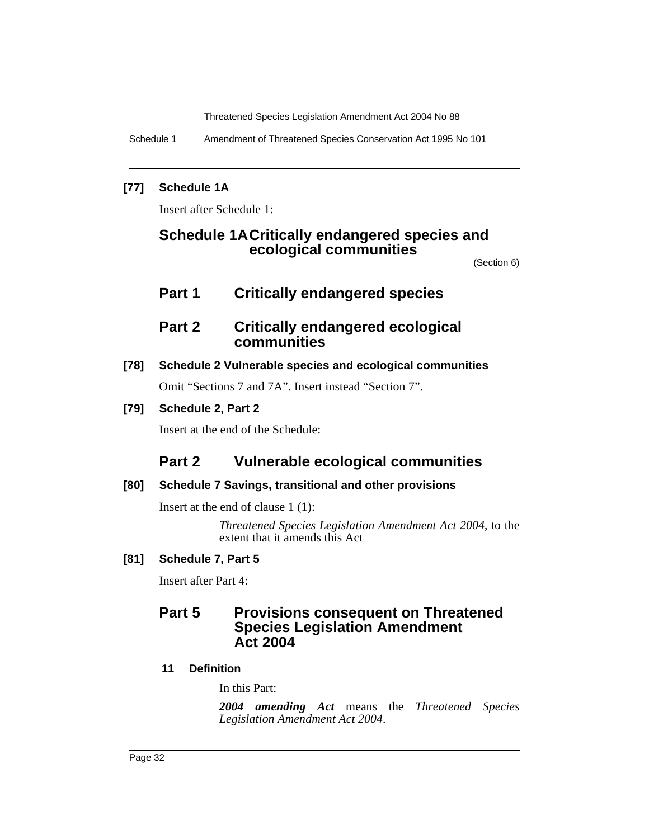Schedule 1 Amendment of Threatened Species Conservation Act 1995 No 101

#### **[77] Schedule 1A**

Insert after Schedule 1:

# **Schedule 1ACritically endangered species and ecological communities**

(Section 6)

# **Part 1 Critically endangered species**

# **Part 2 Critically endangered ecological communities**

### **[78] Schedule 2 Vulnerable species and ecological communities**

Omit "Sections 7 and 7A". Insert instead "Section 7".

### **[79] Schedule 2, Part 2**

Insert at the end of the Schedule:

# **Part 2 Vulnerable ecological communities**

#### **[80] Schedule 7 Savings, transitional and other provisions**

Insert at the end of clause 1 (1):

*Threatened Species Legislation Amendment Act 2004*, to the extent that it amends this Act

# **[81] Schedule 7, Part 5**

Insert after Part 4:

# **Part 5 Provisions consequent on Threatened Species Legislation Amendment Act 2004**

# **11 Definition**

In this Part:

*2004 amending Act* means the *Threatened Species Legislation Amendment Act 2004*.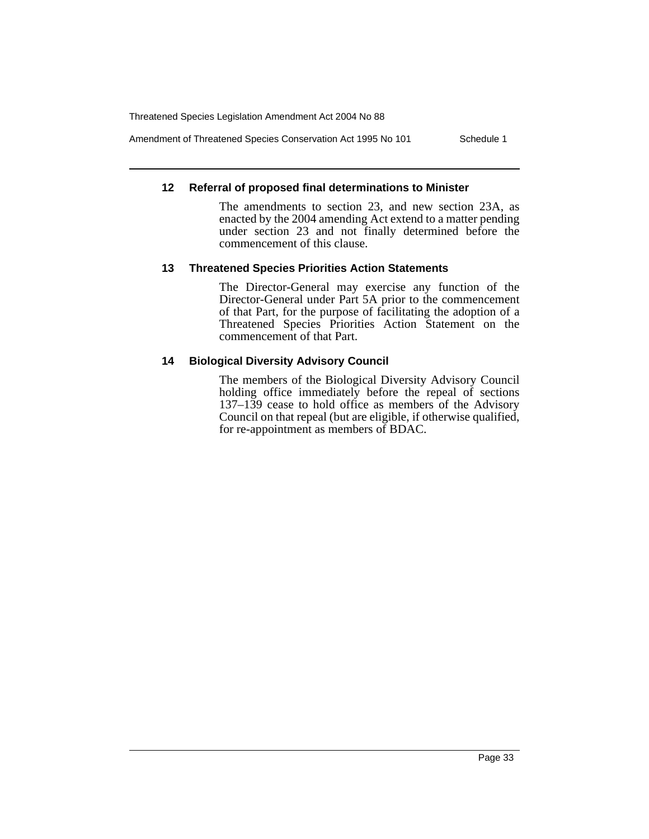Amendment of Threatened Species Conservation Act 1995 No 101 Schedule 1

#### **12 Referral of proposed final determinations to Minister**

The amendments to section 23, and new section 23A, as enacted by the 2004 amending Act extend to a matter pending under section 23 and not finally determined before the commencement of this clause.

#### **13 Threatened Species Priorities Action Statements**

The Director-General may exercise any function of the Director-General under Part 5A prior to the commencement of that Part, for the purpose of facilitating the adoption of a Threatened Species Priorities Action Statement on the commencement of that Part.

#### **14 Biological Diversity Advisory Council**

The members of the Biological Diversity Advisory Council holding office immediately before the repeal of sections  $137-139$  cease to hold office as members of the Advisory Council on that repeal (but are eligible, if otherwise qualified, for re-appointment as members of BDAC.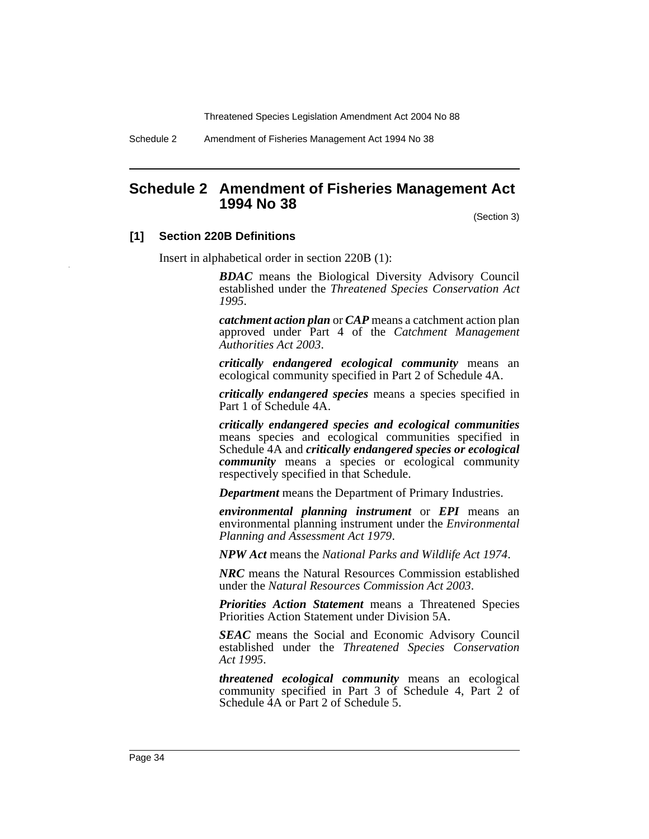Schedule 2 Amendment of Fisheries Management Act 1994 No 38

# <span id="page-34-0"></span>**Schedule 2 Amendment of Fisheries Management Act 1994 No 38**

(Section 3)

#### **[1] Section 220B Definitions**

Insert in alphabetical order in section 220B (1):

*BDAC* means the Biological Diversity Advisory Council established under the *Threatened Species Conservation Act 1995*.

*catchment action plan* or *CAP* means a catchment action plan approved under Part 4 of the *Catchment Management Authorities Act 2003*.

*critically endangered ecological community* means an ecological community specified in Part 2 of Schedule 4A.

*critically endangered species* means a species specified in Part 1 of Schedule 4A.

*critically endangered species and ecological communities* means species and ecological communities specified in Schedule 4A and *critically endangered species or ecological community* means a species or ecological community respectively specified in that Schedule.

*Department* means the Department of Primary Industries.

*environmental planning instrument* or *EPI* means an environmental planning instrument under the *Environmental Planning and Assessment Act 1979*.

*NPW Act* means the *National Parks and Wildlife Act 1974*.

*NRC* means the Natural Resources Commission established under the *Natural Resources Commission Act 2003*.

*Priorities Action Statement* means a Threatened Species Priorities Action Statement under Division 5A.

*SEAC* means the Social and Economic Advisory Council established under the *Threatened Species Conservation Act 1995*.

*threatened ecological community* means an ecological community specified in Part 3 of Schedule 4, Part 2 of Schedule 4A or Part 2 of Schedule 5.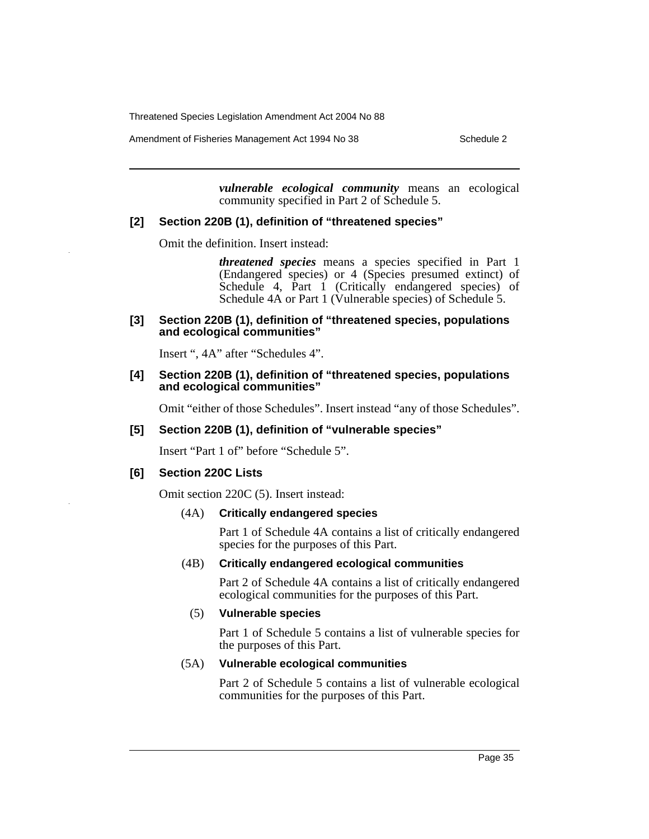Amendment of Fisheries Management Act 1994 No 38 Schedule 2

*vulnerable ecological community* means an ecological community specified in Part 2 of Schedule 5.

#### **[2] Section 220B (1), definition of "threatened species"**

Omit the definition. Insert instead:

*threatened species* means a species specified in Part 1 (Endangered species) or 4 (Species presumed extinct) of Schedule 4, Part 1 (Critically endangered species) of Schedule 4A or Part 1 (Vulnerable species) of Schedule 5.

#### **[3] Section 220B (1), definition of "threatened species, populations and ecological communities"**

Insert ", 4A" after "Schedules 4".

#### **[4] Section 220B (1), definition of "threatened species, populations and ecological communities"**

Omit "either of those Schedules". Insert instead "any of those Schedules".

#### **[5] Section 220B (1), definition of "vulnerable species"**

Insert "Part 1 of" before "Schedule 5".

#### **[6] Section 220C Lists**

Omit section 220C (5). Insert instead:

#### (4A) **Critically endangered species**

Part 1 of Schedule 4A contains a list of critically endangered species for the purposes of this Part.

#### (4B) **Critically endangered ecological communities**

Part 2 of Schedule 4A contains a list of critically endangered ecological communities for the purposes of this Part.

#### (5) **Vulnerable species**

Part 1 of Schedule 5 contains a list of vulnerable species for the purposes of this Part.

#### (5A) **Vulnerable ecological communities**

Part 2 of Schedule 5 contains a list of vulnerable ecological communities for the purposes of this Part.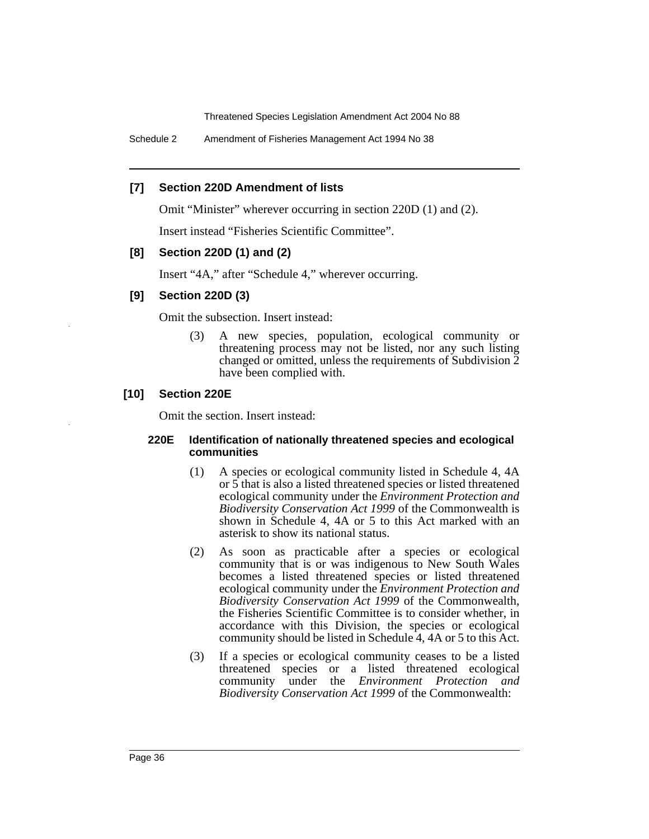Schedule 2 Amendment of Fisheries Management Act 1994 No 38

## **[7] Section 220D Amendment of lists**

Omit "Minister" wherever occurring in section 220D (1) and (2).

Insert instead "Fisheries Scientific Committee".

## **[8] Section 220D (1) and (2)**

Insert "4A," after "Schedule 4," wherever occurring.

## **[9] Section 220D (3)**

Omit the subsection. Insert instead:

(3) A new species, population, ecological community or threatening process may not be listed, nor any such listing changed or omitted, unless the requirements of Subdivision 2 have been complied with.

## **[10] Section 220E**

Omit the section. Insert instead:

#### **220E Identification of nationally threatened species and ecological communities**

- (1) A species or ecological community listed in Schedule 4, 4A or 5 that is also a listed threatened species or listed threatened ecological community under the *Environment Protection and Biodiversity Conservation Act 1999* of the Commonwealth is shown in Schedule 4, 4A or 5 to this Act marked with an asterisk to show its national status.
- (2) As soon as practicable after a species or ecological community that is or was indigenous to New South Wales becomes a listed threatened species or listed threatened ecological community under the *Environment Protection and Biodiversity Conservation Act 1999* of the Commonwealth, the Fisheries Scientific Committee is to consider whether, in accordance with this Division, the species or ecological community should be listed in Schedule 4, 4A or 5 to this Act.
- (3) If a species or ecological community ceases to be a listed threatened species or a listed threatened ecological community under the *Environment Protection and Biodiversity Conservation Act 1999* of the Commonwealth: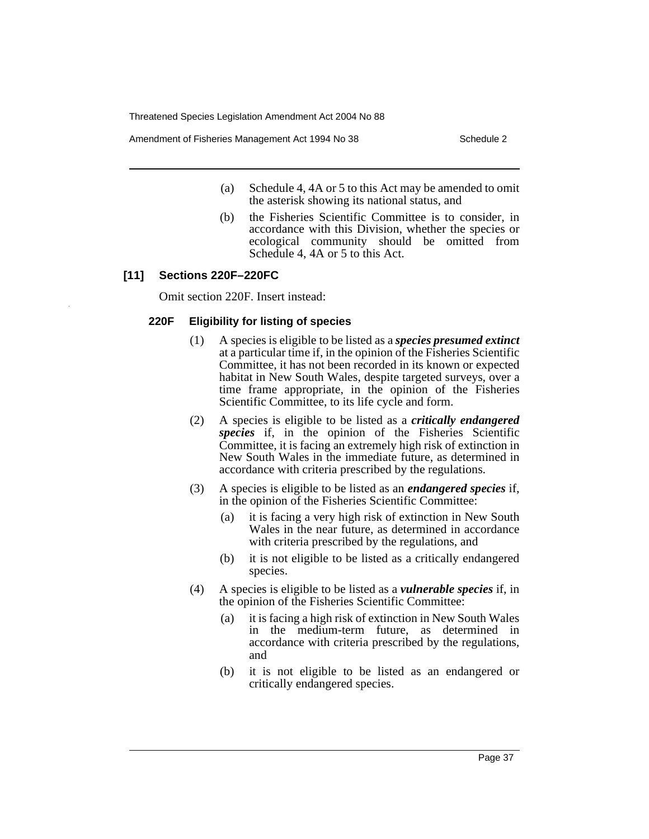Amendment of Fisheries Management Act 1994 No 38 Schedule 2

- (a) Schedule 4, 4A or 5 to this Act may be amended to omit the asterisk showing its national status, and
- (b) the Fisheries Scientific Committee is to consider, in accordance with this Division, whether the species or ecological community should be omitted from Schedule 4, 4A or 5 to this Act.

# **[11] Sections 220F–220FC**

Omit section 220F. Insert instead:

## **220F Eligibility for listing of species**

- (1) A species is eligible to be listed as a *species presumed extinct* at a particular time if, in the opinion of the Fisheries Scientific Committee, it has not been recorded in its known or expected habitat in New South Wales, despite targeted surveys, over a time frame appropriate, in the opinion of the Fisheries Scientific Committee, to its life cycle and form.
- (2) A species is eligible to be listed as a *critically endangered species* if, in the opinion of the Fisheries Scientific Committee, it is facing an extremely high risk of extinction in New South Wales in the immediate future, as determined in accordance with criteria prescribed by the regulations.
- (3) A species is eligible to be listed as an *endangered species* if, in the opinion of the Fisheries Scientific Committee:
	- (a) it is facing a very high risk of extinction in New South Wales in the near future, as determined in accordance with criteria prescribed by the regulations, and
	- (b) it is not eligible to be listed as a critically endangered species.
- (4) A species is eligible to be listed as a *vulnerable species* if, in the opinion of the Fisheries Scientific Committee:
	- (a) it is facing a high risk of extinction in New South Wales in the medium-term future, as determined in accordance with criteria prescribed by the regulations, and
	- (b) it is not eligible to be listed as an endangered or critically endangered species.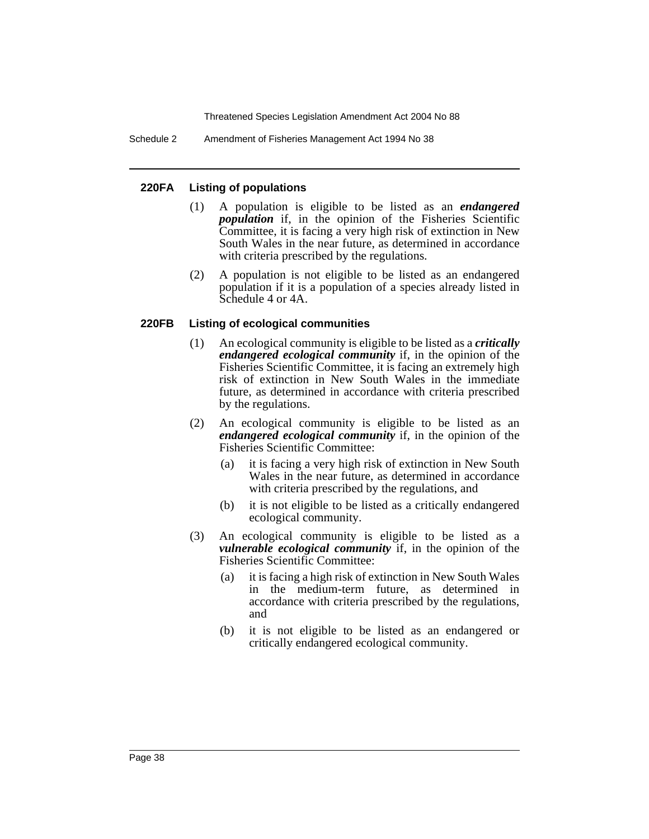Schedule 2 Amendment of Fisheries Management Act 1994 No 38

## **220FA Listing of populations**

- (1) A population is eligible to be listed as an *endangered population* if, in the opinion of the Fisheries Scientific Committee, it is facing a very high risk of extinction in New South Wales in the near future, as determined in accordance with criteria prescribed by the regulations.
- (2) A population is not eligible to be listed as an endangered population if it is a population of a species already listed in Schedule 4 or 4A.

## **220FB Listing of ecological communities**

- (1) An ecological community is eligible to be listed as a *critically endangered ecological community* if, in the opinion of the Fisheries Scientific Committee, it is facing an extremely high risk of extinction in New South Wales in the immediate future, as determined in accordance with criteria prescribed by the regulations.
- (2) An ecological community is eligible to be listed as an *endangered ecological community* if, in the opinion of the Fisheries Scientific Committee:
	- (a) it is facing a very high risk of extinction in New South Wales in the near future, as determined in accordance with criteria prescribed by the regulations, and
	- (b) it is not eligible to be listed as a critically endangered ecological community.
- (3) An ecological community is eligible to be listed as a *vulnerable ecological community* if, in the opinion of the Fisheries Scientific Committee:
	- (a) it is facing a high risk of extinction in New South Wales in the medium-term future, as determined in accordance with criteria prescribed by the regulations, and
	- (b) it is not eligible to be listed as an endangered or critically endangered ecological community.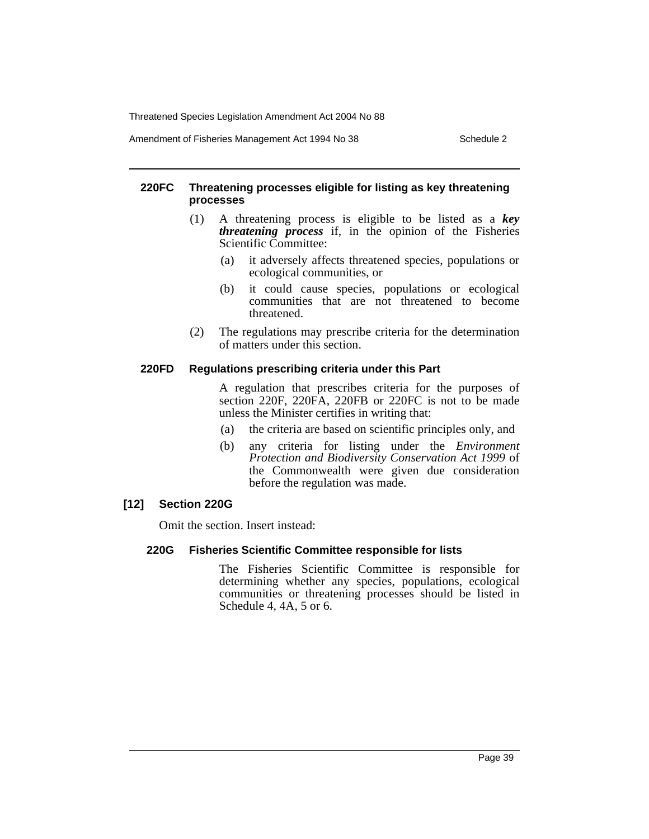Amendment of Fisheries Management Act 1994 No 38 Schedule 2

#### **220FC Threatening processes eligible for listing as key threatening processes**

- (1) A threatening process is eligible to be listed as a *key threatening process* if, in the opinion of the Fisheries Scientific Committee:
	- (a) it adversely affects threatened species, populations or ecological communities, or
	- (b) it could cause species, populations or ecological communities that are not threatened to become threatened.
- (2) The regulations may prescribe criteria for the determination of matters under this section.

#### **220FD Regulations prescribing criteria under this Part**

A regulation that prescribes criteria for the purposes of section 220F, 220FA, 220FB or 220FC is not to be made unless the Minister certifies in writing that:

- (a) the criteria are based on scientific principles only, and
- (b) any criteria for listing under the *Environment Protection and Biodiversity Conservation Act 1999* of the Commonwealth were given due consideration before the regulation was made.

## **[12] Section 220G**

Omit the section. Insert instead:

## **220G Fisheries Scientific Committee responsible for lists**

The Fisheries Scientific Committee is responsible for determining whether any species, populations, ecological communities or threatening processes should be listed in Schedule 4, 4A, 5 or 6.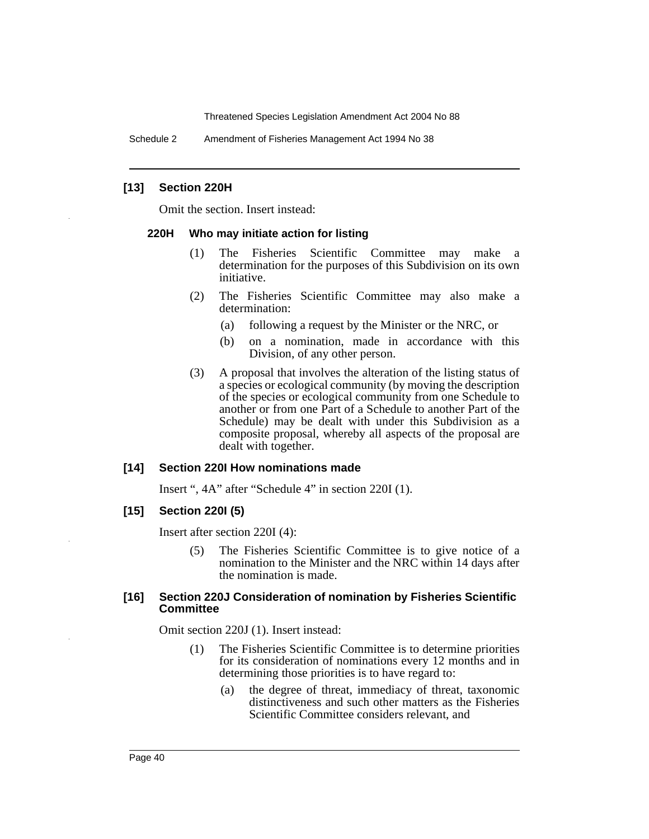Schedule 2 Amendment of Fisheries Management Act 1994 No 38

#### **[13] Section 220H**

Omit the section. Insert instead:

#### **220H Who may initiate action for listing**

- (1) The Fisheries Scientific Committee may make a determination for the purposes of this Subdivision on its own initiative.
- (2) The Fisheries Scientific Committee may also make a determination:
	- (a) following a request by the Minister or the NRC, or
	- (b) on a nomination, made in accordance with this Division, of any other person.
- (3) A proposal that involves the alteration of the listing status of a species or ecological community (by moving the description of the species or ecological community from one Schedule to another or from one Part of a Schedule to another Part of the Schedule) may be dealt with under this Subdivision as a composite proposal, whereby all aspects of the proposal are dealt with together.

#### **[14] Section 220I How nominations made**

Insert ", 4A" after "Schedule 4" in section 220I (1).

#### **[15] Section 220I (5)**

Insert after section 220I (4):

(5) The Fisheries Scientific Committee is to give notice of a nomination to the Minister and the NRC within 14 days after the nomination is made.

#### **[16] Section 220J Consideration of nomination by Fisheries Scientific Committee**

Omit section 220J (1). Insert instead:

- (1) The Fisheries Scientific Committee is to determine priorities for its consideration of nominations every 12 months and in determining those priorities is to have regard to:
	- (a) the degree of threat, immediacy of threat, taxonomic distinctiveness and such other matters as the Fisheries Scientific Committee considers relevant, and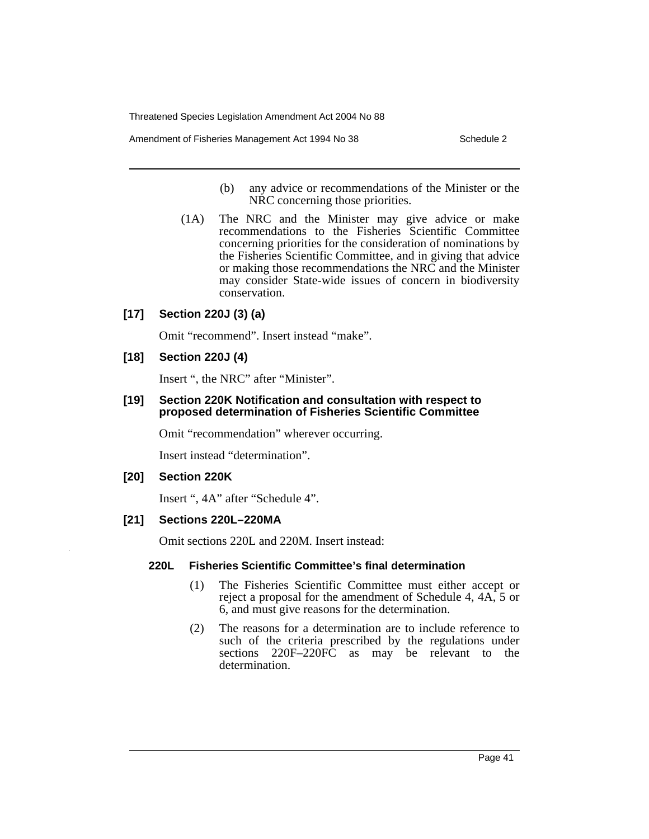Amendment of Fisheries Management Act 1994 No 38 Schedule 2

- (b) any advice or recommendations of the Minister or the NRC concerning those priorities.
- (1A) The NRC and the Minister may give advice or make recommendations to the Fisheries Scientific Committee concerning priorities for the consideration of nominations by the Fisheries Scientific Committee, and in giving that advice or making those recommendations the NRC and the Minister may consider State-wide issues of concern in biodiversity conservation.

# **[17] Section 220J (3) (a)**

Omit "recommend". Insert instead "make".

#### **[18] Section 220J (4)**

Insert ", the NRC" after "Minister".

#### **[19] Section 220K Notification and consultation with respect to proposed determination of Fisheries Scientific Committee**

Omit "recommendation" wherever occurring.

Insert instead "determination".

#### **[20] Section 220K**

Insert ", 4A" after "Schedule 4".

#### **[21] Sections 220L–220MA**

Omit sections 220L and 220M. Insert instead:

#### **220L Fisheries Scientific Committee's final determination**

- (1) The Fisheries Scientific Committee must either accept or reject a proposal for the amendment of Schedule 4, 4A, 5 or 6, and must give reasons for the determination.
- (2) The reasons for a determination are to include reference to such of the criteria prescribed by the regulations under sections 220F–220FC as may be relevant to the determination.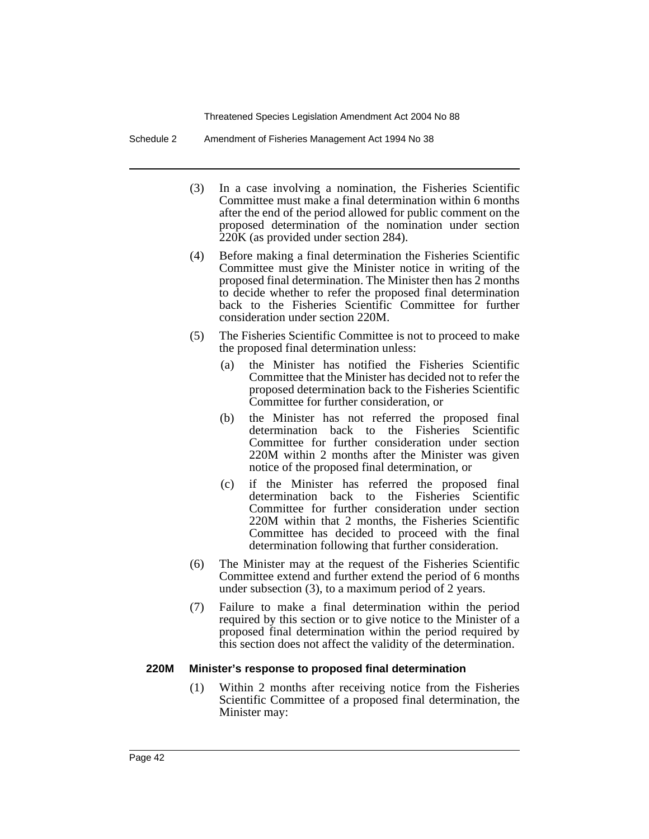Schedule 2 Amendment of Fisheries Management Act 1994 No 38

- (3) In a case involving a nomination, the Fisheries Scientific Committee must make a final determination within 6 months after the end of the period allowed for public comment on the proposed determination of the nomination under section 220K (as provided under section 284).
- (4) Before making a final determination the Fisheries Scientific Committee must give the Minister notice in writing of the proposed final determination. The Minister then has 2 months to decide whether to refer the proposed final determination back to the Fisheries Scientific Committee for further consideration under section 220M.
- (5) The Fisheries Scientific Committee is not to proceed to make the proposed final determination unless:
	- (a) the Minister has notified the Fisheries Scientific Committee that the Minister has decided not to refer the proposed determination back to the Fisheries Scientific Committee for further consideration, or
	- (b) the Minister has not referred the proposed final determination back to the Fisheries Scientific Committee for further consideration under section 220M within 2 months after the Minister was given notice of the proposed final determination, or
	- (c) if the Minister has referred the proposed final determination back to the Fisheries Scientific Committee for further consideration under section 220M within that 2 months, the Fisheries Scientific Committee has decided to proceed with the final determination following that further consideration.
- (6) The Minister may at the request of the Fisheries Scientific Committee extend and further extend the period of 6 months under subsection (3), to a maximum period of 2 years.
- (7) Failure to make a final determination within the period required by this section or to give notice to the Minister of a proposed final determination within the period required by this section does not affect the validity of the determination.

#### **220M Minister's response to proposed final determination**

(1) Within 2 months after receiving notice from the Fisheries Scientific Committee of a proposed final determination, the Minister may: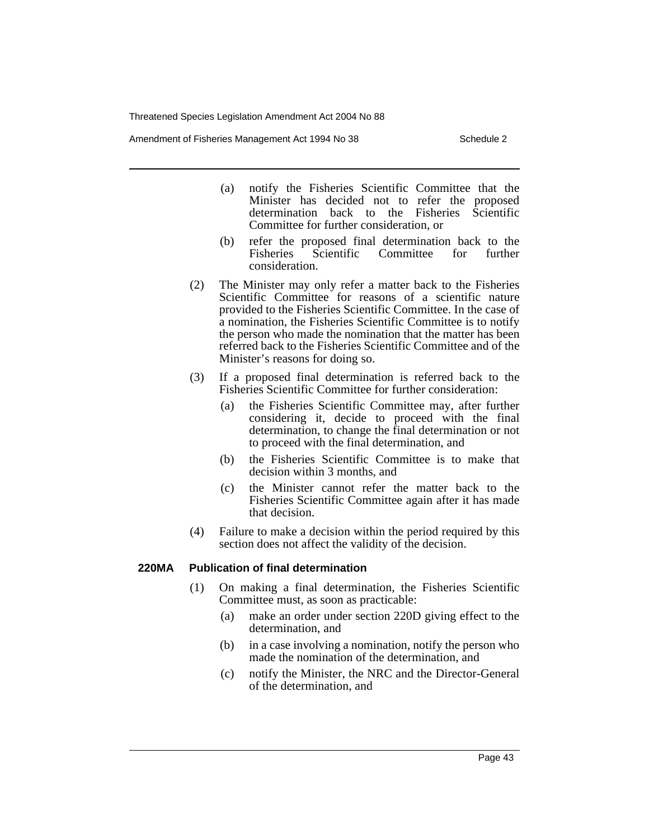Amendment of Fisheries Management Act 1994 No 38 Schedule 2

- (a) notify the Fisheries Scientific Committee that the Minister has decided not to refer the proposed determination back to the Fisheries Scientific Committee for further consideration, or
- (b) refer the proposed final determination back to the Fisheries Scientific Committee for further consideration.
- (2) The Minister may only refer a matter back to the Fisheries Scientific Committee for reasons of a scientific nature provided to the Fisheries Scientific Committee. In the case of a nomination, the Fisheries Scientific Committee is to notify the person who made the nomination that the matter has been referred back to the Fisheries Scientific Committee and of the Minister's reasons for doing so.
- (3) If a proposed final determination is referred back to the Fisheries Scientific Committee for further consideration:
	- (a) the Fisheries Scientific Committee may, after further considering it, decide to proceed with the final determination, to change the final determination or not to proceed with the final determination, and
	- (b) the Fisheries Scientific Committee is to make that decision within 3 months, and
	- (c) the Minister cannot refer the matter back to the Fisheries Scientific Committee again after it has made that decision.
- (4) Failure to make a decision within the period required by this section does not affect the validity of the decision.

#### **220MA Publication of final determination**

- (1) On making a final determination, the Fisheries Scientific Committee must, as soon as practicable:
	- (a) make an order under section 220D giving effect to the determination, and
	- (b) in a case involving a nomination, notify the person who made the nomination of the determination, and
	- (c) notify the Minister, the NRC and the Director-General of the determination, and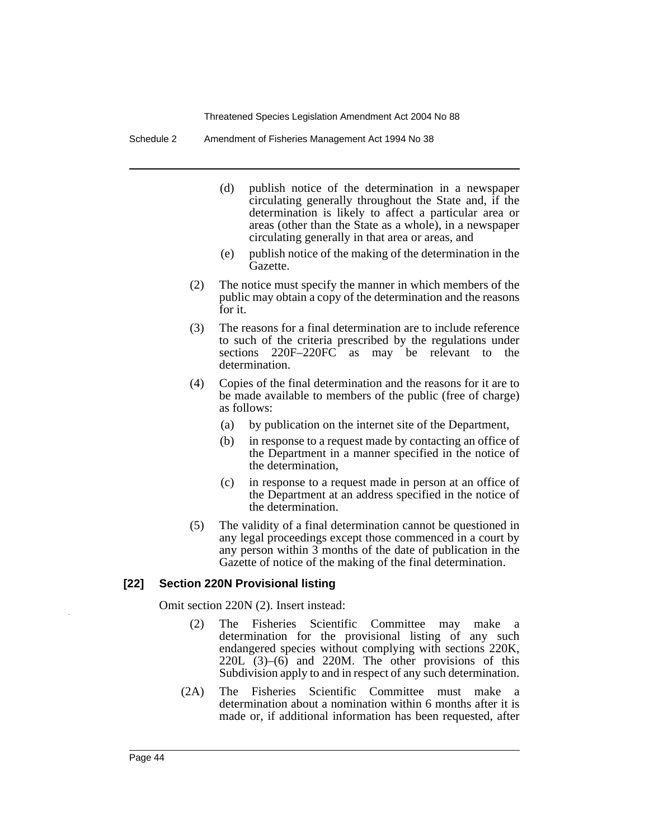Schedule 2 Amendment of Fisheries Management Act 1994 No 38

- (d) publish notice of the determination in a newspaper circulating generally throughout the State and, if the determination is likely to affect a particular area or areas (other than the State as a whole), in a newspaper circulating generally in that area or areas, and
- (e) publish notice of the making of the determination in the Gazette.
- (2) The notice must specify the manner in which members of the public may obtain a copy of the determination and the reasons for it.
- (3) The reasons for a final determination are to include reference to such of the criteria prescribed by the regulations under sections 220F–220FC as may be relevant to the determination.
- (4) Copies of the final determination and the reasons for it are to be made available to members of the public (free of charge) as follows:
	- (a) by publication on the internet site of the Department,
	- (b) in response to a request made by contacting an office of the Department in a manner specified in the notice of the determination,
	- (c) in response to a request made in person at an office of the Department at an address specified in the notice of the determination.
- (5) The validity of a final determination cannot be questioned in any legal proceedings except those commenced in a court by any person within 3 months of the date of publication in the Gazette of notice of the making of the final determination.

#### **[22] Section 220N Provisional listing**

Omit section 220N (2). Insert instead:

- (2) The Fisheries Scientific Committee may make a determination for the provisional listing of any such endangered species without complying with sections 220K, 220L (3)–(6) and 220M. The other provisions of this Subdivision apply to and in respect of any such determination.
- (2A) The Fisheries Scientific Committee must make a determination about a nomination within 6 months after it is made or, if additional information has been requested, after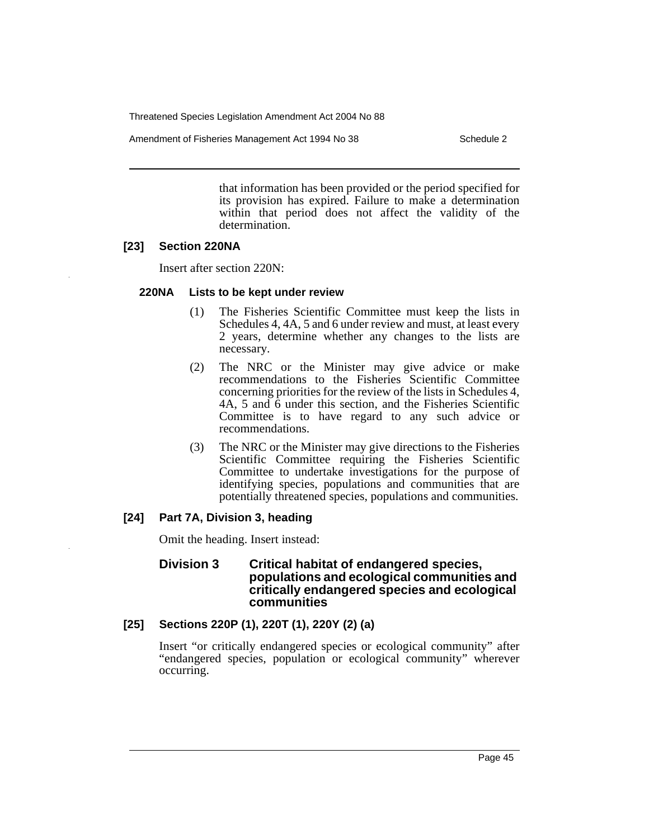Amendment of Fisheries Management Act 1994 No 38 Schedule 2

that information has been provided or the period specified for its provision has expired. Failure to make a determination within that period does not affect the validity of the determination.

## **[23] Section 220NA**

Insert after section 220N:

## **220NA Lists to be kept under review**

- (1) The Fisheries Scientific Committee must keep the lists in Schedules 4, 4A, 5 and 6 under review and must, at least every 2 years, determine whether any changes to the lists are necessary.
- (2) The NRC or the Minister may give advice or make recommendations to the Fisheries Scientific Committee concerning priorities for the review of the lists in Schedules 4, 4A, 5 and 6 under this section, and the Fisheries Scientific Committee is to have regard to any such advice or recommendations.
- (3) The NRC or the Minister may give directions to the Fisheries Scientific Committee requiring the Fisheries Scientific Committee to undertake investigations for the purpose of identifying species, populations and communities that are potentially threatened species, populations and communities.

## **[24] Part 7A, Division 3, heading**

Omit the heading. Insert instead:

## **Division 3 Critical habitat of endangered species, populations and ecological communities and critically endangered species and ecological communities**

# **[25] Sections 220P (1), 220T (1), 220Y (2) (a)**

Insert "or critically endangered species or ecological community" after "endangered species, population or ecological community" wherever occurring.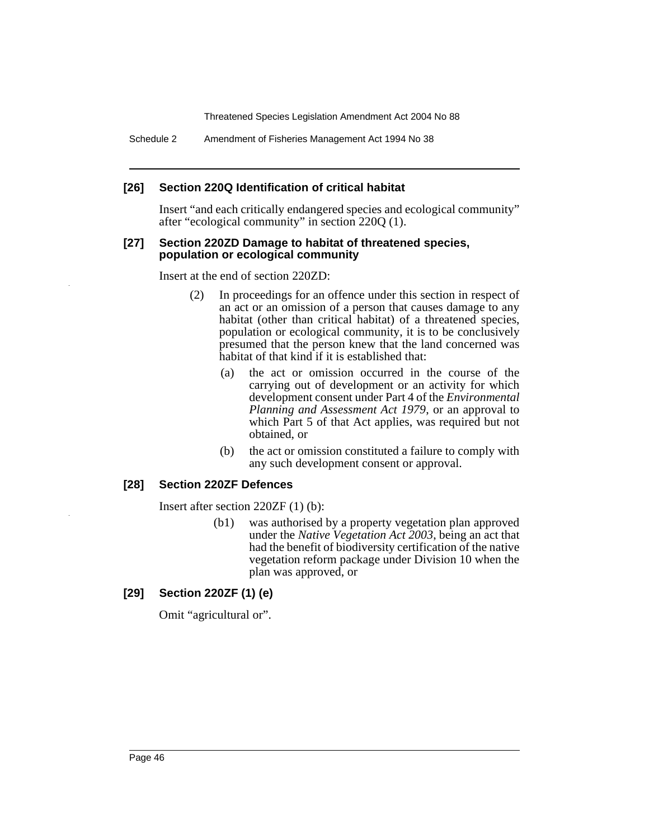Schedule 2 Amendment of Fisheries Management Act 1994 No 38

## **[26] Section 220Q Identification of critical habitat**

Insert "and each critically endangered species and ecological community" after "ecological community" in section 220Q (1).

#### **[27] Section 220ZD Damage to habitat of threatened species, population or ecological community**

Insert at the end of section 220ZD:

- (2) In proceedings for an offence under this section in respect of an act or an omission of a person that causes damage to any habitat (other than critical habitat) of a threatened species, population or ecological community, it is to be conclusively presumed that the person knew that the land concerned was habitat of that kind if it is established that:
	- (a) the act or omission occurred in the course of the carrying out of development or an activity for which development consent under Part 4 of the *Environmental Planning and Assessment Act 1979*, or an approval to which Part 5 of that Act applies, was required but not obtained, or
	- (b) the act or omission constituted a failure to comply with any such development consent or approval.

## **[28] Section 220ZF Defences**

Insert after section 220ZF (1) (b):

(b1) was authorised by a property vegetation plan approved under the *Native Vegetation Act 2003*, being an act that had the benefit of biodiversity certification of the native vegetation reform package under Division 10 when the plan was approved, or

# **[29] Section 220ZF (1) (e)**

Omit "agricultural or".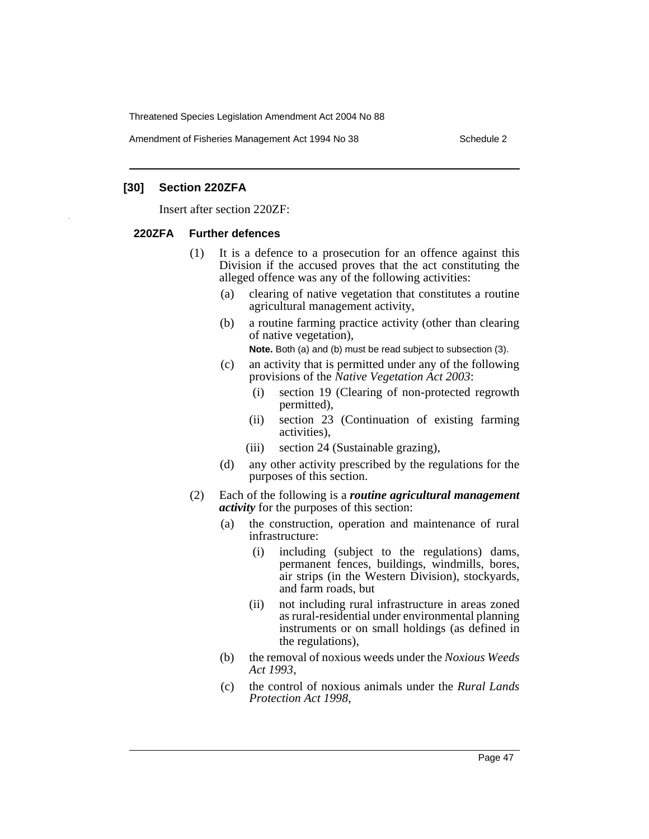Amendment of Fisheries Management Act 1994 No 38 Schedule 2

#### **[30] Section 220ZFA**

Insert after section 220ZF:

#### **220ZFA Further defences**

- (1) It is a defence to a prosecution for an offence against this Division if the accused proves that the act constituting the alleged offence was any of the following activities:
	- (a) clearing of native vegetation that constitutes a routine agricultural management activity,
	- (b) a routine farming practice activity (other than clearing of native vegetation),

**Note.** Both (a) and (b) must be read subject to subsection (3).

- (c) an activity that is permitted under any of the following provisions of the *Native Vegetation Act 2003*:
	- (i) section 19 (Clearing of non-protected regrowth permitted),
	- (ii) section 23 (Continuation of existing farming activities),
	- (iii) section 24 (Sustainable grazing),
- (d) any other activity prescribed by the regulations for the purposes of this section.
- (2) Each of the following is a *routine agricultural management activity* for the purposes of this section:
	- (a) the construction, operation and maintenance of rural infrastructure:
		- (i) including (subject to the regulations) dams, permanent fences, buildings, windmills, bores, air strips (in the Western Division), stockyards, and farm roads, but
		- (ii) not including rural infrastructure in areas zoned as rural-residential under environmental planning instruments or on small holdings (as defined in the regulations),
	- (b) the removal of noxious weeds under the *Noxious Weeds Act 1993*,
	- (c) the control of noxious animals under the *Rural Lands Protection Act 1998*,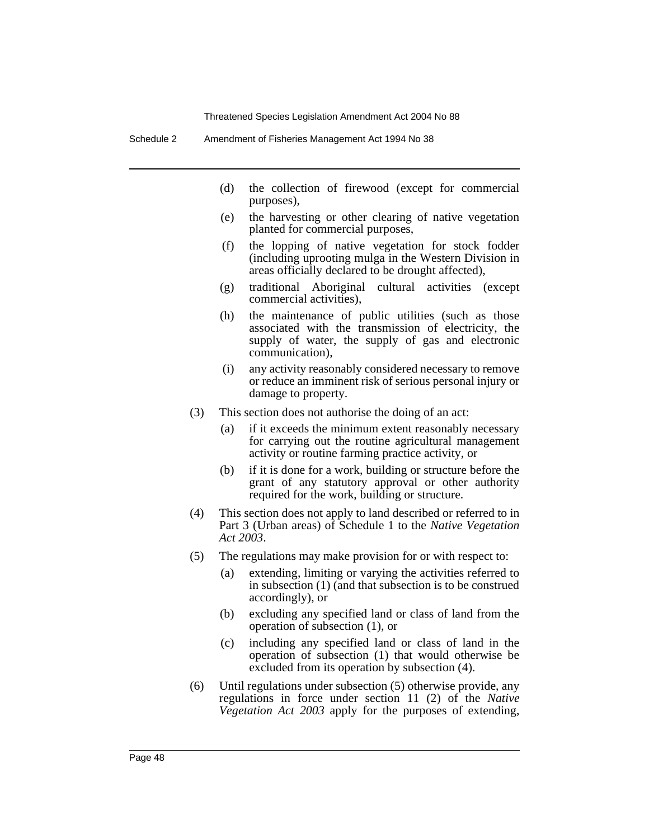Schedule 2 Amendment of Fisheries Management Act 1994 No 38

- (d) the collection of firewood (except for commercial purposes),
- (e) the harvesting or other clearing of native vegetation planted for commercial purposes,
- (f) the lopping of native vegetation for stock fodder (including uprooting mulga in the Western Division in areas officially declared to be drought affected),
- (g) traditional Aboriginal cultural activities (except commercial activities),
- (h) the maintenance of public utilities (such as those associated with the transmission of electricity, the supply of water, the supply of gas and electronic communication),
- (i) any activity reasonably considered necessary to remove or reduce an imminent risk of serious personal injury or damage to property.
- (3) This section does not authorise the doing of an act:
	- (a) if it exceeds the minimum extent reasonably necessary for carrying out the routine agricultural management activity or routine farming practice activity, or
	- (b) if it is done for a work, building or structure before the grant of any statutory approval or other authority required for the work, building or structure.
- (4) This section does not apply to land described or referred to in Part 3 (Urban areas) of Schedule 1 to the *Native Vegetation Act 2003*.
- (5) The regulations may make provision for or with respect to:
	- (a) extending, limiting or varying the activities referred to in subsection (1) (and that subsection is to be construed accordingly), or
	- (b) excluding any specified land or class of land from the operation of subsection (1), or
	- (c) including any specified land or class of land in the operation of subsection (1) that would otherwise be excluded from its operation by subsection (4).
- (6) Until regulations under subsection (5) otherwise provide, any regulations in force under section 11 (2) of the *Native Vegetation Act 2003* apply for the purposes of extending,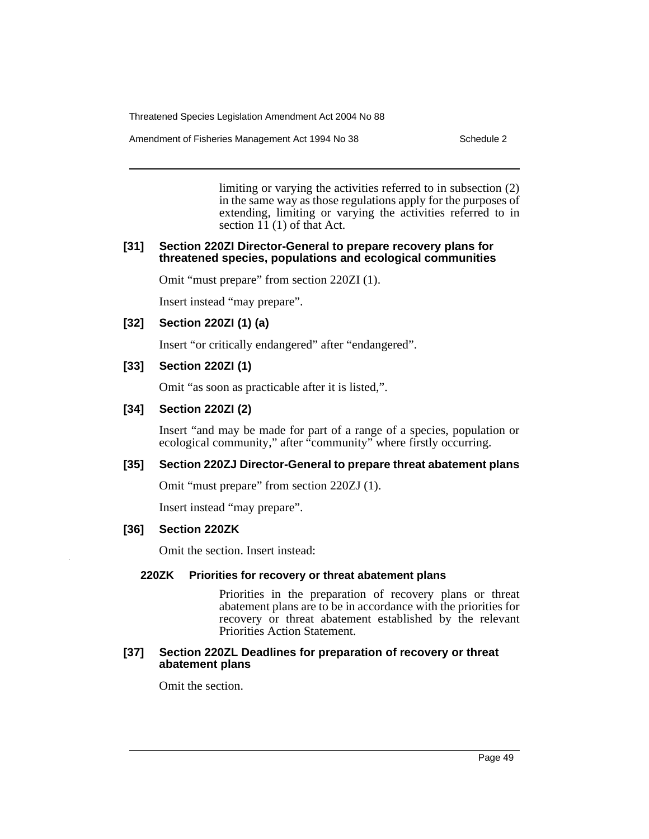Amendment of Fisheries Management Act 1994 No 38 Schedule 2

limiting or varying the activities referred to in subsection (2) in the same way as those regulations apply for the purposes of extending, limiting or varying the activities referred to in section 11 (1) of that Act.

#### **[31] Section 220ZI Director-General to prepare recovery plans for threatened species, populations and ecological communities**

Omit "must prepare" from section 220ZI (1).

Insert instead "may prepare".

## **[32] Section 220ZI (1) (a)**

Insert "or critically endangered" after "endangered".

## **[33] Section 220ZI (1)**

Omit "as soon as practicable after it is listed,".

## **[34] Section 220ZI (2)**

Insert "and may be made for part of a range of a species, population or ecological community," after "community" where firstly occurring.

## **[35] Section 220ZJ Director-General to prepare threat abatement plans**

Omit "must prepare" from section 220ZJ (1).

Insert instead "may prepare".

## **[36] Section 220ZK**

Omit the section. Insert instead:

## **220ZK Priorities for recovery or threat abatement plans**

Priorities in the preparation of recovery plans or threat abatement plans are to be in accordance with the priorities for recovery or threat abatement established by the relevant Priorities Action Statement.

#### **[37] Section 220ZL Deadlines for preparation of recovery or threat abatement plans**

Omit the section.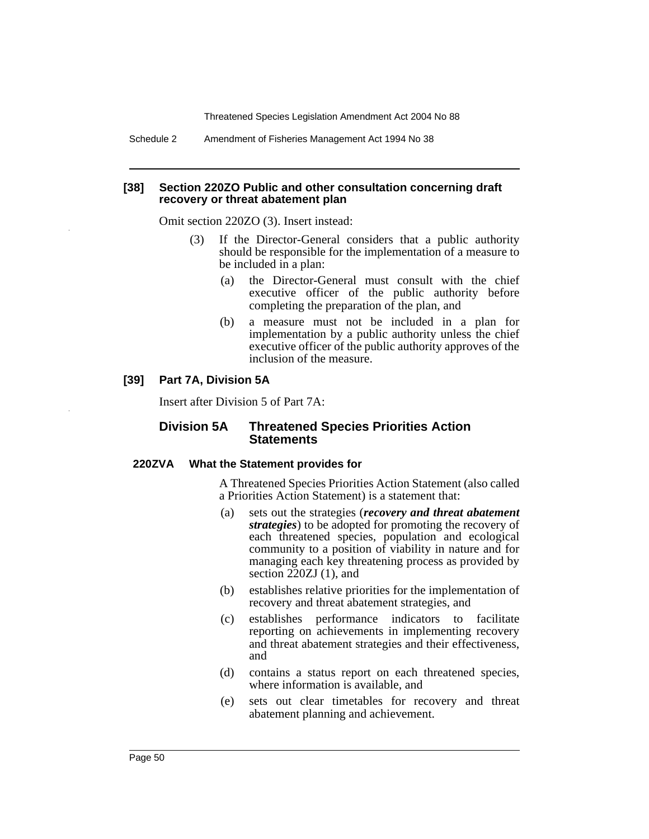Schedule 2 Amendment of Fisheries Management Act 1994 No 38

#### **[38] Section 220ZO Public and other consultation concerning draft recovery or threat abatement plan**

Omit section 220ZO (3). Insert instead:

- (3) If the Director-General considers that a public authority should be responsible for the implementation of a measure to be included in a plan:
	- (a) the Director-General must consult with the chief executive officer of the public authority before completing the preparation of the plan, and
	- (b) a measure must not be included in a plan for implementation by a public authority unless the chief executive officer of the public authority approves of the inclusion of the measure.

## **[39] Part 7A, Division 5A**

Insert after Division 5 of Part 7A:

## **Division 5A Threatened Species Priorities Action Statements**

#### **220ZVA What the Statement provides for**

A Threatened Species Priorities Action Statement (also called a Priorities Action Statement) is a statement that:

- (a) sets out the strategies (*recovery and threat abatement strategies*) to be adopted for promoting the recovery of each threatened species, population and ecological community to a position of viability in nature and for managing each key threatening process as provided by section 220ZJ (1), and
- (b) establishes relative priorities for the implementation of recovery and threat abatement strategies, and
- (c) establishes performance indicators to facilitate reporting on achievements in implementing recovery and threat abatement strategies and their effectiveness, and
- (d) contains a status report on each threatened species, where information is available, and
- (e) sets out clear timetables for recovery and threat abatement planning and achievement.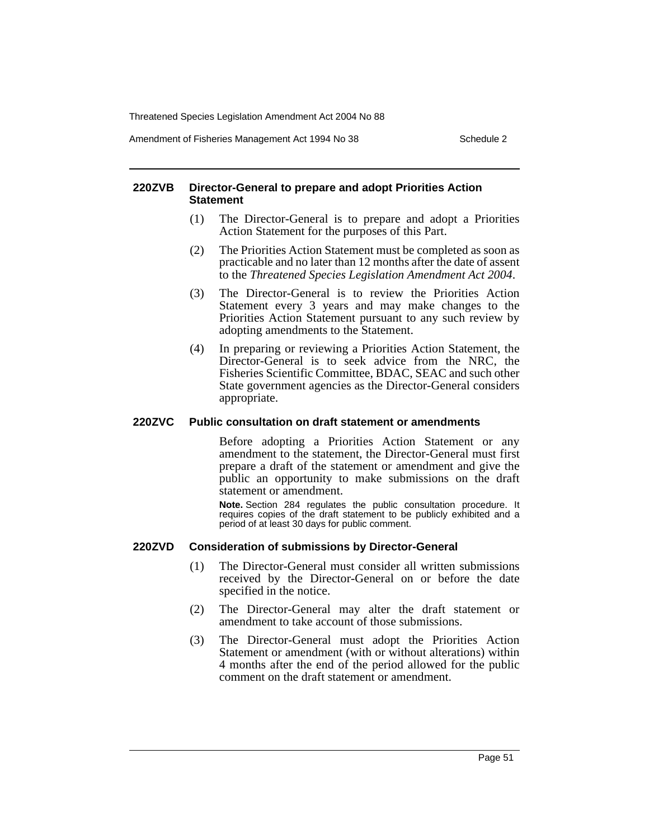Amendment of Fisheries Management Act 1994 No 38 Schedule 2

#### **220ZVB Director-General to prepare and adopt Priorities Action Statement**

- (1) The Director-General is to prepare and adopt a Priorities Action Statement for the purposes of this Part.
- (2) The Priorities Action Statement must be completed as soon as practicable and no later than 12 months after the date of assent to the *Threatened Species Legislation Amendment Act 2004*.
- (3) The Director-General is to review the Priorities Action Statement every 3 years and may make changes to the Priorities Action Statement pursuant to any such review by adopting amendments to the Statement.
- (4) In preparing or reviewing a Priorities Action Statement, the Director-General is to seek advice from the NRC, the Fisheries Scientific Committee, BDAC, SEAC and such other State government agencies as the Director-General considers appropriate.

#### **220ZVC Public consultation on draft statement or amendments**

Before adopting a Priorities Action Statement or any amendment to the statement, the Director-General must first prepare a draft of the statement or amendment and give the public an opportunity to make submissions on the draft statement or amendment.

**Note.** Section 284 regulates the public consultation procedure. It requires copies of the draft statement to be publicly exhibited and a period of at least 30 days for public comment.

## **220ZVD Consideration of submissions by Director-General**

- (1) The Director-General must consider all written submissions received by the Director-General on or before the date specified in the notice.
- (2) The Director-General may alter the draft statement or amendment to take account of those submissions.
- (3) The Director-General must adopt the Priorities Action Statement or amendment (with or without alterations) within 4 months after the end of the period allowed for the public comment on the draft statement or amendment.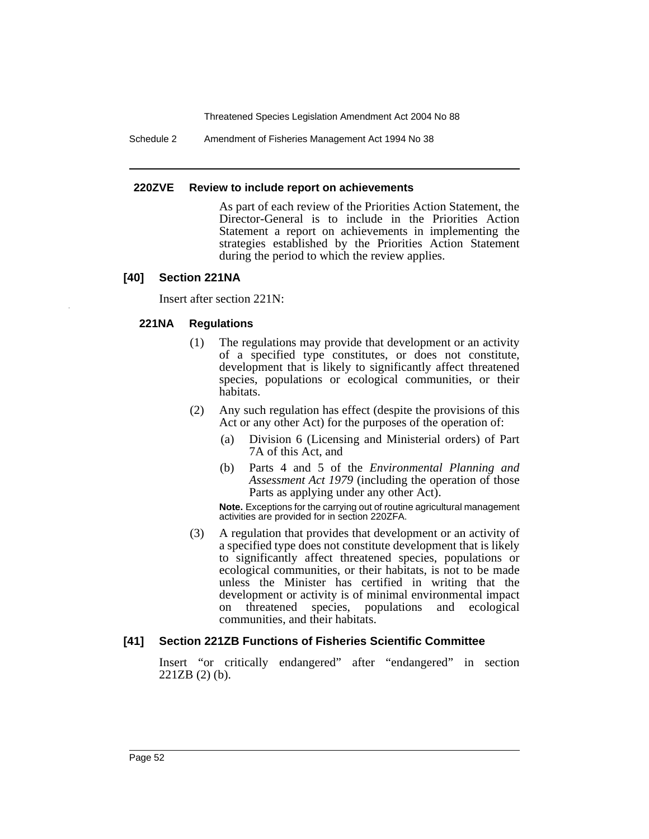Schedule 2 Amendment of Fisheries Management Act 1994 No 38

#### **220ZVE Review to include report on achievements**

As part of each review of the Priorities Action Statement, the Director-General is to include in the Priorities Action Statement a report on achievements in implementing the strategies established by the Priorities Action Statement during the period to which the review applies.

## **[40] Section 221NA**

Insert after section 221N:

## **221NA Regulations**

- (1) The regulations may provide that development or an activity of a specified type constitutes, or does not constitute, development that is likely to significantly affect threatened species, populations or ecological communities, or their habitats.
- (2) Any such regulation has effect (despite the provisions of this Act or any other Act) for the purposes of the operation of:
	- (a) Division 6 (Licensing and Ministerial orders) of Part 7A of this Act, and
	- (b) Parts 4 and 5 of the *Environmental Planning and Assessment Act 1979* (including the operation of those Parts as applying under any other Act).

**Note.** Exceptions for the carrying out of routine agricultural management activities are provided for in section 220ZFA.

(3) A regulation that provides that development or an activity of a specified type does not constitute development that is likely to significantly affect threatened species, populations or ecological communities, or their habitats, is not to be made unless the Minister has certified in writing that the development or activity is of minimal environmental impact on threatened species, populations and ecological communities, and their habitats.

# **[41] Section 221ZB Functions of Fisheries Scientific Committee**

Insert "or critically endangered" after "endangered" in section 221ZB (2) (b).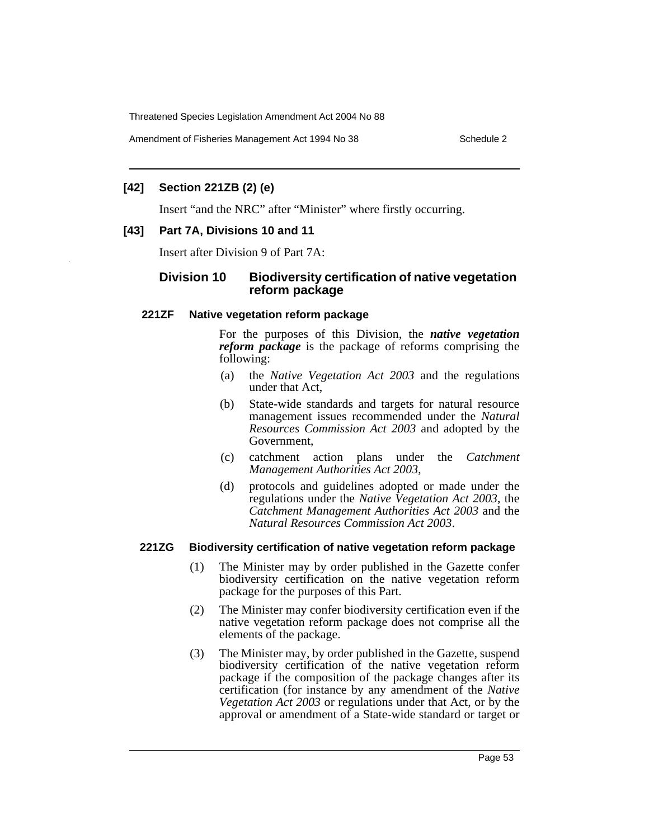Amendment of Fisheries Management Act 1994 No 38 Schedule 2

## **[42] Section 221ZB (2) (e)**

Insert "and the NRC" after "Minister" where firstly occurring.

## **[43] Part 7A, Divisions 10 and 11**

Insert after Division 9 of Part 7A:

## **Division 10 Biodiversity certification of native vegetation reform package**

#### **221ZF Native vegetation reform package**

For the purposes of this Division, the *native vegetation reform package* is the package of reforms comprising the following:

- (a) the *Native Vegetation Act 2003* and the regulations under that Act,
- (b) State-wide standards and targets for natural resource management issues recommended under the *Natural Resources Commission Act 2003* and adopted by the Government,
- (c) catchment action plans under the *Catchment Management Authorities Act 2003*,
- (d) protocols and guidelines adopted or made under the regulations under the *Native Vegetation Act 2003*, the *Catchment Management Authorities Act 2003* and the *Natural Resources Commission Act 2003*.

## **221ZG Biodiversity certification of native vegetation reform package**

- (1) The Minister may by order published in the Gazette confer biodiversity certification on the native vegetation reform package for the purposes of this Part.
- (2) The Minister may confer biodiversity certification even if the native vegetation reform package does not comprise all the elements of the package.
- (3) The Minister may, by order published in the Gazette, suspend biodiversity certification of the native vegetation reform package if the composition of the package changes after its certification (for instance by any amendment of the *Native Vegetation Act 2003* or regulations under that Act, or by the approval or amendment of a State-wide standard or target or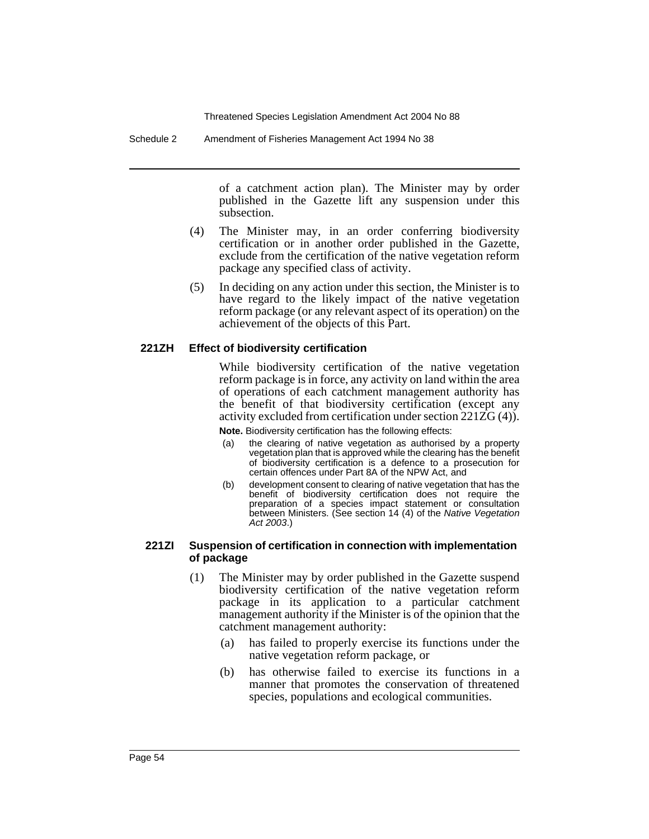Schedule 2 Amendment of Fisheries Management Act 1994 No 38

of a catchment action plan). The Minister may by order published in the Gazette lift any suspension under this subsection.

- (4) The Minister may, in an order conferring biodiversity certification or in another order published in the Gazette, exclude from the certification of the native vegetation reform package any specified class of activity.
- (5) In deciding on any action under this section, the Minister is to have regard to the likely impact of the native vegetation reform package (or any relevant aspect of its operation) on the achievement of the objects of this Part.

#### **221ZH Effect of biodiversity certification**

While biodiversity certification of the native vegetation reform package is in force, any activity on land within the area of operations of each catchment management authority has the benefit of that biodiversity certification (except any activity excluded from certification under section 221ZG (4)).

**Note.** Biodiversity certification has the following effects:

- (a) the clearing of native vegetation as authorised by a property vegetation plan that is approved while the clearing has the benefit of biodiversity certification is a defence to a prosecution for certain offences under Part 8A of the NPW Act, and
- (b) development consent to clearing of native vegetation that has the benefit of biodiversity certification does not require the preparation of a species impact statement or consultation between Ministers. (See section 14 (4) of the Native Vegetation Act 2003.)

#### **221ZI Suspension of certification in connection with implementation of package**

- (1) The Minister may by order published in the Gazette suspend biodiversity certification of the native vegetation reform package in its application to a particular catchment management authority if the Minister is of the opinion that the catchment management authority:
	- (a) has failed to properly exercise its functions under the native vegetation reform package, or
	- (b) has otherwise failed to exercise its functions in a manner that promotes the conservation of threatened species, populations and ecological communities.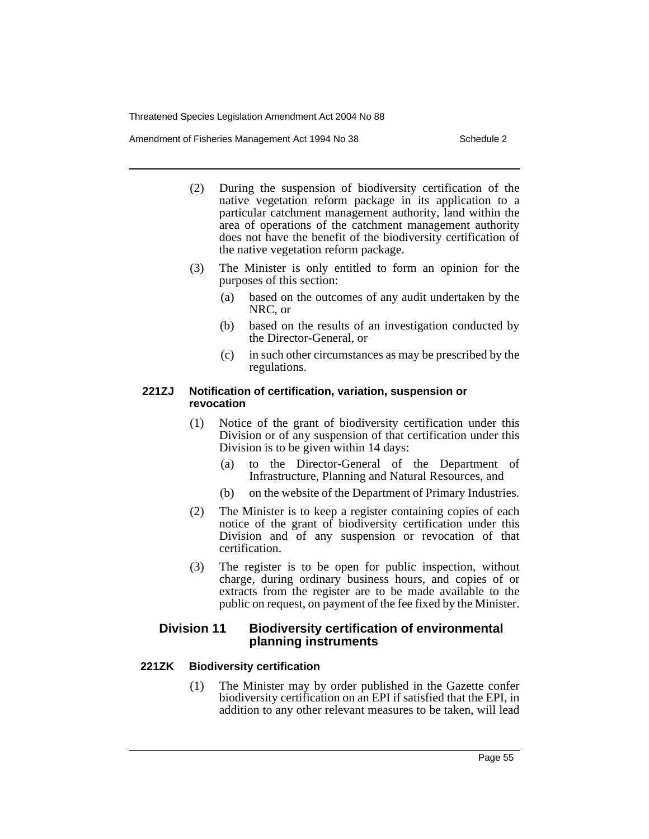Amendment of Fisheries Management Act 1994 No 38 Schedule 2

- (2) During the suspension of biodiversity certification of the native vegetation reform package in its application to a particular catchment management authority, land within the area of operations of the catchment management authority does not have the benefit of the biodiversity certification of the native vegetation reform package.
- (3) The Minister is only entitled to form an opinion for the purposes of this section:
	- (a) based on the outcomes of any audit undertaken by the NRC, or
	- (b) based on the results of an investigation conducted by the Director-General, or
	- (c) in such other circumstances as may be prescribed by the regulations.

## **221ZJ Notification of certification, variation, suspension or revocation**

- (1) Notice of the grant of biodiversity certification under this Division or of any suspension of that certification under this Division is to be given within 14 days:
	- (a) to the Director-General of the Department of Infrastructure, Planning and Natural Resources, and
	- (b) on the website of the Department of Primary Industries.
- (2) The Minister is to keep a register containing copies of each notice of the grant of biodiversity certification under this Division and of any suspension or revocation of that certification.
- (3) The register is to be open for public inspection, without charge, during ordinary business hours, and copies of or extracts from the register are to be made available to the public on request, on payment of the fee fixed by the Minister.

# **Division 11 Biodiversity certification of environmental planning instruments**

# **221ZK Biodiversity certification**

(1) The Minister may by order published in the Gazette confer biodiversity certification on an EPI if satisfied that the EPI, in addition to any other relevant measures to be taken, will lead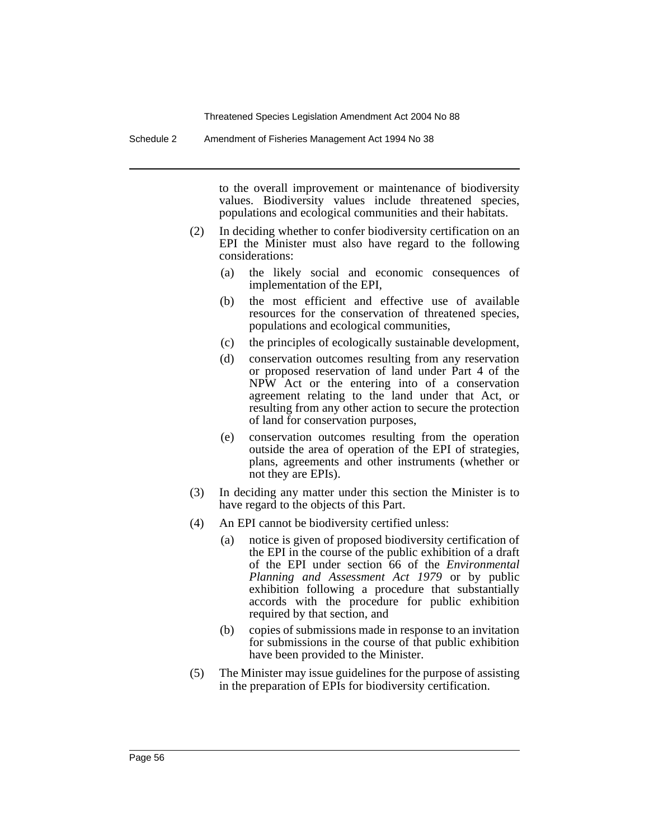Schedule 2 Amendment of Fisheries Management Act 1994 No 38

to the overall improvement or maintenance of biodiversity values. Biodiversity values include threatened species, populations and ecological communities and their habitats.

- (2) In deciding whether to confer biodiversity certification on an EPI the Minister must also have regard to the following considerations:
	- (a) the likely social and economic consequences of implementation of the EPI,
	- (b) the most efficient and effective use of available resources for the conservation of threatened species, populations and ecological communities,
	- (c) the principles of ecologically sustainable development,
	- (d) conservation outcomes resulting from any reservation or proposed reservation of land under Part 4 of the NPW Act or the entering into of a conservation agreement relating to the land under that Act, or resulting from any other action to secure the protection of land for conservation purposes,
	- (e) conservation outcomes resulting from the operation outside the area of operation of the EPI of strategies, plans, agreements and other instruments (whether or not they are EPIs).
- (3) In deciding any matter under this section the Minister is to have regard to the objects of this Part.
- (4) An EPI cannot be biodiversity certified unless:
	- (a) notice is given of proposed biodiversity certification of the EPI in the course of the public exhibition of a draft of the EPI under section 66 of the *Environmental Planning and Assessment Act 1979* or by public exhibition following a procedure that substantially accords with the procedure for public exhibition required by that section, and
	- (b) copies of submissions made in response to an invitation for submissions in the course of that public exhibition have been provided to the Minister.
- (5) The Minister may issue guidelines for the purpose of assisting in the preparation of EPIs for biodiversity certification.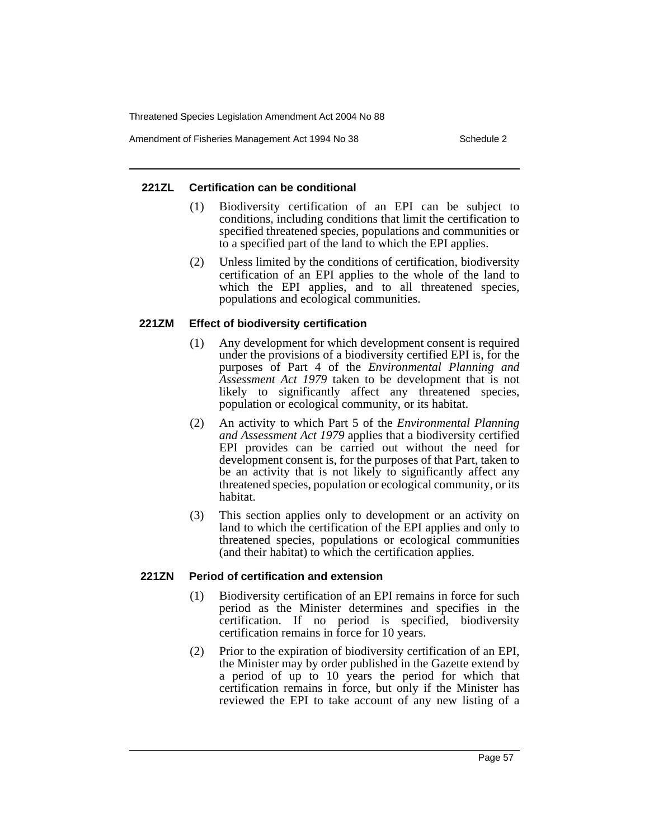Amendment of Fisheries Management Act 1994 No 38 Schedule 2

## **221ZL Certification can be conditional**

- (1) Biodiversity certification of an EPI can be subject to conditions, including conditions that limit the certification to specified threatened species, populations and communities or to a specified part of the land to which the EPI applies.
- (2) Unless limited by the conditions of certification, biodiversity certification of an EPI applies to the whole of the land to which the EPI applies, and to all threatened species, populations and ecological communities.

## **221ZM Effect of biodiversity certification**

- (1) Any development for which development consent is required under the provisions of a biodiversity certified EPI is, for the purposes of Part 4 of the *Environmental Planning and Assessment Act 1979* taken to be development that is not likely to significantly affect any threatened species, population or ecological community, or its habitat.
- (2) An activity to which Part 5 of the *Environmental Planning and Assessment Act 1979* applies that a biodiversity certified EPI provides can be carried out without the need for development consent is, for the purposes of that Part, taken to be an activity that is not likely to significantly affect any threatened species, population or ecological community, or its habitat.
- (3) This section applies only to development or an activity on land to which the certification of the EPI applies and only to threatened species, populations or ecological communities (and their habitat) to which the certification applies.

## **221ZN Period of certification and extension**

- (1) Biodiversity certification of an EPI remains in force for such period as the Minister determines and specifies in the certification. If no period is specified, biodiversity certification remains in force for 10 years.
- (2) Prior to the expiration of biodiversity certification of an EPI, the Minister may by order published in the Gazette extend by a period of up to 10 years the period for which that certification remains in force, but only if the Minister has reviewed the EPI to take account of any new listing of a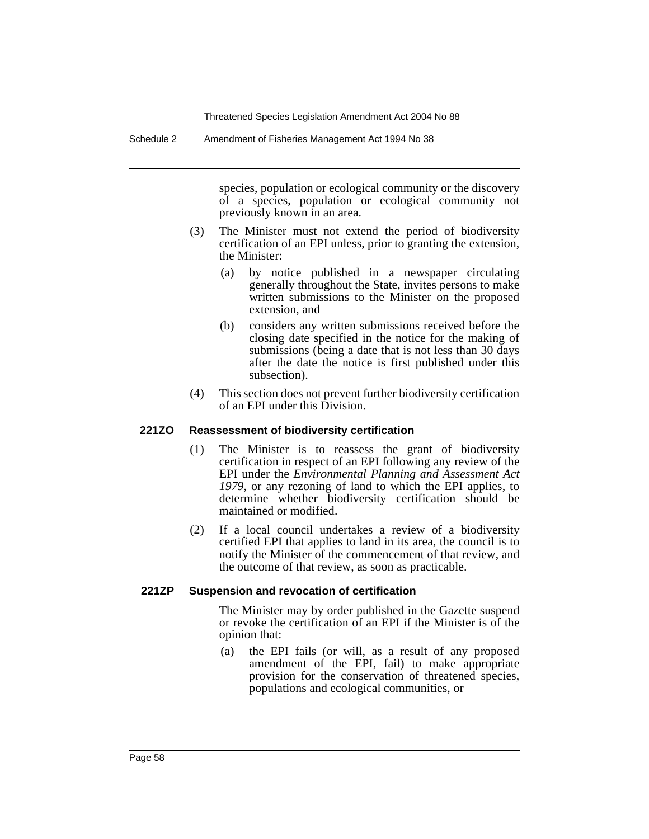Schedule 2 Amendment of Fisheries Management Act 1994 No 38

species, population or ecological community or the discovery of a species, population or ecological community not previously known in an area.

- (3) The Minister must not extend the period of biodiversity certification of an EPI unless, prior to granting the extension, the Minister:
	- (a) by notice published in a newspaper circulating generally throughout the State, invites persons to make written submissions to the Minister on the proposed extension, and
	- (b) considers any written submissions received before the closing date specified in the notice for the making of submissions (being a date that is not less than 30 days after the date the notice is first published under this subsection).
- (4) This section does not prevent further biodiversity certification of an EPI under this Division.

## **221ZO Reassessment of biodiversity certification**

- (1) The Minister is to reassess the grant of biodiversity certification in respect of an EPI following any review of the EPI under the *Environmental Planning and Assessment Act 1979*, or any rezoning of land to which the EPI applies, to determine whether biodiversity certification should be maintained or modified.
- (2) If a local council undertakes a review of a biodiversity certified EPI that applies to land in its area, the council is to notify the Minister of the commencement of that review, and the outcome of that review, as soon as practicable.

## **221ZP Suspension and revocation of certification**

The Minister may by order published in the Gazette suspend or revoke the certification of an EPI if the Minister is of the opinion that:

(a) the EPI fails (or will, as a result of any proposed amendment of the EPI, fail) to make appropriate provision for the conservation of threatened species, populations and ecological communities, or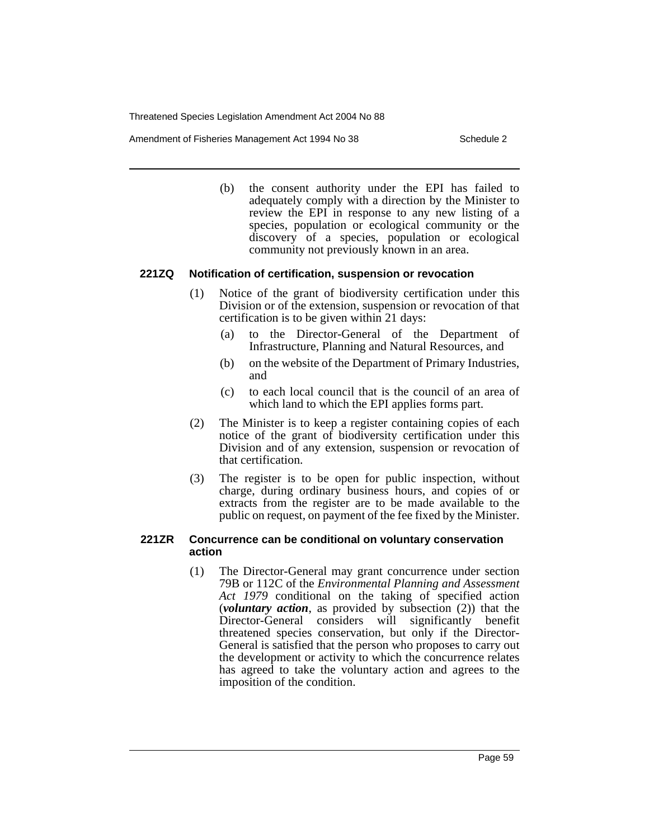Amendment of Fisheries Management Act 1994 No 38 Schedule 2

(b) the consent authority under the EPI has failed to adequately comply with a direction by the Minister to review the EPI in response to any new listing of a species, population or ecological community or the discovery of a species, population or ecological community not previously known in an area.

## **221ZQ Notification of certification, suspension or revocation**

- (1) Notice of the grant of biodiversity certification under this Division or of the extension, suspension or revocation of that certification is to be given within 21 days:
	- (a) to the Director-General of the Department of Infrastructure, Planning and Natural Resources, and
	- (b) on the website of the Department of Primary Industries, and
	- (c) to each local council that is the council of an area of which land to which the EPI applies forms part.
- (2) The Minister is to keep a register containing copies of each notice of the grant of biodiversity certification under this Division and of any extension, suspension or revocation of that certification.
- (3) The register is to be open for public inspection, without charge, during ordinary business hours, and copies of or extracts from the register are to be made available to the public on request, on payment of the fee fixed by the Minister.

## **221ZR Concurrence can be conditional on voluntary conservation action**

(1) The Director-General may grant concurrence under section 79B or 112C of the *Environmental Planning and Assessment Act 1979* conditional on the taking of specified action (*voluntary action*, as provided by subsection (2)) that the Director-General considers will significantly benefit threatened species conservation, but only if the Director-General is satisfied that the person who proposes to carry out the development or activity to which the concurrence relates has agreed to take the voluntary action and agrees to the imposition of the condition.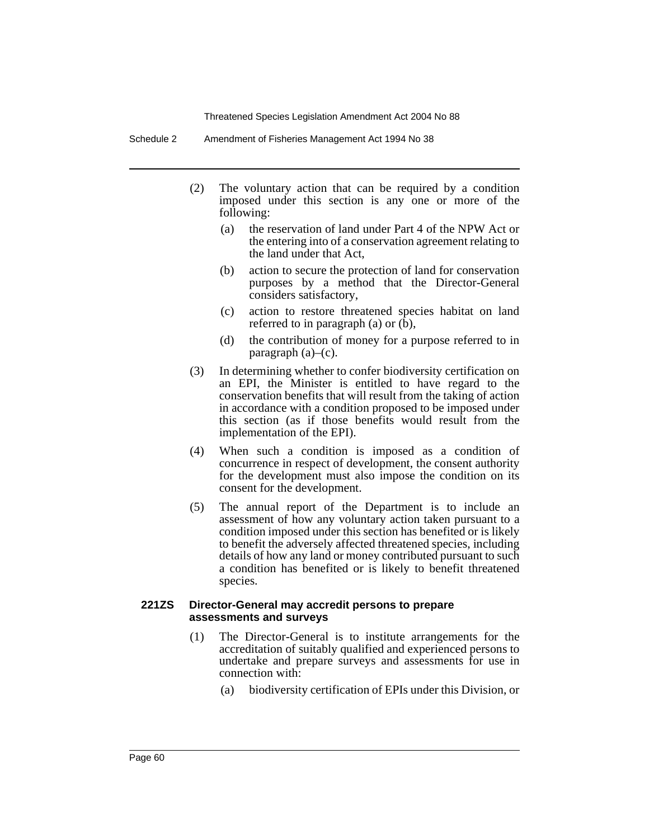Schedule 2 Amendment of Fisheries Management Act 1994 No 38

- (2) The voluntary action that can be required by a condition imposed under this section is any one or more of the following:
	- (a) the reservation of land under Part 4 of the NPW Act or the entering into of a conservation agreement relating to the land under that Act,
	- (b) action to secure the protection of land for conservation purposes by a method that the Director-General considers satisfactory,
	- (c) action to restore threatened species habitat on land referred to in paragraph (a) or (b),
	- (d) the contribution of money for a purpose referred to in paragraph (a)–(c).
- (3) In determining whether to confer biodiversity certification on an EPI, the Minister is entitled to have regard to the conservation benefits that will result from the taking of action in accordance with a condition proposed to be imposed under this section (as if those benefits would result from the implementation of the EPI).
- (4) When such a condition is imposed as a condition of concurrence in respect of development, the consent authority for the development must also impose the condition on its consent for the development.
- (5) The annual report of the Department is to include an assessment of how any voluntary action taken pursuant to a condition imposed under this section has benefited or is likely to benefit the adversely affected threatened species, including details of how any land or money contributed pursuant to such a condition has benefited or is likely to benefit threatened species.

#### **221ZS Director-General may accredit persons to prepare assessments and surveys**

- (1) The Director-General is to institute arrangements for the accreditation of suitably qualified and experienced persons to undertake and prepare surveys and assessments for use in connection with:
	- (a) biodiversity certification of EPIs under this Division, or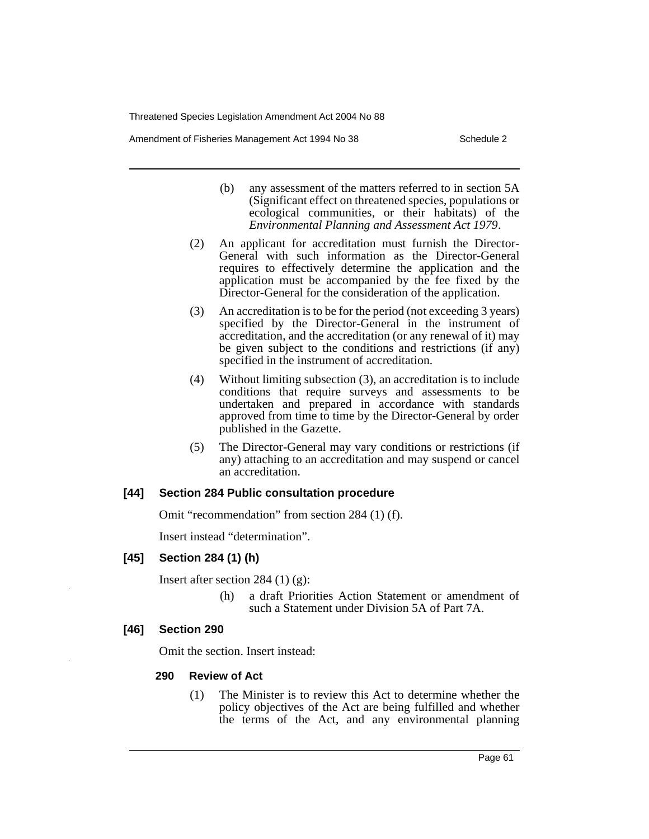Amendment of Fisheries Management Act 1994 No 38 Schedule 2

- (b) any assessment of the matters referred to in section 5A (Significant effect on threatened species, populations or ecological communities, or their habitats) of the *Environmental Planning and Assessment Act 1979*.
- (2) An applicant for accreditation must furnish the Director-General with such information as the Director-General requires to effectively determine the application and the application must be accompanied by the fee fixed by the Director-General for the consideration of the application.
- (3) An accreditation is to be for the period (not exceeding 3 years) specified by the Director-General in the instrument of accreditation, and the accreditation (or any renewal of it) may be given subject to the conditions and restrictions (if any) specified in the instrument of accreditation.
- (4) Without limiting subsection (3), an accreditation is to include conditions that require surveys and assessments to be undertaken and prepared in accordance with standards approved from time to time by the Director-General by order published in the Gazette.
- (5) The Director-General may vary conditions or restrictions (if any) attaching to an accreditation and may suspend or cancel an accreditation.

## **[44] Section 284 Public consultation procedure**

Omit "recommendation" from section 284 (1) (f).

Insert instead "determination".

# **[45] Section 284 (1) (h)**

Insert after section 284  $(1)$   $(g)$ :

(h) a draft Priorities Action Statement or amendment of such a Statement under Division 5A of Part 7A.

# **[46] Section 290**

Omit the section. Insert instead:

## **290 Review of Act**

(1) The Minister is to review this Act to determine whether the policy objectives of the Act are being fulfilled and whether the terms of the Act, and any environmental planning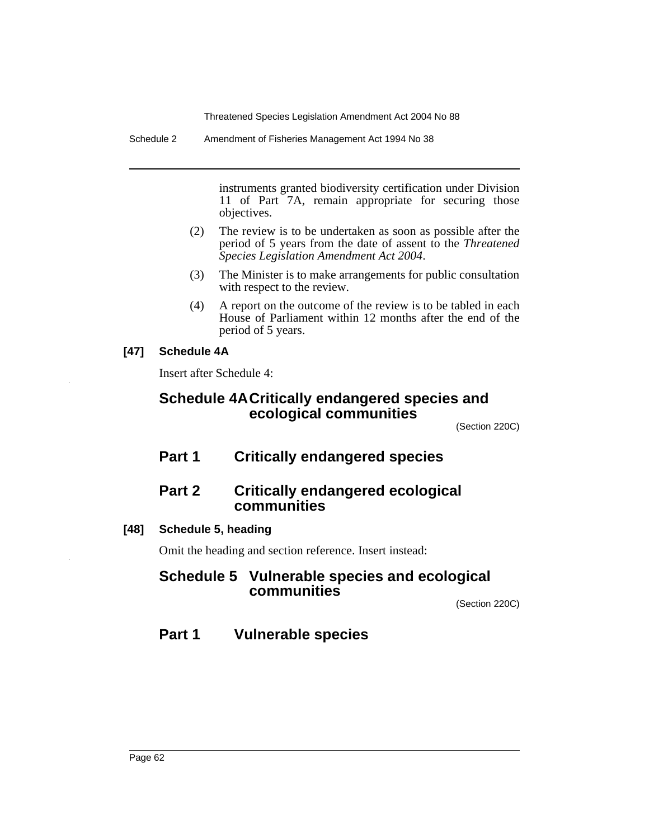Schedule 2 Amendment of Fisheries Management Act 1994 No 38

instruments granted biodiversity certification under Division 11 of Part 7A, remain appropriate for securing those objectives.

- (2) The review is to be undertaken as soon as possible after the period of 5 years from the date of assent to the *Threatened Species Legislation Amendment Act 2004*.
- (3) The Minister is to make arrangements for public consultation with respect to the review.
- (4) A report on the outcome of the review is to be tabled in each House of Parliament within 12 months after the end of the period of 5 years.

# **[47] Schedule 4A**

Insert after Schedule 4:

# **Schedule 4ACritically endangered species and ecological communities**

(Section 220C)

**Part 1 Critically endangered species**

# **Part 2 Critically endangered ecological communities**

# **[48] Schedule 5, heading**

Omit the heading and section reference. Insert instead:

# **Schedule 5 Vulnerable species and ecological communities**

(Section 220C)

# **Part 1 Vulnerable species**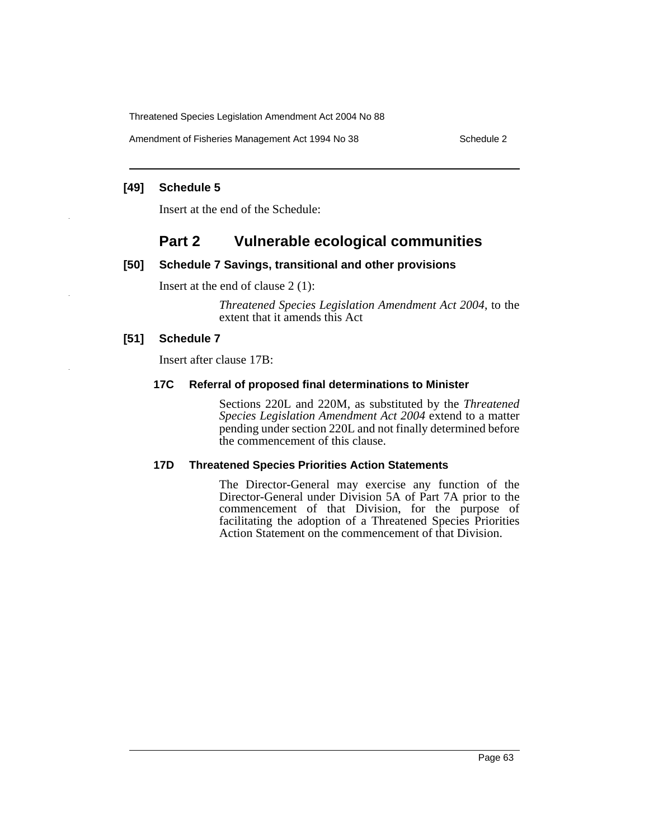Amendment of Fisheries Management Act 1994 No 38 Schedule 2

#### **[49] Schedule 5**

Insert at the end of the Schedule:

# **Part 2 Vulnerable ecological communities**

## **[50] Schedule 7 Savings, transitional and other provisions**

Insert at the end of clause 2 (1):

*Threatened Species Legislation Amendment Act 2004*, to the extent that it amends this Act

## **[51] Schedule 7**

Insert after clause 17B:

## **17C Referral of proposed final determinations to Minister**

Sections 220L and 220M, as substituted by the *Threatened Species Legislation Amendment Act 2004* extend to a matter pending under section 220L and not finally determined before the commencement of this clause.

## **17D Threatened Species Priorities Action Statements**

The Director-General may exercise any function of the Director-General under Division 5A of Part 7A prior to the commencement of that Division, for the purpose of facilitating the adoption of a Threatened Species Priorities Action Statement on the commencement of that Division.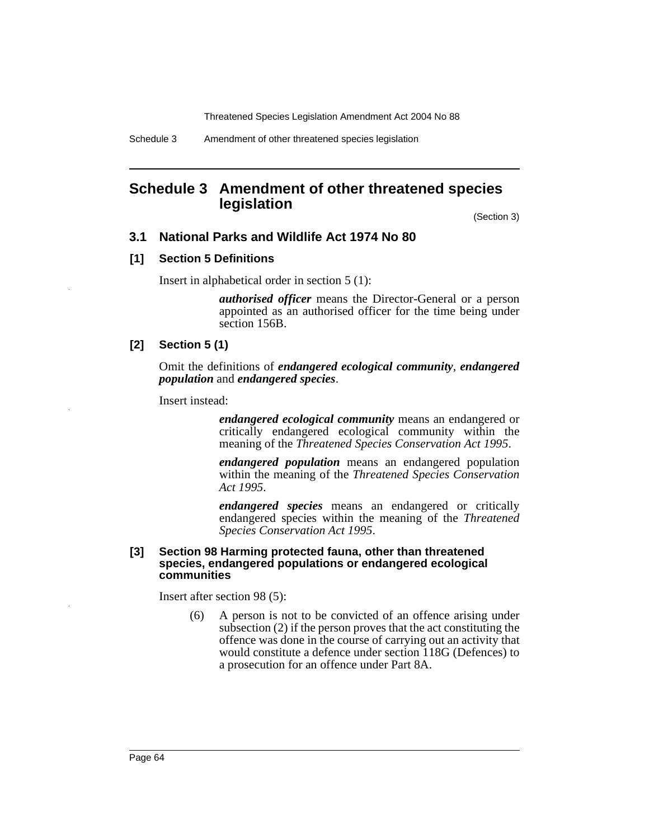# **Schedule 3 Amendment of other threatened species legislation**

(Section 3)

## **3.1 National Parks and Wildlife Act 1974 No 80**

#### **[1] Section 5 Definitions**

Insert in alphabetical order in section 5 (1):

*authorised officer* means the Director-General or a person appointed as an authorised officer for the time being under section 156B.

## **[2] Section 5 (1)**

Omit the definitions of *endangered ecological community*, *endangered population* and *endangered species*.

Insert instead:

*endangered ecological community* means an endangered or critically endangered ecological community within the meaning of the *Threatened Species Conservation Act 1995*.

*endangered population* means an endangered population within the meaning of the *Threatened Species Conservation Act 1995*.

*endangered species* means an endangered or critically endangered species within the meaning of the *Threatened Species Conservation Act 1995*.

#### **[3] Section 98 Harming protected fauna, other than threatened species, endangered populations or endangered ecological communities**

Insert after section 98 (5):

(6) A person is not to be convicted of an offence arising under subsection (2) if the person proves that the act constituting the offence was done in the course of carrying out an activity that would constitute a defence under section 118G (Defences) to a prosecution for an offence under Part 8A.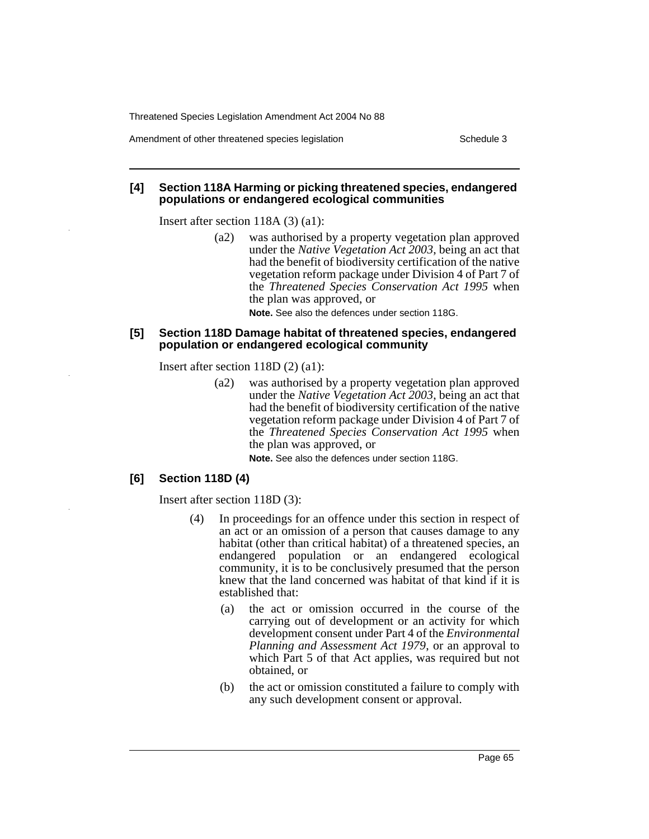Amendment of other threatened species legislation Schedule 3

#### **[4] Section 118A Harming or picking threatened species, endangered populations or endangered ecological communities**

Insert after section 118A (3) (a1):

(a2) was authorised by a property vegetation plan approved under the *Native Vegetation Act 2003*, being an act that had the benefit of biodiversity certification of the native vegetation reform package under Division 4 of Part 7 of the *Threatened Species Conservation Act 1995* when the plan was approved, or

**Note.** See also the defences under section 118G.

#### **[5] Section 118D Damage habitat of threatened species, endangered population or endangered ecological community**

Insert after section 118D (2) (a1):

(a2) was authorised by a property vegetation plan approved under the *Native Vegetation Act 2003*, being an act that had the benefit of biodiversity certification of the native vegetation reform package under Division 4 of Part 7 of the *Threatened Species Conservation Act 1995* when the plan was approved, or

**Note.** See also the defences under section 118G.

## **[6] Section 118D (4)**

Insert after section 118D (3):

- (4) In proceedings for an offence under this section in respect of an act or an omission of a person that causes damage to any habitat (other than critical habitat) of a threatened species, an endangered population or an endangered ecological community, it is to be conclusively presumed that the person knew that the land concerned was habitat of that kind if it is established that:
	- (a) the act or omission occurred in the course of the carrying out of development or an activity for which development consent under Part 4 of the *Environmental Planning and Assessment Act 1979*, or an approval to which Part 5 of that Act applies, was required but not obtained, or
	- (b) the act or omission constituted a failure to comply with any such development consent or approval.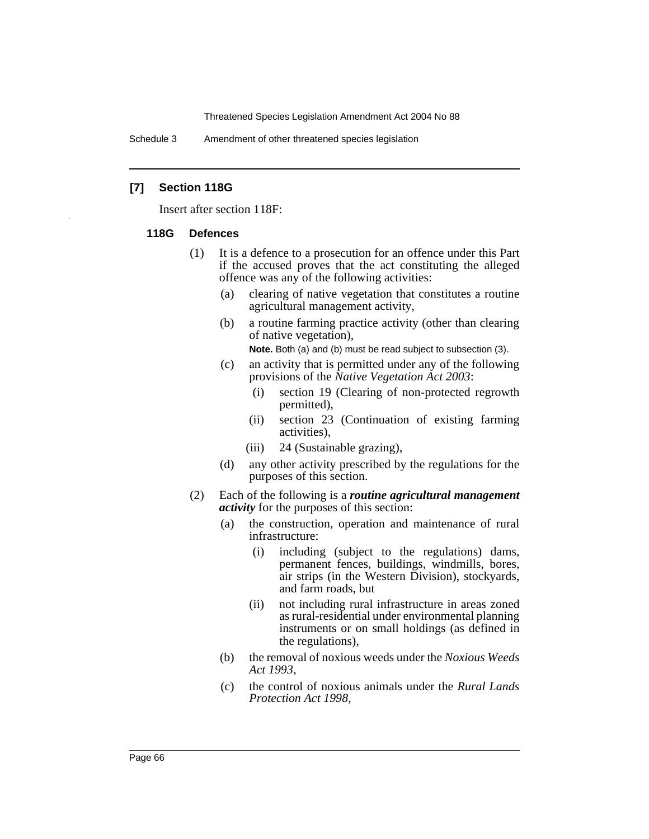Schedule 3 Amendment of other threatened species legislation

#### **[7] Section 118G**

Insert after section 118F:

#### **118G Defences**

- (1) It is a defence to a prosecution for an offence under this Part if the accused proves that the act constituting the alleged offence was any of the following activities:
	- (a) clearing of native vegetation that constitutes a routine agricultural management activity,
	- (b) a routine farming practice activity (other than clearing of native vegetation),

**Note.** Both (a) and (b) must be read subject to subsection (3).

- (c) an activity that is permitted under any of the following provisions of the *Native Vegetation Act 2003*:
	- (i) section 19 (Clearing of non-protected regrowth permitted),
	- (ii) section 23 (Continuation of existing farming activities),
	- (iii) 24 (Sustainable grazing),
- (d) any other activity prescribed by the regulations for the purposes of this section.
- (2) Each of the following is a *routine agricultural management activity* for the purposes of this section:
	- (a) the construction, operation and maintenance of rural infrastructure:
		- (i) including (subject to the regulations) dams, permanent fences, buildings, windmills, bores, air strips (in the Western Division), stockyards, and farm roads, but
		- (ii) not including rural infrastructure in areas zoned as rural-residential under environmental planning instruments or on small holdings (as defined in the regulations),
	- (b) the removal of noxious weeds under the *Noxious Weeds Act 1993*,
	- (c) the control of noxious animals under the *Rural Lands Protection Act 1998*,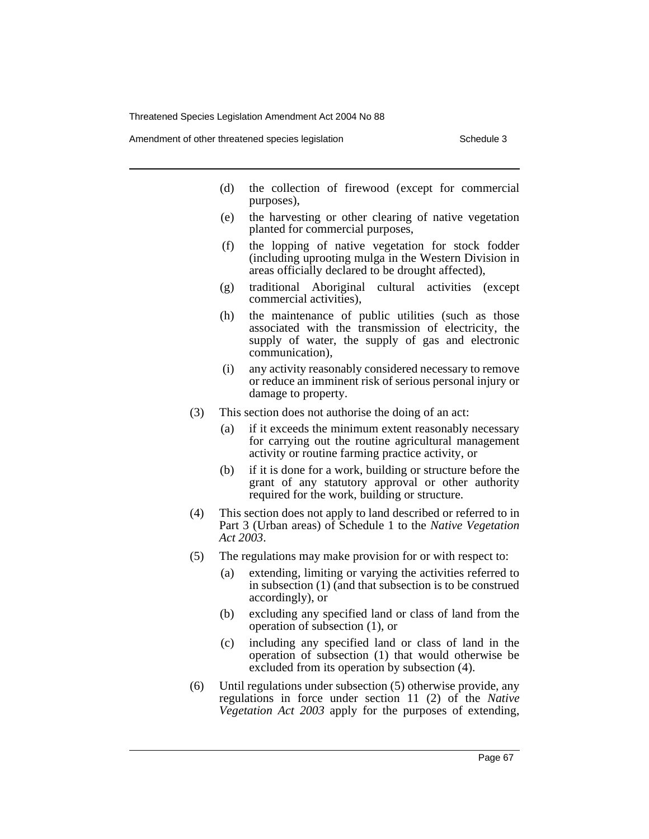Amendment of other threatened species legislation Schedule 3

- (d) the collection of firewood (except for commercial purposes),
- (e) the harvesting or other clearing of native vegetation planted for commercial purposes,
- (f) the lopping of native vegetation for stock fodder (including uprooting mulga in the Western Division in areas officially declared to be drought affected),
- (g) traditional Aboriginal cultural activities (except commercial activities),
- (h) the maintenance of public utilities (such as those associated with the transmission of electricity, the supply of water, the supply of gas and electronic communication),
- (i) any activity reasonably considered necessary to remove or reduce an imminent risk of serious personal injury or damage to property.
- (3) This section does not authorise the doing of an act:
	- (a) if it exceeds the minimum extent reasonably necessary for carrying out the routine agricultural management activity or routine farming practice activity, or
	- (b) if it is done for a work, building or structure before the grant of any statutory approval or other authority required for the work, building or structure.
- (4) This section does not apply to land described or referred to in Part 3 (Urban areas) of Schedule 1 to the *Native Vegetation Act 2003*.
- (5) The regulations may make provision for or with respect to:
	- (a) extending, limiting or varying the activities referred to in subsection (1) (and that subsection is to be construed accordingly), or
	- (b) excluding any specified land or class of land from the operation of subsection (1), or
	- (c) including any specified land or class of land in the operation of subsection (1) that would otherwise be excluded from its operation by subsection (4).
- (6) Until regulations under subsection (5) otherwise provide, any regulations in force under section 11 (2) of the *Native Vegetation Act 2003* apply for the purposes of extending,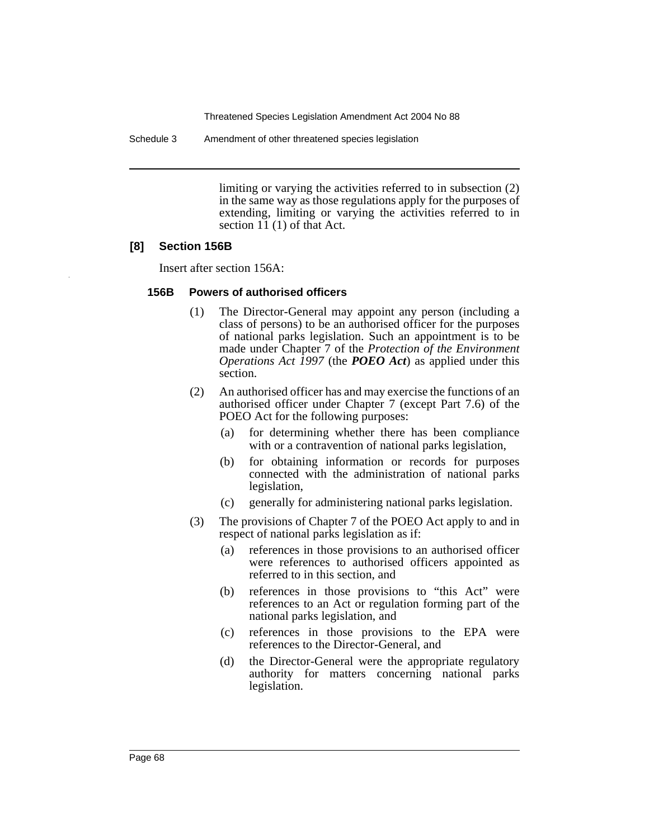Schedule 3 Amendment of other threatened species legislation

limiting or varying the activities referred to in subsection (2) in the same way as those regulations apply for the purposes of extending, limiting or varying the activities referred to in section 11 (1) of that Act.

## **[8] Section 156B**

Insert after section 156A:

#### **156B Powers of authorised officers**

- (1) The Director-General may appoint any person (including a class of persons) to be an authorised officer for the purposes of national parks legislation. Such an appointment is to be made under Chapter 7 of the *Protection of the Environment Operations Act 1997* (the *POEO Act*) as applied under this section.
- (2) An authorised officer has and may exercise the functions of an authorised officer under Chapter 7 (except Part 7.6) of the POEO Act for the following purposes:
	- (a) for determining whether there has been compliance with or a contravention of national parks legislation,
	- (b) for obtaining information or records for purposes connected with the administration of national parks legislation,
	- (c) generally for administering national parks legislation.
- (3) The provisions of Chapter 7 of the POEO Act apply to and in respect of national parks legislation as if:
	- (a) references in those provisions to an authorised officer were references to authorised officers appointed as referred to in this section, and
	- (b) references in those provisions to "this Act" were references to an Act or regulation forming part of the national parks legislation, and
	- (c) references in those provisions to the EPA were references to the Director-General, and
	- (d) the Director-General were the appropriate regulatory authority for matters concerning national parks legislation.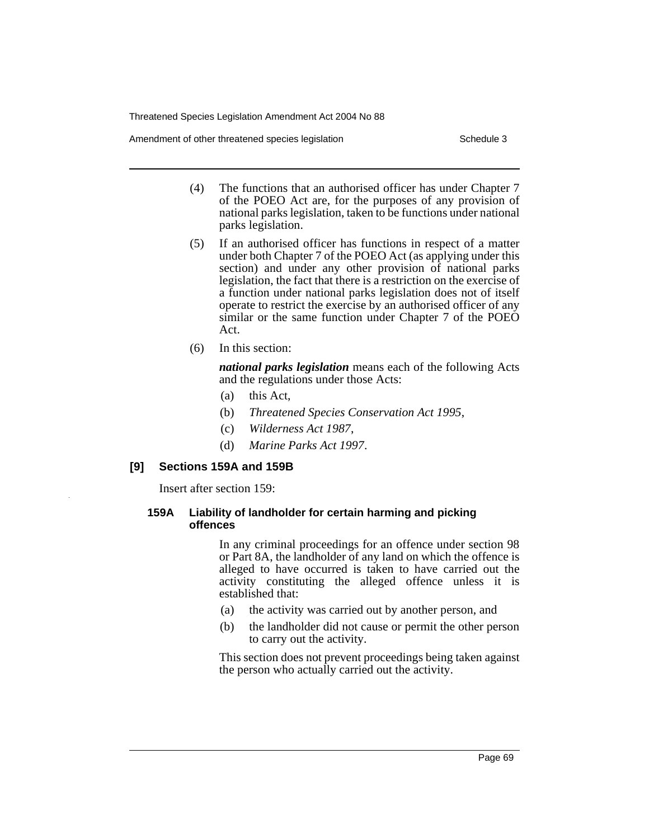Amendment of other threatened species legislation Schedule 3

- (4) The functions that an authorised officer has under Chapter 7 of the POEO Act are, for the purposes of any provision of national parks legislation, taken to be functions under national parks legislation.
- (5) If an authorised officer has functions in respect of a matter under both Chapter 7 of the POEO Act (as applying under this section) and under any other provision of national parks legislation, the fact that there is a restriction on the exercise of a function under national parks legislation does not of itself operate to restrict the exercise by an authorised officer of any similar or the same function under Chapter 7 of the POEO Act.
- (6) In this section:

*national parks legislation* means each of the following Acts and the regulations under those Acts:

- (a) this Act,
- (b) *Threatened Species Conservation Act 1995*,
- (c) *Wilderness Act 1987*,
- (d) *Marine Parks Act 1997*.

## **[9] Sections 159A and 159B**

Insert after section 159:

## **159A Liability of landholder for certain harming and picking offences**

In any criminal proceedings for an offence under section 98 or Part 8A, the landholder of any land on which the offence is alleged to have occurred is taken to have carried out the activity constituting the alleged offence unless it is established that:

- (a) the activity was carried out by another person, and
- (b) the landholder did not cause or permit the other person to carry out the activity.

This section does not prevent proceedings being taken against the person who actually carried out the activity.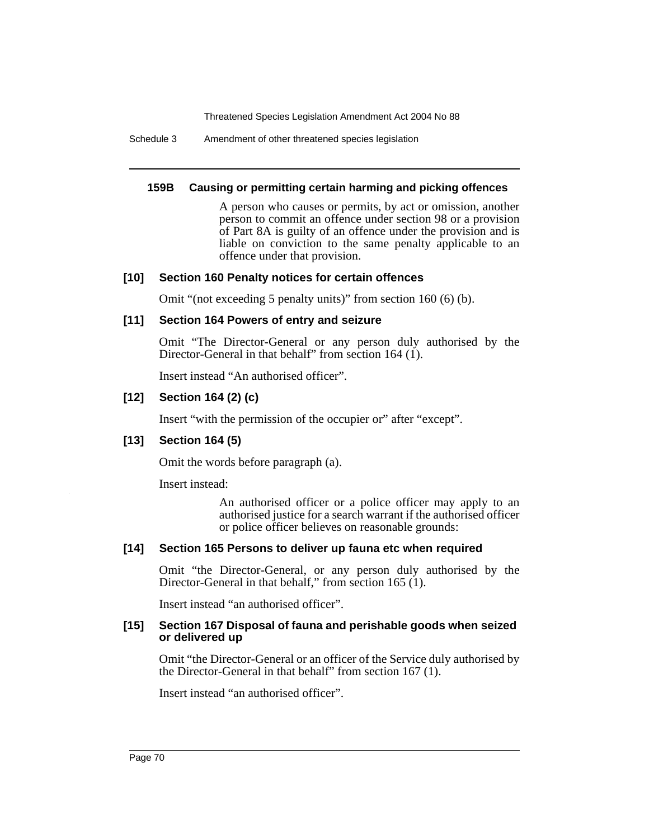Schedule 3 Amendment of other threatened species legislation

## **159B Causing or permitting certain harming and picking offences**

A person who causes or permits, by act or omission, another person to commit an offence under section 98 or a provision of Part 8A is guilty of an offence under the provision and is liable on conviction to the same penalty applicable to an offence under that provision.

## **[10] Section 160 Penalty notices for certain offences**

Omit "(not exceeding 5 penalty units)" from section 160 (6) (b).

## **[11] Section 164 Powers of entry and seizure**

Omit "The Director-General or any person duly authorised by the Director-General in that behalf" from section 164 (1).

Insert instead "An authorised officer".

# **[12] Section 164 (2) (c)**

Insert "with the permission of the occupier or" after "except".

# **[13] Section 164 (5)**

Omit the words before paragraph (a).

Insert instead:

An authorised officer or a police officer may apply to an authorised justice for a search warrant if the authorised officer or police officer believes on reasonable grounds:

# **[14] Section 165 Persons to deliver up fauna etc when required**

Omit "the Director-General, or any person duly authorised by the Director-General in that behalf," from section 165 (1).

Insert instead "an authorised officer".

#### **[15] Section 167 Disposal of fauna and perishable goods when seized or delivered up**

Omit "the Director-General or an officer of the Service duly authorised by the Director-General in that behalf" from section 167 (1).

Insert instead "an authorised officer".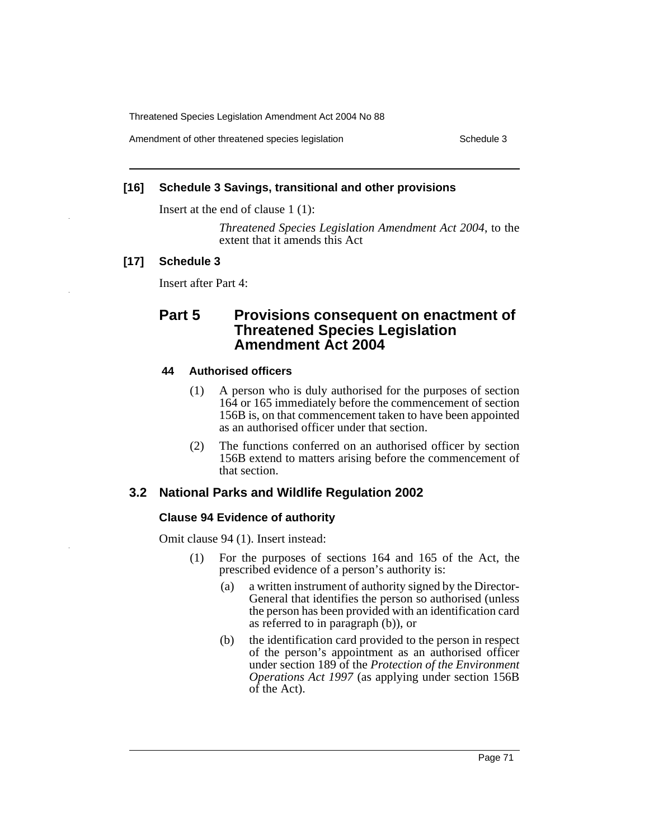Amendment of other threatened species legislation Schedule 3

#### **[16] Schedule 3 Savings, transitional and other provisions**

Insert at the end of clause 1 (1):

*Threatened Species Legislation Amendment Act 2004*, to the extent that it amends this Act

## **[17] Schedule 3**

Insert after Part 4:

# **Part 5 Provisions consequent on enactment of Threatened Species Legislation Amendment Act 2004**

#### **44 Authorised officers**

- (1) A person who is duly authorised for the purposes of section 164 or 165 immediately before the commencement of section 156B is, on that commencement taken to have been appointed as an authorised officer under that section.
- (2) The functions conferred on an authorised officer by section 156B extend to matters arising before the commencement of that section.

## **3.2 National Parks and Wildlife Regulation 2002**

#### **Clause 94 Evidence of authority**

Omit clause 94 (1). Insert instead:

- (1) For the purposes of sections 164 and 165 of the Act, the prescribed evidence of a person's authority is:
	- (a) a written instrument of authority signed by the Director-General that identifies the person so authorised (unless the person has been provided with an identification card as referred to in paragraph (b)), or
	- (b) the identification card provided to the person in respect of the person's appointment as an authorised officer under section 189 of the *Protection of the Environment Operations Act 1997* (as applying under section 156B of the Act).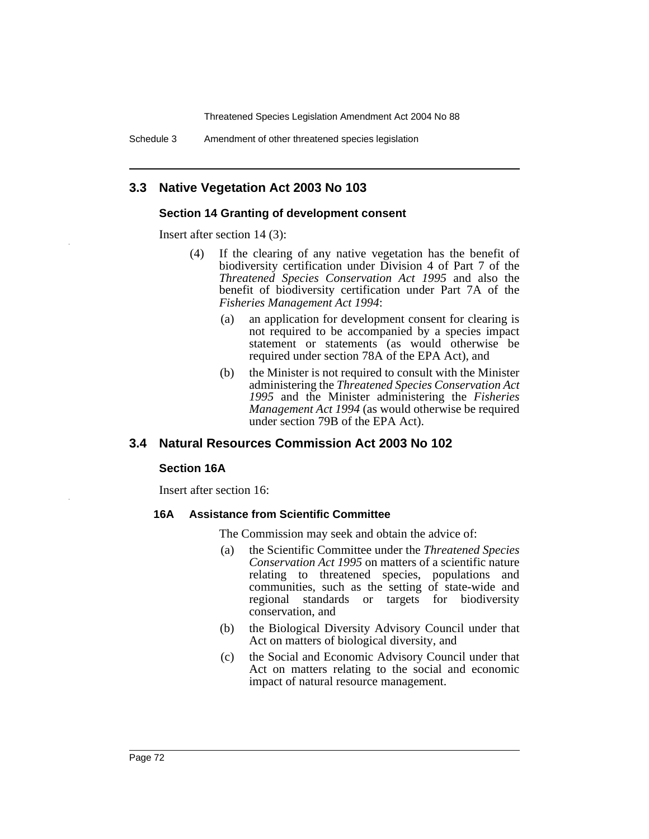Threatened Species Legislation Amendment Act 2004 No 88

Schedule 3 Amendment of other threatened species legislation

## **3.3 Native Vegetation Act 2003 No 103**

### **Section 14 Granting of development consent**

Insert after section 14 (3):

- (4) If the clearing of any native vegetation has the benefit of biodiversity certification under Division 4 of Part 7 of the *Threatened Species Conservation Act 1995* and also the benefit of biodiversity certification under Part 7A of the *Fisheries Management Act 1994*:
	- (a) an application for development consent for clearing is not required to be accompanied by a species impact statement or statements (as would otherwise be required under section 78A of the EPA Act), and
	- (b) the Minister is not required to consult with the Minister administering the *Threatened Species Conservation Act 1995* and the Minister administering the *Fisheries Management Act 1994* (as would otherwise be required under section 79B of the EPA Act).

## **3.4 Natural Resources Commission Act 2003 No 102**

#### **Section 16A**

Insert after section 16:

#### **16A Assistance from Scientific Committee**

The Commission may seek and obtain the advice of:

- (a) the Scientific Committee under the *Threatened Species Conservation Act 1995* on matters of a scientific nature relating to threatened species, populations and communities, such as the setting of state-wide and regional standards or targets for biodiversity conservation, and
- (b) the Biological Diversity Advisory Council under that Act on matters of biological diversity, and
- (c) the Social and Economic Advisory Council under that Act on matters relating to the social and economic impact of natural resource management.